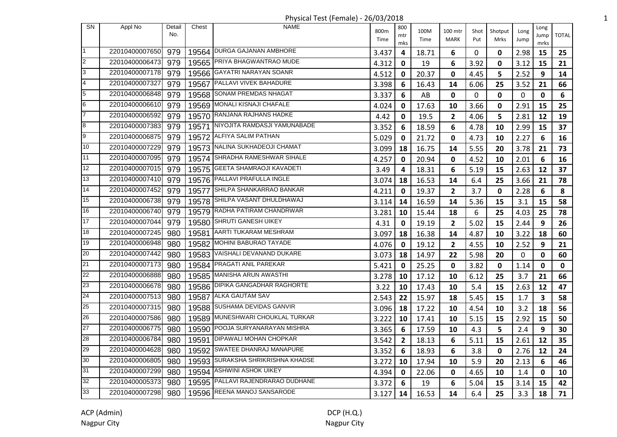| <b>SN</b>       | Appl No        | Detail<br>No. | Chest | <b>NAME</b>                        | 800m<br>Time | 800<br>mtr<br>mks | 100M<br>Time | 100 mtr<br><b>MARK</b>  | Shot<br>Put | Shotput<br>Mrks | Long<br>Jump | Long<br>Jump<br>mrks    | <b>TOTAL</b> |
|-----------------|----------------|---------------|-------|------------------------------------|--------------|-------------------|--------------|-------------------------|-------------|-----------------|--------------|-------------------------|--------------|
| $\mathbf{1}$    | 22010400007650 | 979           |       | 19564 DURGA GAJANAN AMBHORE        | 3.437        | 4                 | 18.71        | 6                       | 0           | 0               | 2.98         | 15                      | 25           |
| 2               | 22010400006473 | 979           |       | 19565 PRIYA BHAGWANTRAO MUDE       | 4.312        | 0                 | 19           | 6                       | 3.92        | 0               | 3.12         | 15                      | 21           |
| 3               | 22010400007178 | 979           |       | 19566 GAYATRI NARAYAN SOANR        | 4.512        | 0                 | 20.37        | 0                       | 4.45        | 5               | 2.52         | 9                       | 14           |
| 4               | 22010400007327 | 979           |       | 19567 PALLAVI VIVEK BAHADURE       | 3.398        | 6                 | 16.43        | 14                      | 6.06        | 25              | 3.52         | 21                      | 66           |
| 5               | 22010400006848 | 979           |       | 19568 SONAM PREMDAS NHAGAT         | 3.337        | 6                 | AB           | 0                       | 0           | 0               | 0            | 0                       | 6            |
| 6               | 22010400006610 | 979           |       | 19569 MONALI KISNAJI CHAFALE       | 4.024        | 0                 | 17.63        | 10                      | 3.66        | 0               | 2.91         | 15                      | 25           |
| $\overline{7}$  | 22010400006592 | 979           |       | 19570 RANJANA RAJHANS HADKE        | 4.42         | 0                 | 19.5         | $\overline{2}$          | 4.06        | 5               | 2.81         | 12                      | 19           |
| 8               | 22010400007383 | 979           |       | 19571 NIYOJITA RAMDASJI YAMUNABADE | 3.352        | 6                 | 18.59        | 6                       | 4.78        | 10              | 2.99         | 15                      | 37           |
| 9               | 22010400006875 | 979           |       | 19572 ALFIYA SALIM PATHAN          | 5.029        | 0                 | 21.72        | 0                       | 4.73        | 10              | 2.27         | 6                       | 16           |
| 10              | 22010400007229 | 979           |       | 19573 NALINA SUKHADEOJI CHAMAT     | 3.099        | 18                | 16.75        | 14                      | 5.55        | 20              | 3.78         | 21                      | 73           |
| 11              | 22010400007095 | 979           |       | 19574 SHRADHA RAMESHWAR SIHALE     | 4.257        | 0                 | 20.94        | 0                       | 4.52        | 10              | 2.01         | 6                       | 16           |
| 12              | 22010400007015 | 979           |       | 19575 GEETA SHAMRAOJI KAVADETI     | 3.49         | 4                 | 18.31        | 6                       | 5.19        | 15              | 2.63         | 12                      | 37           |
| 13              | 22010400007410 | 979           |       | 19576 PALLAVI PRAFULLA INGLE       | 3.074        | 18                | 16.53        | 14                      | 6.4         | 25              | 3.66         | 21                      | 78           |
| 14              | 22010400007452 | 979           |       | 19577 SHILPA SHANKARRAO BANKAR     | 4.211        | 0                 | 19.37        | $\overline{\mathbf{c}}$ | 3.7         | 0               | 2.28         | 6                       | 8            |
| 15              | 22010400006738 | 979           |       | 19578 SHILPA VASANT DHULDHAWAJ     | 3.114        | 14                | 16.59        | 14                      | 5.36        | 15              | 3.1          | 15                      | 58           |
| 16              | 22010400006740 | 979           |       | 19579 RADHA PATIRAM CHANDRWAR      | 3.281        | 10                | 15.44        | 18                      | 6           | 25              | 4.03         | 25                      | 78           |
| 17              | 22010400007044 | 979           |       | 19580 SHRUTI GANESH UIKEY          | 4.31         | 0                 | 19.19        | $\mathbf{2}$            | 5.02        | 15              | 2.44         | 9                       | 26           |
| 18              | 22010400007245 | 980           |       | 19581   AARTI TUKARAM MESHRAM      | 3.097        | 18                | 16.38        | 14                      | 4.87        | 10              | 3.22         | 18                      | 60           |
| 19              | 22010400006948 | 980           |       | 19582 MOHINI BABURAO TAYADE        | 4.076        | 0                 | 19.12        | 2                       | 4.55        | 10              | 2.52         | 9                       | 21           |
| 20              | 22010400007442 | 980           |       | 19583 VAISHALI DEVANAND DUKARE     | 3.073        | 18                | 14.97        | 22                      | 5.98        | 20              | 0            | 0                       | 60           |
| 21              | 22010400007173 | 980           |       | 19584 PRAGATI ANIL PAREKAR         | 5.421        | 0                 | 25.25        | 0                       | 3.82        | 0               | 1.14         | 0                       | 0            |
| 22              | 22010400006888 | 980           |       | 19585 MANISHA ARUN AWASTHI         | 3.278        | 10                | 17.12        | 10                      | 6.12        | 25              | 3.7          | 21                      | 66           |
| 23              | 22010400006678 | 980           |       | 19586 DIPIKA GANGADHAR RAGHORTE    | 3.22         | 10                | 17.43        | 10                      | 5.4         | 15              | 2.63         | 12                      | 47           |
| 24              | 22010400007513 | 980           |       | 19587 ALKA GAUTAM SAV              | 2.543        | 22                | 15.97        | 18                      | 5.45        | 15              | 1.7          | $\overline{\mathbf{3}}$ | 58           |
| 25              | 22010400007315 | 980           |       | 19588 SUSHAMA DEVIDAS GANVIR       | 3.096        | 18                | 17.22        | 10                      | 4.54        | 10              | 3.2          | 18                      | 56           |
| 26              | 22010400007586 | 980           |       | 19589 MUNESHWARI CHOUKLAL TURKAR   | 3.222        | 10                | 17.41        | 10                      | 5.15        | 15              | 2.92         | 15                      | 50           |
| 27              | 22010400006775 | 980           |       | 19590 POOJA SURYANARAYAN MISHRA    | 3.365        | 6                 | 17.59        | 10                      | 4.3         | 5               | 2.4          | 9                       | 30           |
| 28              | 22010400006784 | 980           |       | 19591   DIPAWALI MOHAN CHOPKAR     | 3.542        | $\mathbf{2}$      | 18.13        | 6                       | 5.11        | 15              | 2.61         | 12                      | 35           |
| 29              | 22010400004628 | 980           |       | 19592 SWATEE DHANRAJ MANAPURE      | 3.352        | 6                 | 18.93        | 6                       | 3.8         | 0               | 2.76         | 12                      | 24           |
| 30              | 22010400006805 | 980           |       | 19593 SURAKSHA SHRIKRISHNA KHADSE  | 3.272        | 10                | 17.94        | 10                      | 5.9         | 20              | 2.13         | 6                       | 46           |
| 31              | 22010400007299 | 980           |       | 19594 ASHWINI ASHOK UIKEY          | 4.394        | $\mathbf 0$       | 22.06        | 0                       | 4.65        | 10              | 1.4          | 0                       | 10           |
| $\overline{32}$ | 22010400005373 | 980           |       | 19595 PALLAVI RAJENDRARAO DUDHANE  | 3.372        | 6                 | 19           | 6                       | 5.04        | 15              | 3.14         | 15                      | 42           |
| 33              | 22010400007298 | 980           |       | 19596 REENA MANOJ SANSARODE        | 3.127        | 14                | 16.53        | 14                      | 6.4         | 25              | 3.3          | 18                      | 71           |

## Physical Test (Female) - 26/03/2018 1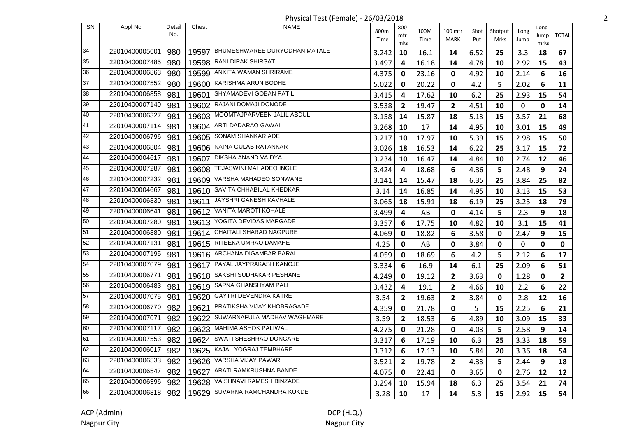Physical Test (Female) - 26/03/2018 2

| SN | Appl No        | Detail | Chest | <b>NAME</b>                         |       | 800            |              |                         |      |         |      | Long |                |
|----|----------------|--------|-------|-------------------------------------|-------|----------------|--------------|-------------------------|------|---------|------|------|----------------|
|    |                | No.    |       |                                     | 800m  | mtr            | 100M<br>Time | 100 mtr                 | Shot | Shotput | Long | Jump | <b>TOTAL</b>   |
|    |                |        |       |                                     | Time  | mks            |              | MARK                    | Put  | Mrks    | Jump | mrks |                |
| 34 | 22010400005601 | 980    |       | 19597 BHUMESHWAREE DURYODHAN MATALE | 3.242 | 10             | 16.1         | 14                      | 6.52 | 25      | 3.3  | 18   | 67             |
| 35 | 22010400007485 | 980    |       | 19598 RANI DIPAK SHIRSAT            | 3.497 | 4              | 16.18        | 14                      | 4.78 | 10      | 2.92 | 15   | 43             |
| 36 | 22010400006863 | 980    | 19599 | ANKITA WAMAN SHRIRAME               | 4.375 | 0              | 23.16        | 0                       | 4.92 | 10      | 2.14 | 6    | 16             |
| 37 | 22010400007552 | 980    |       | 19600 KARISHMA ARUN BODHE           | 5.022 | 0              | 20.22        | $\mathbf 0$             | 4.2  | 5       | 2.02 | 6    | 11             |
| 38 | 22010400006858 | 981    | 19601 | <b>SHYAMADEVI GOBAN PATIL</b>       | 3.415 | 4              | 17.62        | 10                      | 6.2  | 25      | 2.93 | 15   | 54             |
| 39 | 22010400007140 | 981    |       | 19602 RAJANI DOMAJI DONODE          | 3.538 | $\overline{2}$ | 19.47        | $\mathbf{2}$            | 4.51 | 10      | 0    | 0    | 14             |
| 40 | 22010400006327 | 981    |       | 19603 MOOMTAJPARVEEN JALIL ABDUL    | 3.158 | 14             | 15.87        | 18                      | 5.13 | 15      | 3.57 | 21   | 68             |
| 41 | 22010400007114 | 981    |       | 19604 ARTI DADARAO GAWAI            | 3.268 | 10             | 17           | 14                      | 4.95 | 10      | 3.01 | 15   | 49             |
| 42 | 22010400006796 | 981    |       | 19605 SONAM SHANKAR ADE             | 3.217 | 10             | 17.97        | 10                      | 5.39 | 15      | 2.98 | 15   | 50             |
| 43 | 22010400006804 | 981    |       | 19606 NAINA GULAB RATANKAR          | 3.026 | 18             | 16.53        | 14                      | 6.22 | 25      | 3.17 | 15   | 72             |
| 44 | 22010400004617 | 981    | 19607 | <b>DIKSHA ANAND VAIDYA</b>          | 3.234 | 10             | 16.47        | 14                      | 4.84 | 10      | 2.74 | 12   | 46             |
| 45 | 22010400007287 | 981    | 19608 | <b>TEJASWINI MAHADEO INGLE</b>      | 3.424 | 4              | 18.68        | 6                       | 4.36 | 5       | 2.48 | 9    | 24             |
| 46 | 22010400007232 | 981    | 19609 | VARSHA MAHADEO SONWANE              | 3.141 | 14             | 15.47        | 18                      | 6.35 | 25      | 3.84 | 25   | 82             |
| 47 | 22010400004667 | 981    |       | 19610 SAVITA CHHABILAL KHEDKAR      | 3.14  | 14             | 16.85        | 14                      | 4.95 | 10      | 3.13 | 15   | 53             |
| 48 | 22010400006830 | 981    | 19611 | JAYSHRI GANESH KAVHALE              | 3.065 | 18             | 15.91        | 18                      | 6.19 | 25      | 3.25 | 18   | 79             |
| 49 | 22010400006641 | 981    |       | 19612 VANITA MAROTI KOHALE          | 3.499 | 4              | AB           | 0                       | 4.14 | 5       | 2.3  | 9    | 18             |
| 50 | 22010400007280 | 981    |       | 19613 YOGITA DEVIDAS MARGADE        | 3.357 | 6              | 17.75        | 10                      | 4.82 | 10      | 3.1  | 15   | 41             |
| 51 | 22010400006880 | 981    |       | 19614 CHAITALI SHARAD NAGPURE       | 4.069 | 0              | 18.82        | 6                       | 3.58 | 0       | 2.47 | 9    | 15             |
| 52 | 22010400007131 | 981    |       | 19615 RITEEKA UMRAO DAMAHE          | 4.25  | 0              | AB           | 0                       | 3.84 | 0       | 0    | 0    | $\mathbf 0$    |
| 53 | 22010400007195 | 981    |       | 19616 ARCHANA DIGAMBAR BARAI        | 4.059 | 0              | 18.69        | 6                       | 4.2  | 5       | 2.12 | 6    | 17             |
| 54 | 22010400007079 | 981    |       | 19617 PAYAL JAYPRAKASH KANOJE       | 3.334 | 6              | 16.9         | 14                      | 6.1  | 25      | 2.09 | 6    | 51             |
| 55 | 22010400006771 | 981    |       | 19618 SAKSHI SUDHAKAR PESHANE       | 4.249 | 0              | 19.12        | $\mathbf{2}$            | 3.63 | 0       | 1.28 | 0    | $\overline{2}$ |
| 56 | 22010400006483 | 981    |       | 19619 SAPNA GHANSHYAM PALI          | 3.432 | 4              | 19.1         | $\mathbf{2}$            | 4.66 | 10      | 2.2  | 6    | 22             |
| 57 | 22010400007075 | 981    |       | 19620 GAYTRI DEVENDRA KATRE         | 3.54  | $\mathbf{2}$   | 19.63        | $\overline{\mathbf{2}}$ | 3.84 | 0       | 2.8  | 12   | 16             |
| 58 | 22010400006770 | 982    | 19621 | PRATIKSHA VIJAY KHOBRAGADE          | 4.359 | 0              | 21.78        | $\mathbf 0$             | 5    | 15      | 2.25 | 6    | 21             |
| 59 | 22010400007071 | 982    | 19622 | SUWARNAFULA MADHAV WAGHMARE         | 3.59  | 2              | 18.53        | 6                       | 4.89 | 10      | 3.09 | 15   | 33             |
| 60 | 22010400007117 | 982    | 19623 | MAHIMA ASHOK PALIWAL                | 4.275 | 0              | 21.28        | 0                       | 4.03 | 5       | 2.58 | 9    | 14             |
| 61 | 22010400007553 | 982    | 19624 | SWATI SHESHRAO DONGARE              | 3.317 | 6              | 17.19        | 10                      | 6.3  | 25      | 3.33 | 18   | 59             |
| 62 | 22010400006017 | 982    | 19625 | KAJAL YOGRAJ TEMBHARE               | 3.312 | 6              | 17.13        | 10                      | 5.84 | 20      | 3.36 | 18   | 54             |
| 63 | 22010400006533 | 982    | 19626 | VARSHA VIJAY PAWAR                  | 3.521 | 2              | 19.78        | $\mathbf{2}$            | 4.33 | 5       | 2.44 | 9    | 18             |
| 64 | 22010400006547 | 982    | 19627 | ARATI RAMKRUSHNA BANDE              | 4.075 | 0              | 22.41        | 0                       | 3.65 | 0       | 2.76 | 12   | 12             |
| 65 | 22010400006396 | 982    |       | 19628 VAISHNAVI RAMESH BINZADE      | 3.294 | 10             | 15.94        | 18                      | 6.3  | 25      | 3.54 | 21   | 74             |
| 66 | 22010400006818 | 982    |       | 19629 SUVARNA RAMCHANDRA KUKDE      | 3.28  | 10             | 17           | 14                      | 5.3  | 15      | 2.92 | 15   | 54             |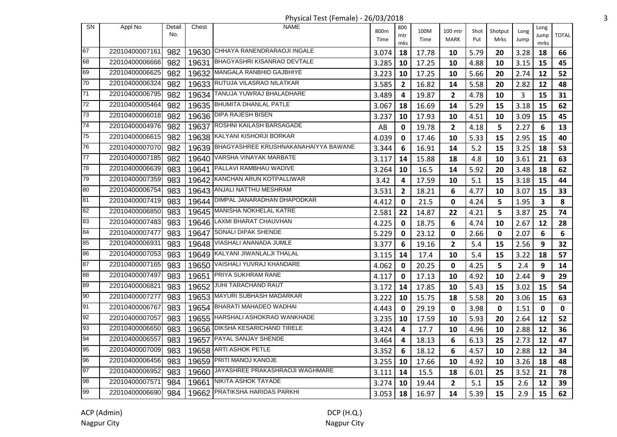| Physical Test (Female) - 26/03/2018 |
|-------------------------------------|
|-------------------------------------|

| SN              | Appl No        | Detail<br>No. | Chest | <b>NAME</b>                                | 800m  | 800            | 100M  | 100 mtr        | Shot | Shotput     | Long | Long         | <b>TOTAL</b> |
|-----------------|----------------|---------------|-------|--------------------------------------------|-------|----------------|-------|----------------|------|-------------|------|--------------|--------------|
|                 |                |               |       |                                            | Time  | mtr<br>mks     | Time  | <b>MARK</b>    | Put  | Mrks        | Jump | Jump<br>mrks |              |
| 67              | 22010400007161 | 982           |       | 19630 CHHAYA RANENDRARAOJI INGALE          | 3.074 | 18             | 17.78 | 10             | 5.79 | 20          | 3.28 | 18           | 66           |
| 68              | 22010400006666 | 982           |       | 19631 BHAGYASHRI KISANRAO DEVTALE          | 3.285 | 10             | 17.25 | 10             | 4.88 | 10          | 3.15 | 15           | 45           |
| 69              | 22010400006625 | 982           |       | 19632 MANGALA RANBHID GAJBHIYE             | 3.223 | 10             | 17.25 | 10             | 5.66 | 20          | 2.74 | 12           | 52           |
| 70              | 22010400006324 | 982           |       | 19633 RUTUJA VILASRAO NILATKAR             | 3.585 | $\overline{2}$ | 16.82 | 14             | 5.58 | 20          | 2.82 | 12           | 48           |
| 71              | 22010400006795 | 982           | 19634 | TANUJA YUWRAJ BHALADHARE                   | 3.489 | 4              | 19.87 | $\mathbf{2}$   | 4.78 | 10          | 3    | 15           | 31           |
| $\overline{72}$ | 22010400005464 | 982           |       | 19635 BHUMITA DHANLAL PATLE                | 3.067 | 18             | 16.69 | 14             | 5.29 | 15          | 3.18 | 15           | 62           |
| 73              | 22010400006018 | 982           |       | 19636   DIPA RAJESH BISEN                  | 3.237 | 10             | 17.93 | 10             | 4.51 | 10          | 3.09 | 15           | 45           |
| $\overline{74}$ | 22010400004976 | 982           |       | 19637 ROSHNI KAILASH BARSAGADE             | AB    | 0              | 19.78 | $\overline{2}$ | 4.18 | 5           | 2.27 | 6            | 13           |
| 75              | 22010400006615 | 982           |       | 19638 KALYANI KISHORJI BORKAR              | 4.039 | 0              | 17.46 | 10             | 5.33 | 15          | 2.95 | 15           | 40           |
| 76              | 22010400007070 | 982           |       | 19639 BHAGYASHREE KRUSHNAKANAHAIYYA BAWANE | 3.344 | 6              | 16.91 | 14             | 5.2  | 15          | 3.25 | 18           | 53           |
| $\overline{77}$ | 22010400007185 | 982           |       | 19640 VARSHA VINAYAK MARBATE               | 3.117 | 14             | 15.88 | 18             | 4.8  | 10          | 3.61 | 21           | 63           |
| 78              | 22010400006639 | 983           | 19641 | PALLAVI RAMBHAU WADIVE                     | 3.264 | 10             | 16.5  | 14             | 5.92 | 20          | 3.48 | 18           | 62           |
| 79              | 22010400007359 | 983           | 19642 | KANCHAN ARUN KOTPALLIWAR                   | 3.42  | 4              | 17.59 | 10             | 5.1  | 15          | 3.18 | 15           | 44           |
| 80              | 22010400006754 | 983           | 19643 | ANJALI NATTHU MESHRAM                      | 3.531 | $\mathbf{2}$   | 18.21 | 6              | 4.77 | 10          | 3.07 | 15           | 33           |
| 81              | 22010400007419 | 983           | 19644 | DIMPAL JANARADHAN DHAPODKAR                | 4.412 | 0              | 21.5  | $\mathbf 0$    | 4.24 | 5           | 1.95 | 3            | 8            |
| 82              | 22010400006850 | 983           |       | 19645 MANISHA NOKHELAL KATRE               | 2.581 | 22             | 14.87 | 22             | 4.21 | 5           | 3.87 | 25           | 74           |
| 83              | 22010400007483 | 983           |       | 19646 LAXMI BHARAT CHAUVHAN                | 4.225 | 0              | 18.75 | 6              | 4.74 | 10          | 2.67 | 12           | 28           |
| 84              | 22010400007477 | 983           |       | 19647 SONALI DIPAK SHENDE                  | 5.229 | 0              | 23.12 | 0              | 2.66 | 0           | 2.07 | 6            | 6            |
| 85              | 22010400006931 | 983           |       | 19648 VIASHALI ANANADA JUMLE               | 3.377 | 6              | 19.16 | $\mathbf{2}$   | 5.4  | 15          | 2.56 | 9            | 32           |
| 86              | 22010400007053 | 983           |       | 19649 KALYANI JIWANLALJI THALAL            | 3.115 | 14             | 17.4  | 10             | 5.4  | 15          | 3.22 | 18           | 57           |
| 87              | 22010400007165 | 983           |       | 19650 VAISHALI YUVRAJ KHANDARE             | 4.062 | 0              | 20.25 | $\mathbf 0$    | 4.25 | 5           | 2.4  | 9            | 14           |
| 88              | 22010400007497 | 983           | 19651 | PRIYA SUKHRAM RANE                         | 4.117 | 0              | 17.13 | 10             | 4.92 | 10          | 2.44 | 9            | 29           |
| 89              | 22010400006821 | 983           | 19652 | JUHI TARACHAND RAUT                        | 3.172 | 14             | 17.85 | 10             | 5.43 | 15          | 3.02 | 15           | 54           |
| 90              | 22010400007277 | 983           |       | 19653 MAYURI SUBHASH MADARKAR              | 3.222 | 10             | 15.75 | 18             | 5.58 | 20          | 3.06 | 15           | 63           |
| 91              | 22010400006767 | 983           |       | 19654   BHARATI MAHADEO WADHAI             | 4.443 | $\mathbf 0$    | 29.19 | 0              | 3.98 | $\mathbf 0$ | 1.51 | 0            | $\mathbf 0$  |
| 92              | 22010400007057 | 983           |       | 19655   HARSHALI ASHOKRAO WANKHADE         | 3.235 | 10             | 17.59 | 10             | 5.93 | 20          | 2.64 | 12           | 52           |
| 93              | 22010400006650 | 983           |       | 19656 DIKSHA KESARICHAND TIRELE            | 3.424 | 4              | 17.7  | 10             | 4.96 | 10          | 2.88 | 12           | 36           |
| 94              | 22010400006557 | 983           |       | 19657 PAYAL SANJAY SHENDE                  | 3.464 | 4              | 18.13 | 6              | 6.13 | 25          | 2.73 | 12           | 47           |
| 95              | 22010400007009 | 983           |       | 19658 ARTI ASHOK PETLE                     | 3.352 | 6              | 18.12 | 6              | 4.57 | 10          | 2.88 | 12           | 34           |
| 96              | 22010400006456 | 983           |       | 19659 PRITI MANOJ KANOJE                   | 3.255 | 10             | 17.66 | 10             | 4.92 | 10          | 3.26 | 18           | 48           |
| 97              | 22010400006952 | 983           | 19660 | JAYASHREE PRAKASHRAOJI WAGHMARE            | 3.111 | 14             | 15.5  | 18             | 6.01 | 25          | 3.52 | 21           | 78           |
| 98              | 22010400007571 | 984           | 19661 | NIKITA ASHOK TAYADE                        | 3.274 | 10             | 19.44 | $\mathbf{2}$   | 5.1  | 15          | 2.6  | 12           | 39           |
| 99              | 22010400006690 | 984           | 19662 | <b>PRATIKSHA HARIDAS PARKHI</b>            | 3.053 | 18             | 16.97 | 14             | 5.39 | 15          | 2.9  | 15           | 62           |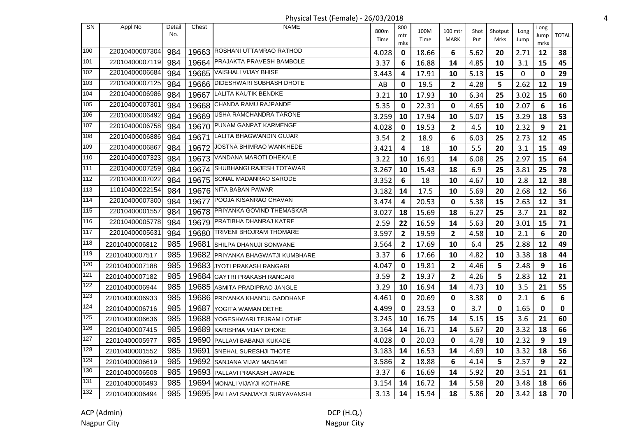| <b>SN</b> | Appl No        | Detail | Chest | <b>NAME</b>                        | 800m  | 800            | 100M  | 100 mtr      | Shot | Shotput     | Long | Long        |              |
|-----------|----------------|--------|-------|------------------------------------|-------|----------------|-------|--------------|------|-------------|------|-------------|--------------|
|           |                | No.    |       |                                    | Time  | mtr            | Time  | <b>MARK</b>  | Put  | <b>Mrks</b> | Jump | Jump        | <b>TOTAL</b> |
| 100       | 22010400007304 | 984    |       | 19663 ROSHANI UTTAMRAO RATHOD      | 4.028 | mks<br>0       | 18.66 | 6            | 5.62 | 20          | 2.71 | mrks<br>12  | 38           |
| 101       | 22010400007119 | 984    |       | 19664 PRAJAKTA PRAVESH BAMBOLE     | 3.37  | 6              | 16.88 | 14           | 4.85 | 10          | 3.1  | 15          | 45           |
| 102       | 22010400006684 | 984    |       | 19665 VAISHALI VIJAY BHISE         | 3.443 | 4              | 17.91 | 10           | 5.13 | 15          | 0    | 0           | 29           |
| 103       | 22010400007125 | 984    |       | 19666   DIDESHWARI SUBHASH DHOTE   | AB    | $\mathbf 0$    | 19.5  | $\mathbf{2}$ | 4.28 | 5           | 2.62 | 12          | 19           |
| 104       | 22010400006986 | 984    | 19667 | <b>LALITA KAUTIK BENDKE</b>        | 3.21  | 10             | 17.93 | 10           | 6.34 | 25          | 3.02 | 15          | 60           |
| 105       | 22010400007301 | 984    |       | 19668 CHANDA RAMU RAJPANDE         | 5.35  | 0              | 22.31 | $\mathbf{0}$ | 4.65 |             | 2.07 | 6           | 16           |
| 106       | 22010400006492 | 984    |       | 19669 USHA RAMCHANDRA TARONE       | 3.259 | 10             | 17.94 |              | 5.07 | 10<br>15    | 3.29 | 18          | 53           |
| 107       | 22010400006758 | 984    |       | 19670 PUNAM GANPAT KARMENGE        |       |                |       | 10           |      |             |      |             |              |
| 108       | 22010400006886 | 984    |       | 19671 LALITA BHAGWANDIN GUJAR      | 4.028 | $\mathbf 0$    | 19.53 | $\mathbf{2}$ | 4.5  | 10          | 2.32 | 9           | 21           |
| 109       | 22010400006867 |        |       | 19672 JOSTNA BHIMRAO WANKHEDE      | 3.54  | $\overline{2}$ | 18.9  | 6            | 6.03 | 25          | 2.73 | 12          | 45           |
| 110       | 22010400007323 | 984    |       | 19673 VANDANA MAROTI DHEKALE       | 3.421 | 4              | 18    | 10           | 5.5  | 20          | 3.1  | 15          | 49           |
| 111       | 22010400007259 | 984    |       | SHUBHANGI RAJESH TOTAWAR           | 3.22  | 10             | 16.91 | 14           | 6.08 | 25          | 2.97 | 15          | 64           |
| 112       | 22010400007022 | 984    | 19674 | SONAL MADANRAO SARODE              | 3.267 | 10             | 15.43 | 18           | 6.9  | 25          | 3.81 | 25          | 78           |
| 113       | 11010400022154 | 984    | 19675 | 19676 NITA BABAN PAWAR             | 3.352 | 6              | 18    | 10           | 4.67 | 10          | 2.8  | 12          | 38           |
| 114       | 22010400007300 | 984    |       | 19677 POOJA KISANRAO CHAVAN        | 3.182 | 14             | 17.5  | 10           | 5.69 | 20          | 2.68 | 12          | 56           |
| 115       | 22010400001557 | 984    |       | 19678 PRIYANKA GOVIND THEMASKAR    | 3.474 | 4              | 20.53 | 0            | 5.38 | 15          | 2.63 | 12          | 31           |
| 116       |                | 984    |       | 19679 PRATIBHA DHANRAJ KATRE       | 3.027 | 18             | 15.69 | 18           | 6.27 | 25          | 3.7  | 21          | 82           |
| 117       | 22010400005778 | 984    |       | 19680 TRIVENI BHOJRAM THOMARE      | 2.59  | 22             | 16.59 | 14           | 5.63 | 20          | 3.01 | 15          | 71           |
|           | 22010400005631 | 984    |       |                                    | 3.597 | $\overline{2}$ | 19.59 | $\mathbf{2}$ | 4.58 | 10          | 2.1  | 6           | 20           |
| 118       | 22010400006812 | 985    | 19681 | SHILPA DHANUJI SONWANE             | 3.564 | $\overline{2}$ | 17.69 | 10           | 6.4  | 25          | 2.88 | 12          | 49           |
| 119       | 22010400007517 | 985    |       | 19682 PRIYANKA BHAGWATJI KUMBHARE  | 3.37  | 6              | 17.66 | 10           | 4.82 | 10          | 3.38 | 18          | 44           |
| 120       | 22010400007188 | 985    |       | 19683 JYOTI PRAKASH RANGARI        | 4.047 | 0              | 19.81 | $\mathbf{2}$ | 4.46 | 5           | 2.48 | 9           | 16           |
| 121       | 22010400007182 | 985    |       | 19684 GAYTRI PRAKASH RANGARI       | 3.59  | $\overline{2}$ | 19.37 | $\mathbf{2}$ | 4.26 | 5           | 2.83 | 12          | 21           |
| 122       | 22010400006944 | 985    |       | 19685 ASMITA PRADIPRAO JANGLE      | 3.29  | 10             | 16.94 | 14           | 4.73 | 10          | 3.5  | 21          | 55           |
| 123       | 22010400006933 | 985    |       | 19686 PRIYANKA KHANDU GADDHANE     | 4.461 | $\mathbf 0$    | 20.69 | 0            | 3.38 | 0           | 2.1  | 6           | 6            |
| 124       | 22010400006716 | 985    | 19687 | <b>YOGITA WAMAN DETHE</b>          | 4.499 | 0              | 23.53 | 0            | 3.7  | 0           | 1.65 | $\mathbf 0$ | 0            |
| 125       | 22010400006636 | 985    |       | 19688 YOGESHWARI TEJRAM LOTHE      | 3.245 | 10             | 16.75 | 14           | 5.15 | 15          | 3.6  | 21          | 60           |
| 126       | 22010400007415 | 985    |       | 19689 KARISHMA VIJAY DHOKE         | 3.164 | 14             | 16.71 | 14           | 5.67 | 20          | 3.32 | 18          | 66           |
| 127       | 22010400005977 | 985    |       | 19690 PALLAVI BABANJI KUKADE       | 4.028 | $\mathbf 0$    | 20.03 | 0            | 4.78 | 10          | 2.32 | 9           | 19           |
| 128       | 22010400001552 | 985    | 19691 | <b>SNEHAL SURESHJI THOTE</b>       | 3.183 | 14             | 16.53 | 14           | 4.69 | 10          | 3.32 | 18          | 56           |
| 129       | 22010400006619 | 985    | 19692 | <b>SANJANA VIJAY MADAME</b>        | 3.586 | $\overline{2}$ | 18.88 | 6            | 4.14 | 5           | 2.57 | 9           | 22           |
| 130       | 22010400006508 | 985    |       | 19693 PALLAVI PRAKASH JAWADE       | 3.37  | 6              | 16.69 | 14           | 5.92 | 20          | 3.51 | 21          | 61           |
| 131       | 22010400006493 | 985    |       | 19694 MONALI VIJAYJI KOTHARE       | 3.154 | 14             | 16.72 | 14           | 5.58 | 20          | 3.48 | 18          | 66           |
| 132       | 22010400006494 | 985    |       | 19695 PALLAVI SANJAYJI SURYAVANSHI | 3.13  | 14             | 15.94 | 18           | 5.86 | 20          | 3.42 | 18          | 70           |

## Physical Test (Female) - 26/03/2018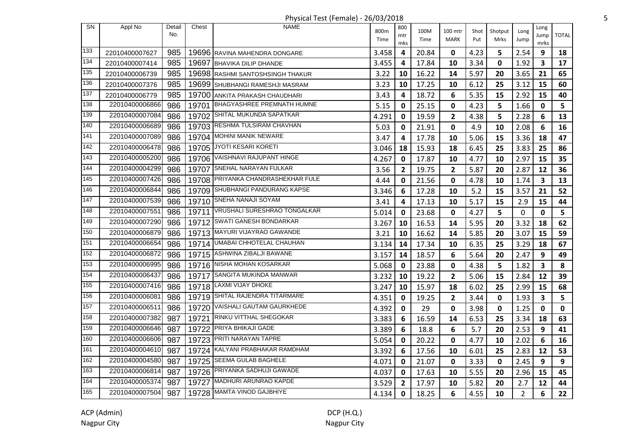Physical Test (Female) - 26/03/2018 5

| SN  | Appl No        | Detail<br>No. | Chest | <b>NAME</b>                        | 800m  | 800<br>mtr              | 100M  | 100 mtr        | Shot | Shotput     | Long           | Long<br>Jump | <b>TOTAL</b> |
|-----|----------------|---------------|-------|------------------------------------|-------|-------------------------|-------|----------------|------|-------------|----------------|--------------|--------------|
|     |                |               |       |                                    | Time  | mks                     | Time  | <b>MARK</b>    | Put  | Mrks        | Jump           | mrks         |              |
| 133 | 22010400007627 | 985           |       | 19696 RAVINA MAHENDRA DONGARE      | 3.458 | 4                       | 20.84 | 0              | 4.23 | 5           | 2.54           | 9            | 18           |
| 134 | 22010400007414 | 985           |       | 19697 BHAVIKA DILIP DHANDE         | 3.455 | 4                       | 17.84 | 10             | 3.34 | $\mathbf 0$ | 1.92           | 3            | 17           |
| 135 | 22010400006739 | 985           |       | 19698 RASHMI SANTOSHSINGH THAKUR   | 3.22  | 10                      | 16.22 | 14             | 5.97 | 20          | 3.65           | 21           | 65           |
| 136 | 22010400007376 | 985           |       | 19699 SHUBHANGI RAMESHJI MASRAM    | 3.23  | 10                      | 17.25 | 10             | 6.12 | 25          | 3.12           | 15           | 60           |
| 137 | 22010400006779 | 985           |       | 19700 ANKITA PRAKASH CHAUDHARI     | 3.43  | 4                       | 18.72 | 6              | 5.35 | 15          | 2.92           | 15           | 40           |
| 138 | 22010400006866 | 986           |       | 19701 BHAGYASHREE PREMNATH HUMNE   | 5.15  | 0                       | 25.15 | $\mathbf 0$    | 4.23 | 5           | 1.66           | 0            | 5            |
| 139 | 22010400007084 | 986           |       | 19702 SHITAL MUKUNDA SAPATKAR      | 4.291 | 0                       | 19.59 | $\mathbf{2}$   | 4.38 | 5           | 2.28           | 6            | 13           |
| 140 | 22010400006689 | 986           |       | 19703 RESHMA TULSIRAM CHAVHAN      | 5.03  | 0                       | 21.91 | $\mathbf 0$    | 4.9  | 10          | 2.08           | 6            | 16           |
| 141 | 22010400007089 | 986           |       | 19704 MOHINI MANIK NEWARE          | 3.47  | $\overline{\mathbf{4}}$ | 17.78 | 10             | 5.06 | 15          | 3.36           | 18           | 47           |
| 142 | 22010400006478 | 986           |       | 19705 JYOTI KESARI KORETI          | 3.046 | 18                      | 15.93 | 18             | 6.45 | 25          | 3.83           | 25           | 86           |
| 143 | 22010400005200 | 986           |       | 19706 VAISHNAVI RAJUPANT HINGE     | 4.267 | 0                       | 17.87 | 10             | 4.77 | 10          | 2.97           | 15           | 35           |
| 144 | 22010400004299 | 986           | 19707 | SNEHAL NARAYAN FULKAR              | 3.56  | $\overline{2}$          | 19.75 | $\overline{2}$ | 5.87 | 20          | 2.87           | 12           | 36           |
| 145 | 22010400007426 | 986           |       | 19708 PRIYANKA CHANDRASHEKHAR FULE | 4.44  | 0                       | 21.56 | 0              | 4.78 | 10          | 1.74           | 3            | 13           |
| 146 | 22010400006844 | 986           |       | 19709 SHUBHANGI PANDURANG KAPSE    | 3.346 | 6                       | 17.28 | 10             | 5.2  | 15          | 3.57           | 21           | 52           |
| 147 | 22010400007539 | 986           |       | 19710 SNEHA NANAJI SOYAM           | 3.41  | 4                       | 17.13 | 10             | 5.17 | 15          | 2.9            | 15           | 44           |
| 148 | 22010400007551 | 986           |       | 19711 VRUSHALI SURESHRAO TONGALKAR | 5.014 | 0                       | 23.68 | 0              | 4.27 | 5           | 0              | 0            | 5            |
| 149 | 22010400007290 | 986           |       | 19712 SWATI GANESH BONDARKAR       | 3.267 | 10                      | 16.53 | 14             | 5.95 | 20          | 3.32           | 18           | 62           |
| 150 | 22010400006879 | 986           |       | 19713 MAYURI VIJAYRAO GAWANDE      | 3.21  | 10                      | 16.62 | 14             | 5.85 | 20          | 3.07           | 15           | 59           |
| 151 | 22010400006654 | 986           | 19714 | UMABAI CHHOTELAL CHAUHAN           | 3.134 | 14                      | 17.34 | 10             | 6.35 | 25          | 3.29           | 18           | 67           |
| 152 | 22010400006872 | 986           |       | 19715   ASHWINA ZIBALJI BAWANE     | 3.157 | 14                      | 18.57 | 6              | 5.64 | 20          | 2.47           | 9            | 49           |
| 153 | 22010400006995 | 986           |       | 19716 NISHA MOHAN KOSARKAR         | 5.068 | 0                       | 23.88 | $\mathbf 0$    | 4.38 | 5           | 1.82           | 3            | 8            |
| 154 | 22010400006437 | 986           |       | 19717 SANGITA MUKINDA MANWAR       | 3.232 | 10                      | 19.22 | $\overline{2}$ | 5.06 | 15          | 2.84           | 12           | 39           |
| 155 | 22010400007416 | 986           |       | 19718 LAXMI VIJAY DHOKE            | 3.247 | 10                      | 15.97 | 18             | 6.02 | 25          | 2.99           | 15           | 68           |
| 156 | 22010400006081 | 986           |       | 19719 SHITAL RAJENDRA TITARMARE    | 4.351 | 0                       | 19.25 | $\overline{2}$ | 3.44 | $\mathbf 0$ | 1.93           | 3            | 5            |
| 157 | 22010400006511 | 986           |       | 19720 VAISHALI GAUTAM GAURKHEDE    | 4.392 | 0                       | 29    | $\mathbf 0$    | 3.98 | 0           | 1.25           | 0            | $\mathbf 0$  |
| 158 | 22010400007382 | 987           | 19721 | <b>RINKU VITTHAL SHEGOKAR</b>      | 3.383 | 6                       | 16.59 | 14             | 6.53 | 25          | 3.34           | 18           | 63           |
| 159 | 22010400006646 | 987           |       | 19722 PRIYA BHIKAJI GADE           | 3.389 | 6                       | 18.8  | 6              | 5.7  | 20          | 2.53           | 9            | 41           |
| 160 | 22010400006606 | 987           |       | 19723 PRITI NARAYAN TAPRE          | 5.054 | 0                       | 20.22 | $\mathbf 0$    | 4.77 | 10          | 2.02           | 6            | 16           |
| 161 | 22010400004610 | 987           | 19724 | KALYANI PRABHAKAR RAMDHAM          | 3.392 | 6                       | 17.56 | 10             | 6.01 | 25          | 2.83           | 12           | 53           |
| 162 | 22010400004580 | 987           |       | 19725 SEEMA GULAB BAGHELE          | 4.071 | 0                       | 21.07 | $\mathbf 0$    | 3.33 | 0           | 2.45           | 9            | 9            |
| 163 | 22010400006814 | 987           |       | 19726 PRIYANKA SADHUJI GAWADE      | 4.037 | 0                       | 17.63 | 10             | 5.55 | 20          | 2.96           | 15           | 45           |
| 164 | 22010400005374 | 987           |       | 19727 MADHURI ARUNRAO KAPDE        | 3.529 | $\overline{\mathbf{2}}$ | 17.97 | 10             | 5.82 | 20          | 2.7            | 12           | 44           |
| 165 | 22010400007504 | 987           |       | 19728 MAMTA VINOD GAJBHIYE         | 4.134 | $\mathbf{0}$            | 18.25 | 6              | 4.55 | 10          | $\overline{2}$ | 6            | 22           |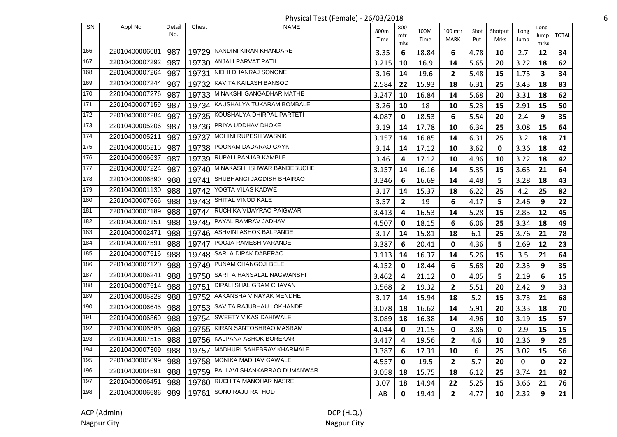Physical Test (Female) - 26/03/2018 6

| <b>SN</b> | Appl No        | Detail<br>No. | Chest | <b>NAME</b>                       | 800m  | 800            | 100M  | 100 mtr        | Shot | Shotput | Long | Long         | <b>TOTAL</b> |
|-----------|----------------|---------------|-------|-----------------------------------|-------|----------------|-------|----------------|------|---------|------|--------------|--------------|
|           |                |               |       |                                   | Time  | mtr<br>mks     | Time  | <b>MARK</b>    | Put  | Mrks    | Jump | Jump<br>mrks |              |
| 166       | 22010400006681 | 987           |       | 19729 NANDINI KIRAN KHANDARE      | 3.35  | 6              | 18.84 | 6              | 4.78 | 10      | 2.7  | 12           | 34           |
| 167       | 22010400007292 | 987           |       | 19730 ANJALI PARVAT PATIL         | 3.215 | 10             | 16.9  | 14             | 5.65 | 20      | 3.22 | 18           | 62           |
| 168       | 22010400007264 | 987           | 19731 | NIDHI DHANRAJ SONONE              | 3.16  | 14             | 19.6  | $\mathbf{2}$   | 5.48 | 15      | 1.75 | 3            | 34           |
| 169       | 22010400007244 | 987           | 19732 | KAVITA KAILASH BANSOD             | 2.584 | 22             | 15.93 | 18             | 6.31 | 25      | 3.43 | 18           | 83           |
| 170       | 22010400007276 | 987           |       | 19733 MINAKSHI GANGADHAR MATHE    | 3.247 | 10             | 16.84 | 14             | 5.68 | 20      | 3.31 | 18           | 62           |
| 171       | 22010400007159 | 987           |       | 19734 KAUSHALYA TUKARAM BOMBALE   | 3.26  | 10             | 18    | 10             | 5.23 | 15      | 2.91 | 15           | 50           |
| 172       | 22010400007284 | 987           |       | 19735 KOUSHALYA DHIRPAL PARTETI   | 4.087 | 0              | 18.53 | 6              | 5.54 | 20      | 2.4  | 9            | 35           |
| 173       | 22010400005206 | 987           |       | 19736 PRIYA UDDHAV DHOKE          | 3.19  | 14             | 17.78 | 10             | 6.34 | 25      | 3.08 | 15           | 64           |
| 174       | 22010400005211 | 987           |       | 19737 MOHINI RUPESH WASNIK        | 3.157 | 14             | 16.85 | 14             | 6.31 | 25      | 3.2  | 18           | 71           |
| 175       | 22010400005215 | 987           |       | 19738 POONAM DADARAO GAYKI        | 3.14  | 14             | 17.12 | 10             | 3.62 | 0       | 3.36 | 18           | 42           |
| 176       | 22010400006637 | 987           |       | 19739 RUPALI PANJAB KAMBLE        | 3.46  | 4              | 17.12 | 10             | 4.96 | 10      | 3.22 | 18           | 42           |
| 177       | 22010400007224 | 987           |       | 19740 MINAKASHI ISHWAR BANDEBUCHE | 3.157 | 14             | 16.16 | 14             | 5.35 | 15      | 3.65 | 21           | 64           |
| 178       | 22010400006890 | 988           |       | 19741 SHUBHANGI JAGDISH BHAIRAO   | 3.346 | 6              | 16.69 | 14             | 4.48 | 5       | 3.28 | 18           | 43           |
| 179       | 22010400001130 | 988           |       | 19742 YOGTA VILAS KADWE           | 3.17  | 14             | 15.37 | 18             | 6.22 | 25      | 4.2  | 25           | 82           |
| 180       | 22010400007566 | 988           |       | 19743 SHITAL VINOD KALE           | 3.57  | $\mathbf{2}$   | 19    | 6              | 4.17 | 5       | 2.46 | 9            | 22           |
| 181       | 22010400007189 | 988           |       | 19744 RUCHIKA VIJAYRAO PAIGWAR    | 3.413 | 4              | 16.53 | 14             | 5.28 | 15      | 2.85 | 12           | 45           |
| 182       | 22010400007151 | 988           |       | 19745 PAYAL RAMRAV JADHAV         | 4.507 | 0              | 18.15 | 6              | 6.06 | 25      | 3.34 | 18           | 49           |
| 183       | 22010400002471 | 988           |       | 19746 ASHVINI ASHOK BALPANDE      | 3.17  | 14             | 15.81 | 18             | 6.1  | 25      | 3.76 | 21           | 78           |
| 184       | 22010400007591 | 988           |       | 19747 POOJA RAMESH VARANDE        | 3.387 | 6              | 20.41 | $\mathbf 0$    | 4.36 | 5       | 2.69 | 12           | 23           |
| 185       | 22010400007516 | 988           |       | 19748 SARLA DIPAK DABERAO         | 3.113 | 14             | 16.37 | 14             | 5.26 | 15      | 3.5  | 21           | 64           |
| 186       | 22010400007120 | 988           |       | 19749 PUNAM CHANGOJI BELE         | 4.152 | 0              | 18.44 | 6              | 5.68 | 20      | 2.33 | 9            | 35           |
| 187       | 22010400006241 | 988           |       | 19750 SARITA HANSALAL NAGWANSHI   | 3.462 | 4              | 21.12 | $\mathbf 0$    | 4.05 | 5       | 2.19 | 6            | 15           |
| 188       | 22010400007514 | 988           |       | 19751 DIPALI SHALIGRAM CHAVAN     | 3.568 | $\overline{2}$ | 19.32 | $\overline{2}$ | 5.51 | 20      | 2.42 | 9            | 33           |
| 189       | 22010400005328 | 988           |       | 19752 AAKANSHA VINAYAK MENDHE     | 3.17  | 14             | 15.94 | 18             | 5.2  | 15      | 3.73 | 21           | 68           |
| 190       | 22010400006645 | 988           |       | 19753 SAVITA RAJUBHAU LOKHANDE    | 3.078 | 18             | 16.62 | 14             | 5.91 | 20      | 3.33 | 18           | 70           |
| 191       | 22010400006869 | 988           |       | 19754 SWEETY VIKAS DAHIWALE       | 3.089 | 18             | 16.38 | 14             | 4.96 | 10      | 3.19 | 15           | 57           |
| 192       | 22010400006585 | 988           |       | 19755 KIRAN SANTOSHRAO MASRAM     | 4.044 | 0              | 21.15 | 0              | 3.86 | 0       | 2.9  | 15           | 15           |
| 193       | 22010400007515 | 988           |       | 19756 KALPANA ASHOK BOREKAR       | 3.417 | 4              | 19.56 | $\mathbf{2}$   | 4.6  | 10      | 2.36 | 9            | 25           |
| 194       | 22010400007309 | 988           | 19757 | MADHURI SAHEBRAV KHARMALE         | 3.387 | 6              | 17.31 | 10             | 6    | 25      | 3.02 | 15           | 56           |
| 195       | 22010400005099 | 988           |       | 19758 MONIKA MADHAV GAWALE        | 4.557 | 0              | 19.5  | $\overline{2}$ | 5.7  | 20      | 0    | 0            | 22           |
| 196       | 22010400004591 | 988           |       | 19759 PALLAVI SHANKARRAO DUMANWAR | 3.058 | 18             | 15.75 | 18             | 6.12 | 25      | 3.74 | 21           | 82           |
| 197       | 22010400006451 | 988           |       | 19760 RUCHITA MANOHAR NASRE       | 3.07  | 18             | 14.94 | 22             | 5.25 | 15      | 3.66 | 21           | 76           |
| 198       | 22010400006686 | 989           |       | 19761 SONU RAJU RATHOD            | AB    | 0              | 19.41 | $\overline{2}$ | 4.77 | 10      | 2.32 | 9            | 21           |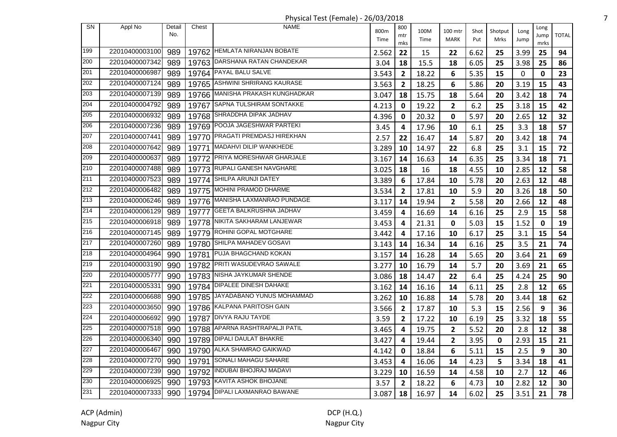Physical Test (Female) - 26/03/2018 7

| SN  | Appl No        | Detail | Chest | NAME                             |              | 800            |              |                        |             |                 |              | Long |              |
|-----|----------------|--------|-------|----------------------------------|--------------|----------------|--------------|------------------------|-------------|-----------------|--------------|------|--------------|
|     |                | No.    |       |                                  | 800m<br>Time | mtr            | 100M<br>Time | 100 mtr<br><b>MARK</b> | Shot<br>Put | Shotput<br>Mrks | Long<br>Jump | Jump | <b>TOTAL</b> |
|     |                |        |       |                                  |              | mks            |              |                        |             |                 |              | mrks |              |
| 199 | 22010400003100 | 989    |       | 19762 HEMLATA NIRANJAN BOBATE    | 2.562        | 22             | 15           | 22                     | 6.62        | 25              | 3.99         | 25   | 94           |
| 200 | 22010400007342 | 989    | 19763 | DARSHANA RATAN CHANDEKAR         | 3.04         | 18             | 15.5         | 18                     | 6.05        | 25              | 3.98         | 25   | 86           |
| 201 | 22010400006987 | 989    | 19764 | PAYAL BALU SALVE                 | 3.543        | $\mathbf{2}$   | 18.22        | 6                      | 5.35        | 15              | 0            | 0    | 23           |
| 202 | 22010400007124 | 989    | 19765 | ASHWINI SHRIRANG KAURASE         | 3.563        | $\mathbf{2}$   | 18.25        | 6                      | 5.86        | 20              | 3.19         | 15   | 43           |
| 203 | 22010400007139 | 989    |       | 19766 MANISHA PRAKASH KUNGHADKAR | 3.047        | 18             | 15.75        | 18                     | 5.64        | 20              | 3.42         | 18   | 74           |
| 204 | 22010400004792 | 989    |       | 19767 SAPNA TULSHIRAM SONTAKKE   | 4.213        | $\mathbf 0$    | 19.22        | $\overline{2}$         | 6.2         | 25              | 3.18         | 15   | 42           |
| 205 | 22010400006932 | 989    |       | 19768 SHRADDHA DIPAK JADHAV      | 4.396        | 0              | 20.32        | 0                      | 5.97        | 20              | 2.65         | 12   | 32           |
| 206 | 22010400007236 | 989    |       | 19769 POOJA JAGESHWAR PARTEKI    | 3.45         | 4              | 17.96        | 10                     | 6.1         | 25              | 3.3          | 18   | 57           |
| 207 | 22010400007441 | 989    |       | 19770 PRAGATI PREMDASJ HIREKHAN  | 2.57         | 22             | 16.47        | 14                     | 5.87        | 20              | 3.42         | 18   | 74           |
| 208 | 22010400007642 | 989    |       | 19771   MADAHVI DILIP WANKHEDE   | 3.289        | 10             | 14.97        | 22                     | 6.8         | 25              | 3.1          | 15   | 72           |
| 209 | 22010400000637 | 989    |       | 19772 PRIYA MORESHWAR GHARJALE   | 3.167        | 14             | 16.63        | 14                     | 6.35        | 25              | 3.34         | 18   | 71           |
| 210 | 22010400007488 | 989    | 19773 | RUPALI GANESH NAVGHARE           | 3.025        | 18             | 16           | 18                     | 4.55        | 10              | 2.85         | 12   | 58           |
| 211 | 22010400007523 | 989    | 19774 | SHILPA ARUNJI DATEY              | 3.389        | 6              | 17.84        | 10                     | 5.78        | 20              | 2.63         | 12   | 48           |
| 212 | 22010400006482 | 989    | 19775 | MOHINI PRAMOD DHARME             | 3.534        | $\mathbf{2}$   | 17.81        | 10                     | 5.9         | 20              | 3.26         | 18   | 50           |
| 213 | 22010400006246 | 989    |       | 19776 MANISHA LAXMANRAO PUNDAGE  | 3.117        | 14             | 19.94        | $\mathbf{2}$           | 5.58        | 20              | 2.66         | 12   | 48           |
| 214 | 22010400006129 | 989    |       | 19777 GEETA BALKRUSHNA JADHAV    | 3.459        | 4              | 16.69        | 14                     | 6.16        | 25              | 2.9          | 15   | 58           |
| 215 | 22010400006918 | 989    |       | 19778 NIKITA SAKHARAM LANJEWAR   | 3.453        | 4              | 21.31        | $\mathbf{0}$           | 5.03        | 15              | 1.52         | 0    | 19           |
| 216 | 22010400007145 | 989    |       | 19779 ROHINI GOPAL MOTGHARE      | 3.442        | 4              | 17.16        | 10                     | 6.17        | 25              | 3.1          | 15   | 54           |
| 217 | 22010400007260 | 989    | 19780 | SHILPA MAHADEV GOSAVI            | 3.143        | 14             | 16.34        | 14                     | 6.16        | 25              | 3.5          | 21   | 74           |
| 218 | 22010400004964 | 990    |       | 19781 PUJA BHAGCHAND KOKAN       | 3.157        | 14             | 16.28        | 14                     | 5.65        | 20              | 3.64         | 21   | 69           |
| 219 | 22010400003190 | 990    | 19782 | PRITI WASUDEVRAO SAWALE          | 3.277        | 10             | 16.79        | 14                     | 5.7         | 20              | 3.69         | 21   | 65           |
| 220 | 22010400005777 | 990    |       | 19783 NISHA JAYKUMAR SHENDE      | 3.086        | 18             | 14.47        | 22                     | 6.4         | 25              | 4.24         | 25   | 90           |
| 221 | 22010400005331 | 990    |       | 19784 DIPALEE DINESH DAHAKE      | 3.162        | 14             | 16.16        | 14                     | 6.11        | 25              | 2.8          | 12   | 65           |
| 222 | 22010400006688 | 990    |       | 19785 JAYADABANO YUNUS MOHAMMAD  | 3.262        | 10             | 16.88        | 14                     | 5.78        | 20              | 3.44         | 18   | 62           |
| 223 | 22010400003650 | 990    |       | 19786 KALPANA PARITOSH GAIN      | 3.566        | $\overline{2}$ | 17.87        | 10                     | 5.3         | 15              | 2.56         | 9    | 36           |
| 224 | 22010400006692 | 990    |       | 19787 DIVYA RAJU TAYDE           | 3.59         | $\overline{2}$ | 17.22        | 10                     | 6.19        | 25              | 3.32         | 18   | 55           |
| 225 | 22010400007518 | 990    |       | 19788 APARNA RASHTRAPALJI PATIL  | 3.465        | 4              | 19.75        | $\mathbf{2}$           | 5.52        | 20              | 2.8          | 12   | 38           |
| 226 | 22010400006340 | 990    |       | 19789 DIPALI DAULAT BHAKRE       | 3.427        | 4              | 19.44        | $\mathbf{2}$           | 3.95        | 0               | 2.93         | 15   | 21           |
| 227 | 22010400006467 | 990    | 19790 | ALKA SHAMRAO GAIKWAD             | 4.142        | 0              | 18.84        | 6                      | 5.11        | 15              | 2.5          | 9    | 30           |
| 228 | 22010400007270 | 990    | 19791 | SONALI MAHAGU SAHARE             | 3.453        | 4              | 16.06        | 14                     | 4.23        | 5               | 3.34         | 18   | 41           |
| 229 | 22010400007239 | 990    | 19792 | INDUBAI BHOJRAJ MADAVI           | 3.229        | 10             | 16.59        | 14                     | 4.58        | 10              | 2.7          | 12   | 46           |
| 230 | 22010400006925 | 990    |       | 19793 KAVITA ASHOK BHOJANE       | 3.57         | $\mathbf{2}$   | 18.22        | 6                      | 4.73        | 10              | 2.82         | 12   | 30           |
| 231 | 22010400007333 | 990    |       | 19794 DIPALI LAXMANRAO BAWANE    | 3.087        | 18             | 16.97        | 14                     | 6.02        | 25              | 3.51         | 21   | 78           |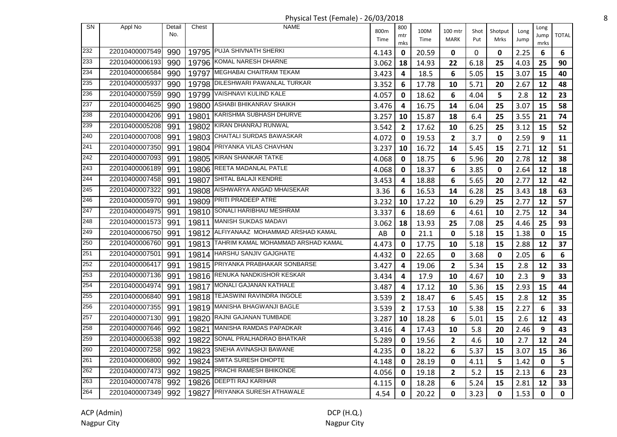Physical Test (Female) - 26/03/2018 8

| SN  | Appl No        | Detail | Chest | <b>NAME</b>                              |       | 800            |       |                         |      |         |      |              |              |
|-----|----------------|--------|-------|------------------------------------------|-------|----------------|-------|-------------------------|------|---------|------|--------------|--------------|
|     |                | No.    |       |                                          | 800m  | mtr            | 100M  | 100 mtr                 | Shot | Shotput | Long | Long<br>Jump | <b>TOTAL</b> |
|     |                |        |       |                                          | Time  | mks            | Time  | <b>MARK</b>             | Put  | Mrks    | Jump | mrks         |              |
| 232 | 22010400007549 | 990    |       | 19795 PUJA SHIVNATH SHERKI               | 4.143 | 0              | 20.59 | 0                       | 0    | 0       | 2.25 | 6            | 6            |
| 233 | 22010400006193 | 990    |       | 19796 KOMAL NARESH DHARNE                | 3.062 | 18             | 14.93 | 22                      | 6.18 | 25      | 4.03 | 25           | 90           |
| 234 | 22010400006584 | 990    | 19797 | MEGHABAI CHAITRAM TEKAM                  | 3.423 | 4              | 18.5  | 6                       | 5.05 | 15      | 3.07 | 15           | 40           |
| 235 | 22010400005937 | 990    | 19798 | DILESHWARI PAWANLAL TURKAR               | 3.352 | 6              | 17.78 | 10                      | 5.71 | 20      | 2.67 | 12           | 48           |
| 236 | 22010400007559 | 990    |       | 19799 VAISHNAVI KULIND KALE              | 4.057 | 0              | 18.62 | 6                       | 4.04 | 5       | 2.8  | 12           | 23           |
| 237 | 22010400004625 | 990    |       | 19800 ASHABI BHIKANRAV SHAIKH            | 3.476 | 4              | 16.75 | 14                      | 6.04 | 25      | 3.07 | 15           | 58           |
| 238 | 22010400004206 | 991    |       | 19801 KARISHMA SUBHASH DHURVE            | 3.257 | 10             | 15.87 | 18                      | 6.4  | 25      | 3.55 | 21           | 74           |
| 239 | 22010400005208 | 991    |       | 19802 KIRAN DHANRAJ RUNWAL               | 3.542 | $\overline{2}$ | 17.62 | 10                      | 6.25 | 25      | 3.12 | 15           | 52           |
| 240 | 22010400007008 | 991    |       | 19803 CHAITALI SURDAS BAWASKAR           | 4.072 | 0              | 19.53 | $\mathbf{2}$            | 3.7  | 0       | 2.59 | 9            | 11           |
| 241 | 22010400007350 | 991    |       | 19804 PRIYANKA VILAS CHAVHAN             | 3.237 | 10             | 16.72 | 14                      | 5.45 | 15      | 2.71 | 12           | 51           |
| 242 | 22010400007093 | 991    | 19805 | KIRAN SHANKAR TATKE                      | 4.068 | 0              | 18.75 | 6                       | 5.96 | 20      | 2.78 | 12           | 38           |
| 243 | 22010400006189 | 991    |       | 19806 REETA MADANLAL PATLE               | 4.068 | 0              | 18.37 | 6                       | 3.85 | 0       | 2.64 | 12           | 18           |
| 244 | 22010400007458 | 991    | 19807 | <b>SHITAL BALAJI KENDRE</b>              | 3.453 | 4              | 18.88 | 6                       | 5.65 | 20      | 2.77 | 12           | 42           |
| 245 | 22010400007322 | 991    |       | 19808 AISHWARYA ANGAD MHAISEKAR          | 3.36  | 6              | 16.53 | 14                      | 6.28 | 25      | 3.43 | 18           | 63           |
| 246 | 22010400005970 | 991    |       | 19809 PRITI PRADEEP ATRE                 | 3.232 | 10             | 17.22 | 10                      | 6.29 | 25      | 2.77 | 12           | 57           |
| 247 | 22010400004975 | 991    |       | 19810 SONALI HARIBHAU MESHRAM            | 3.337 | 6              | 18.69 | 6                       | 4.61 | 10      | 2.75 | 12           | 34           |
| 248 | 22010400001573 | 991    |       | 19811 MANISH SUKDAS MADAVI               | 3.062 | 18             | 13.93 | 25                      | 7.08 | 25      | 4.46 | 25           | 93           |
| 249 | 22010400006750 | 991    |       | 19812 ALFIYANAAZ MOHAMMAD ARSHAD KAMAL   | AB    | 0              | 21.1  | $\mathbf 0$             | 5.18 | 15      | 1.38 | 0            | 15           |
| 250 | 22010400006760 | 991    |       | 19813 TAHRIM KAMAL MOHAMMAD ARSHAD KAMAL | 4.473 | 0              | 17.75 | 10                      | 5.18 | 15      | 2.88 | 12           | 37           |
| 251 | 22010400007501 | 991    |       | 19814   HARSHU SANJIV GAJGHATE           | 4.432 | 0              | 22.65 | $\mathbf 0$             | 3.68 | 0       | 2.05 | 6            | 6            |
| 252 | 22010400006417 | 991    |       | 19815 PRIYANKA PRABHAKAR SONBARSE        | 3.427 | 4              | 19.06 | $\overline{\mathbf{2}}$ | 5.34 | 15      | 2.8  | 12           | 33           |
| 253 | 22010400007136 | 991    |       | 19816 RENUKA NANDKISHOR KESKAR           | 3.434 | 4              | 17.9  | 10                      | 4.67 | 10      | 2.3  | 9            | 33           |
| 254 | 22010400004974 | 991    |       | 19817 MONALI GAJANAN KATHALE             | 3.487 | 4              | 17.12 | 10                      | 5.36 | 15      | 2.93 | 15           | 44           |
| 255 | 22010400006840 | 991    |       | 19818 TEJASWINI RAVINDRA INGOLE          | 3.539 | $\overline{2}$ | 18.47 | 6                       | 5.45 | 15      | 2.8  | 12           | 35           |
| 256 | 22010400007355 | 991    |       | 19819 MANISHA BHAGWANJI BAGLE            | 3.539 | $\mathbf{2}$   | 17.53 | 10                      | 5.38 | 15      | 2.27 | 6            | 33           |
| 257 | 22010400007130 | 991    |       | 19820 RAJNI GAJANAN TUMBADE              | 3.287 | 10             | 18.28 | 6                       | 5.01 | 15      | 2.6  | 12           | 43           |
| 258 | 22010400007646 | 992    |       | 19821 MANISHA RAMDAS PAPADKAR            | 3.416 | 4              | 17.43 | 10                      | 5.8  | 20      | 2.46 | 9            | 43           |
| 259 | 22010400006538 | 992    | 19822 | SONAL PRALHADRAO BHATKAR                 | 5.289 | 0              | 19.56 | $\mathbf{2}$            | 4.6  | 10      | 2.7  | 12           | 24           |
| 260 | 22010400007258 | 992    | 19823 | SNEHA AVINASHJI BAWANE                   | 4.235 | 0              | 18.22 | 6                       | 5.37 | 15      | 3.07 | 15           | 36           |
| 261 | 22010400006800 | 992    | 19824 | SMITA SURESH DHOPTE                      | 4.148 | 0              | 28.19 | 0                       | 4.11 | 5       | 1.42 | 0            | 5            |
| 262 | 22010400007473 | 992    | 19825 | <b>PRACHI RAMESH BHIKONDE</b>            | 4.056 | 0              | 19.18 | $\mathbf{2}$            | 5.2  | 15      | 2.13 | 6            | 23           |
| 263 | 22010400007478 | 992    |       | 19826 DEEPTI RAJ KARIHAR                 | 4.115 | 0              | 18.28 | 6                       | 5.24 | 15      | 2.81 | 12           | 33           |
| 264 | 22010400007349 | 992    |       | 19827 PRIYANKA SURESH ATHAWALE           | 4.54  | 0              | 20.22 | 0                       | 3.23 | 0       | 1.53 | 0            | 0            |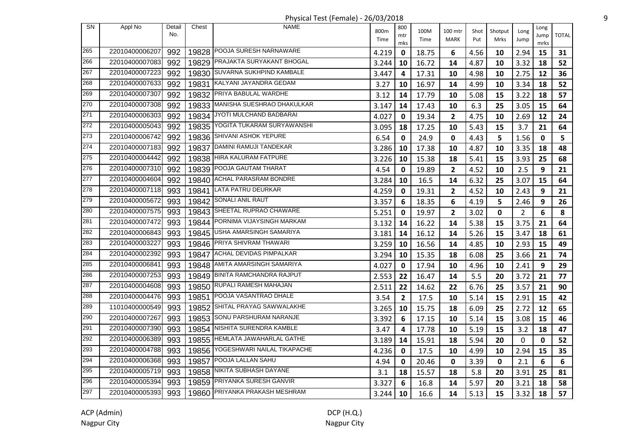Physical Test (Female) - 26/03/2018 9

| <b>SN</b> | Appl No        | Detail<br>No. | Chest | <b>NAME</b>                      | 800m<br>Time | 800<br>mtr     | 100M<br>Time | 100 mtr<br>MARK | Shot<br>Put | Shotput<br>Mrks | Long<br>Jump   | Long<br>Jump | <b>TOTAL</b> |
|-----------|----------------|---------------|-------|----------------------------------|--------------|----------------|--------------|-----------------|-------------|-----------------|----------------|--------------|--------------|
| 265       |                |               |       | POOJA SURESH NARNAWARE           |              | mks            |              |                 |             |                 |                | mrks         |              |
|           | 22010400006207 | 992           | 19828 |                                  | 4.219        | 0              | 18.75        | 6               | 4.56        | 10              | 2.94           | 15           | 31           |
| 266       | 22010400007083 | 992           |       | 19829 PRAJAKTA SURYAKANT BHOGAL  | 3.244        | 10             | 16.72        | 14              | 4.87        | 10              | 3.32           | 18           | 52           |
| 267       | 22010400007223 | 992           | 19830 | SUVARNA SUKHPIND KAMBALE         | 3.447        | 4              | 17.31        | 10              | 4.98        | 10              | 2.75           | 12           | 36           |
| 268       | 22010400007633 | 992           | 19831 | KALYANI JAYANDRA GEDAM           | 3.27         | 10             | 16.97        | 14              | 4.99        | 10              | 3.34           | 18           | 52           |
| 269       | 22010400007307 | 992           | 19832 | PRIYA BABULAL WARDHE             | 3.12         | 14             | 17.79        | 10              | 5.08        | 15              | 3.22           | 18           | 57           |
| 270       | 22010400007308 | 992           | 19833 | MANISHA SUESHRAO DHAKULKAR       | 3.147        | 14             | 17.43        | 10              | 6.3         | 25              | 3.05           | 15           | 64           |
| 271       | 22010400006303 | 992           |       | 19834 JYOTI MULCHAND BADBARAI    | 4.027        | $\mathbf{0}$   | 19.34        | $\mathbf{2}$    | 4.75        | 10              | 2.69           | 12           | 24           |
| 272       | 22010400005043 | 992           | 19835 | YOGITA TUKARAM SURYAWANSHI       | 3.095        | 18             | 17.25        | 10              | 5.43        | 15              | 3.7            | 21           | 64           |
| 273       | 22010400006742 | 992           | 19836 | SHIVANI ASHOK YEPURE             | 6.54         | $\mathbf 0$    | 24.9         | 0               | 4.43        | 5               | 1.56           | 0            | 5            |
| 274       | 22010400007183 | 992           |       | 19837 DAMINI RAMUJI TANDEKAR     | 3.286        | 10             | 17.38        | 10              | 4.87        | 10              | 3.35           | 18           | 48           |
| 275       | 22010400004442 | 992           |       | 19838 HIRA KALURAM FATPURE       | 3.226        | 10             | 15.38        | 18              | 5.41        | 15              | 3.93           | 25           | 68           |
| 276       | 22010400007310 | 992           | 19839 | POOJA GAUTAM THARAT              | 4.54         | 0              | 19.89        | $\mathbf{2}$    | 4.52        | 10              | 2.5            | 9            | 21           |
| 277       | 22010400004604 | 992           | 19840 | ACHAL PARASRAM BONDRE            | 3.284        | 10             | 16.5         | 14              | 6.32        | 25              | 3.07           | 15           | 64           |
| 278       | 22010400007118 | 993           | 19841 | LATA PATRU DEURKAR               | 4.259        | 0              | 19.31        | $\mathbf{2}$    | 4.52        | 10              | 2.43           | 9            | 21           |
| 279       | 22010400005672 | 993           | 19842 | SONALI ANIL RAUT                 | 3.357        | 6              | 18.35        | 6               | 4.19        | 5               | 2.46           | 9            | 26           |
| 280       | 22010400007575 | 993           | 19843 | SHEETAL RUPRAO CHAWARE           | 5.251        | 0              | 19.97        | $\mathbf{2}$    | 3.02        | 0               | $\overline{2}$ | 6            | 8            |
| 281       | 22010400007472 | 993           | 19844 | PORNIMA VIJAYSINGH MARKAM        | 3.132        | 14             | 16.22        | 14              | 5.38        | 15              | 3.75           | 21           | 64           |
| 282       | 22010400006843 | 993           | 19845 | USHA AMARSINGH SAMARIYA          | 3.181        | 14             | 16.12        | 14              | 5.26        | 15              | 3.47           | 18           | 61           |
| 283       | 22010400003227 | 993           | 19846 | PRIYA SHIVRAM THAWARI            | 3.259        | 10             | 16.56        | 14              | 4.85        | 10              | 2.93           | 15           | 49           |
| 284       | 22010400002392 | 993           | 19847 | ACHAL DEVIDAS PIMPALKAR          | 3.294        | 10             | 15.35        | 18              | 6.08        | 25              | 3.66           | 21           | 74           |
| 285       | 22010400006841 | 993           | 19848 | AMITA AMARSINGH SAMARIYA         | 4.027        | 0              | 17.94        | 10              | 4.96        | 10              | 2.41           | 9            | 29           |
| 286       | 22010400007253 | 993           | 19849 | <b>BINITA RAMCHANDRA RAJPUT</b>  | 2.553        | 22             | 16.47        | 14              | 5.5         | 20              | 3.72           | 21           | 77           |
| 287       | 22010400004608 | 993           | 19850 | RUPALI RAMESH MAHAJAN            | 2.511        | 22             | 14.62        | 22              | 6.76        | 25              | 3.57           | 21           | 90           |
| 288       | 22010400004476 | 993           | 19851 | POOJA VASANTRAO DHALE            | 3.54         | $\overline{2}$ | 17.5         | 10              | 5.14        | 15              | 2.91           | 15           | 42           |
| 289       | 11010400000549 | 993           | 19852 | SHITAL PRAYAG SAWWALAKHE         | 3.265        | 10             | 15.75        | 18              | 6.09        | 25              | 2.72           | 12           | 65           |
| 290       | 22010400007267 | 993           | 19853 | SONU PARSHURAM NARANJE           | 3.392        | 6              | 17.15        | 10              | 5.14        | 15              | 3.08           | 15           | 46           |
| 291       | 22010400007390 | 993           | 19854 | NISHITA SURENDRA KAMBLE          | 3.47         | 4              | 17.78        | 10              | 5.19        | 15              | 3.2            | 18           | 47           |
| 292       | 22010400006389 | 993           |       | 19855   HEMLATA JAWAHARLAL GATHE | 3.189        | 14             | 15.91        | 18              | 5.94        | 20              | 0              | 0            | 52           |
| 293       | 22010400004788 | 993           | 19856 | YOGESHWARI NAILAL TIKAPACHE      | 4.236        | 0              | 17.5         | 10              | 4.99        | 10              | 2.94           | 15           | 35           |
| 294       | 22010400006368 | 993           | 19857 | POOJA LALLAN SAHU                | 4.94         | 0              | 20.46        | 0               | 3.39        | 0               | 2.1            | 6            | 6            |
| 295       | 22010400005719 | 993           | 19858 | NIKITA SUBHASH DAYANE            | 3.1          | 18             | 15.57        | 18              | 5.8         | 20              | 3.91           | 25           | 81           |
| 296       | 22010400005394 | 993           | 19859 | PRIYANKA SURESH GANVIR           | 3.327        | 6              | 16.8         | 14              | 5.97        | 20              | 3.21           | 18           | 58           |
| 297       | 22010400005393 | 993           | 19860 | PRIYANKA PRAKASH MESHRAM         | 3.244        | 10             | 16.6         | 14              | 5.13        | 15              | 3.32           | 18           | 57           |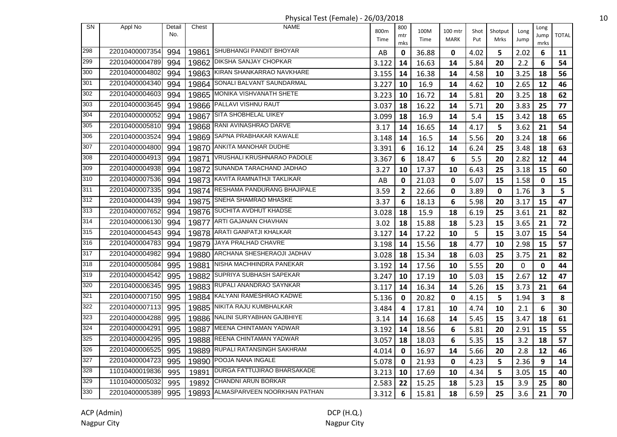| <b>SN</b> | Appl No        | Detail<br>No. | Chest | <b>NAME</b>                      | 800m  | 800<br>mtr   | 100M  | 100 mtr     | Shot | Shotput     | Long         | Long<br>Jump | <b>TOTAL</b> |
|-----------|----------------|---------------|-------|----------------------------------|-------|--------------|-------|-------------|------|-------------|--------------|--------------|--------------|
|           |                |               |       |                                  | Time  | mks          | Time  | <b>MARK</b> | Put  | Mrks        | Jump         | mrks         |              |
| 298       | 22010400007354 | 994           | 19861 | SHUBHANGI PANDIT BHOYAR          | AB    | 0            | 36.88 | 0           | 4.02 | 5           | 2.02         | 6            | 11           |
| 299       | 22010400004789 | 994           |       | 19862 DIKSHA SANJAY CHOPKAR      | 3.122 | 14           | 16.63 | 14          | 5.84 | 20          | 2.2          | 6            | 54           |
| 300       | 22010400004802 | 994           |       | 19863 KIRAN SHANKARRAO NAVKHARE  | 3.155 | 14           | 16.38 | 14          | 4.58 | 10          | 3.25         | 18           | 56           |
| 301       | 22010400004340 | 994           | 19864 | SONALI BALVANT SAUNDARMAL        | 3.227 | 10           | 16.9  | 14          | 4.62 | 10          | 2.65         | 12           | 46           |
| 302       | 22010400004603 | 994           | 19865 | <b>MONIKA VISHVANATH SHETE</b>   | 3.223 | 10           | 16.72 | 14          | 5.81 | 20          | 3.25         | 18           | 62           |
| 303       | 22010400003645 | 994           | 19866 | PALLAVI VISHNU RAUT              | 3.037 | 18           | 16.22 | 14          | 5.71 | 20          | 3.83         | 25           | 77           |
| 304       | 22010400000052 | 994           | 19867 | SITA SHOBHELAL UIKEY             | 3.099 | 18           | 16.9  | 14          | 5.4  | 15          | 3.42         | 18           | 65           |
| 305       | 22010400005810 | 994           |       | 19868 RANI AVINASHRAO DARVE      | 3.17  | 14           | 16.65 | 14          | 4.17 | 5           | 3.62         | 21           | 54           |
| 306       | 22010400003524 | 994           | 19869 | SAPNA PRABHAKAR KAWALE           | 3.148 | 14           | 16.5  | 14          | 5.56 | 20          | 3.24         | 18           | 66           |
| 307       | 22010400004800 | 994           |       | 19870 ANKITA MANOHAR DUDHE       | 3.391 | 6            | 16.12 | 14          | 6.24 | 25          | 3.48         | 18           | 63           |
| 308       | 22010400004913 | 994           |       | 19871 VRUSHALI KRUSHNARAO PADOLE | 3.367 | 6            | 18.47 | 6           | 5.5  | 20          | 2.82         | 12           | 44           |
| 309       | 22010400004938 | 994           | 19872 | SUNANDA TARACHAND JADHAO         | 3.27  | 10           | 17.37 | 10          | 6.43 | 25          | 3.18         | 15           | 60           |
| 310       | 22010400007536 | 994           |       | 19873 KAVITA RAMNATHJI TAKLIKAR  | AB    | 0            | 21.03 | 0           | 5.07 | 15          | 1.58         | 0            | 15           |
| 311       | 22010400007335 | 994           | 19874 | RESHAMA PANDURANG BHAJIPALE      | 3.59  | $\mathbf{2}$ | 22.66 | $\mathbf 0$ | 3.89 | $\mathbf 0$ | 1.76         | 3            | 5            |
| 312       | 22010400004439 | 994           | 19875 | SNEHA SHAMRAO MHASKE             | 3.37  | 6            | 18.13 | 6           | 5.98 | 20          | 3.17         | 15           | 47           |
| 313       | 22010400007652 | 994           |       | 19876 SUCHITA AVDHUT KHADSE      | 3.028 | 18           | 15.9  | 18          | 6.19 | 25          | 3.61         | 21           | 82           |
| 314       | 22010400006130 | 994           |       | 19877 ARTI GAJANAN CHAVHAN       | 3.02  | 18           | 15.88 | 18          | 5.23 | 15          | 3.65         | 21           | 72           |
| 315       | 22010400004543 | 994           |       | 19878 ARATI GANPATJI KHALKAR     | 3.127 | 14           | 17.22 | 10          | 5    | 15          | 3.07         | 15           | 54           |
| 316       | 22010400004783 | 994           |       | 19879 JAYA PRALHAD CHAVRE        | 3.198 | 14           | 15.56 | 18          | 4.77 | 10          | 2.98         | 15           | 57           |
| 317       | 22010400004982 | 994           | 19880 | ARCHANA SHESHERAOJI JADHAV       | 3.028 | 18           | 15.34 | 18          | 6.03 | 25          | 3.75         | 21           | 82           |
| 318       | 22010400005084 | 995           | 19881 | NISHA MACHHINDRA PANEKAR         | 3.192 | 14           | 17.56 | 10          | 5.55 | 20          | $\mathbf{0}$ | 0            | 44           |
| 319       | 22010400004542 | 995           | 19882 | SUPRIYA SUBHASH SAPEKAR          | 3.247 | 10           | 17.19 | 10          | 5.03 | 15          | 2.67         | 12           | 47           |
| 320       | 22010400006345 | 995           | 19883 | RUPALI ANANDRAO SAYNKAR          | 3.117 | 14           | 16.34 | 14          | 5.26 | 15          | 3.73         | 21           | 64           |
| 321       | 22010400007150 | 995           |       | 19884 KALYANI RAMESHRAO KADWE    | 5.136 | 0            | 20.82 | 0           | 4.15 | 5           | 1.94         | 3            | 8            |
| 322       | 22010400007113 | 995           |       | 19885 NIKITA RAJU KUMBHALKAR     | 3.484 | 4            | 17.81 | 10          | 4.74 | 10          | 2.1          | 6            | 30           |
| 323       | 22010400004288 | 995           |       | 19886 NALINI SURYABHAN GAJBHIYE  | 3.14  | 14           | 16.68 | 14          | 5.45 | 15          | 3.47         | 18           | 61           |
| 324       | 22010400004291 | 995           |       | 19887 MEENA CHINTAMAN YADWAR     | 3.192 | 14           | 18.56 | 6           | 5.81 | 20          | 2.91         | 15           | 55           |
| 325       | 22010400004295 | 995           |       | 19888 REENA CHINTAMAN YADWAR     | 3.057 | 18           | 18.03 | 6           | 5.35 | 15          | 3.2          | 18           | 57           |
| 326       | 22010400006525 | 995           | 19889 | RUPALI RATANSINGH SAKHRAM        | 4.014 | 0            | 16.97 | 14          | 5.66 | 20          | 2.8          | 12           | 46           |
| 327       | 22010400004723 | 995           | 19890 | POOJA NANA INGALE                | 5.078 | 0            | 21.93 | 0           | 4.23 | 5           | 2.36         | 9            | 14           |
| 328       | 11010400019836 | 995           | 19891 | DURGA FATTUJIRAO BHARSAKADE      | 3.213 | 10           | 17.69 | 10          | 4.34 | 5           | 3.05         | 15           | 40           |
| 329       | 11010400005032 | 995           | 19892 | <b>CHANDNI ARUN BORKAR</b>       | 2.583 | 22           | 15.25 | 18          | 5.23 | 15          | 3.9          | 25           | 80           |
| 330       | 22010400005389 | 995           | 19893 | ALMASPARVEEN NOORKHAN PATHAN     | 3.312 | 6            | 15.81 | 18          | 6.59 | 25          | 3.6          | 21           | 70           |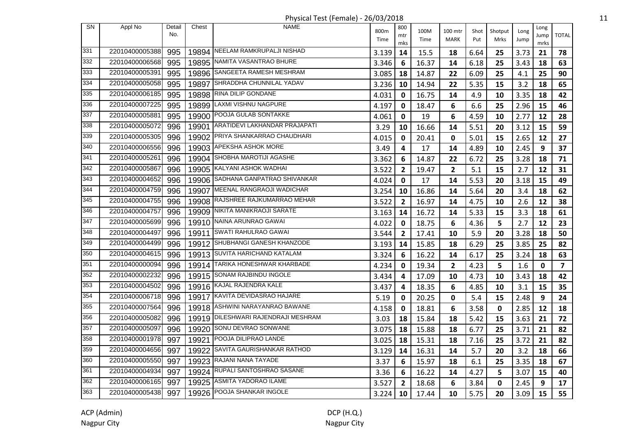Physical Test (Female) - 26/03/2018 11

| <b>SN</b> | Appl No        | Detail<br>No. | Chest | <b>NAME</b>                         | 800m  | 800<br>mtr              | 100M  | 100 mtr        | Shot | Shotput | Long | Long<br>Jump | <b>TOTAL</b> |
|-----------|----------------|---------------|-------|-------------------------------------|-------|-------------------------|-------|----------------|------|---------|------|--------------|--------------|
|           |                |               |       |                                     | Time  | mks                     | Time  | <b>MARK</b>    | Put  | Mrks    | Jump | mrks         |              |
| 331       | 22010400005388 | 995           |       | 19894 NEELAM RAMKRUPALJI NISHAD     | 3.139 | 14                      | 15.5  | 18             | 6.64 | 25      | 3.73 | 21           | 78           |
| 332       | 22010400006568 | 995           |       | 19895 NAMITA VASANTRAO BHURE        | 3.346 | 6                       | 16.37 | 14             | 6.18 | 25      | 3.43 | 18           | 63           |
| 333       | 22010400005391 | 995           |       | 19896 SANGEETA RAMESH MESHRAM       | 3.085 | 18                      | 14.87 | 22             | 6.09 | 25      | 4.1  | 25           | 90           |
| 334       | 22010400005058 | 995           | 19897 | SHRADDHA CHUNNILAL YADAV            | 3.236 | 10                      | 14.94 | 22             | 5.35 | 15      | 3.2  | 18           | 65           |
| 335       | 22010400006185 | 995           |       | 19898 RINA DILIP GONDANE            | 4.031 | 0                       | 16.75 | 14             | 4.9  | 10      | 3.35 | 18           | 42           |
| 336       | 22010400007225 | 995           | 19899 | LAXMI VISHNU NAGPURE                | 4.197 | 0                       | 18.47 | 6              | 6.6  | 25      | 2.96 | 15           | 46           |
| 337       | 22010400005881 | 995           |       | 19900 POOJA GULAB SONTAKKE          | 4.061 | 0                       | 19    | 6              | 4.59 | 10      | 2.77 | 12           | 28           |
| 338       | 22010400005072 | 996           | 19901 | ARATIDEVI LAKHANDAR PRAJAPATI       | 3.29  | 10                      | 16.66 | 14             | 5.51 | 20      | 3.12 | 15           | 59           |
| 339       | 22010400005305 | 996           |       | 19902 PRIYA SHANKARRAO CHAUDHARI    | 4.015 | 0                       | 20.41 | $\mathbf{0}$   | 5.01 | 15      | 2.65 | 12           | 27           |
| 340       | 22010400006556 | 996           |       | 19903 APEKSHA ASHOK MORE            | 3.49  | 4                       | 17    | 14             | 4.89 | 10      | 2.45 | 9            | 37           |
| 341       | 22010400005261 | 996           |       | 19904 SHOBHA MAROTIJI AGASHE        | 3.362 | 6                       | 14.87 | 22             | 6.72 | 25      | 3.28 | 18           | 71           |
| 342       | 22010400005867 | 996           |       | 19905 KALYANI ASHOK WADHAI          | 3.522 | $\mathbf{2}$            | 19.47 | $\overline{2}$ | 5.1  | 15      | 2.7  | 12           | 31           |
| 343       | 22010400004652 | 996           | 19906 | SADHANA GANPATRAO SHIVANKAR         | 4.024 | 0                       | 17    | 14             | 5.53 | 20      | 3.18 | 15           | 49           |
| 344       | 22010400004759 | 996           | 19907 | MEENAL RANGRAOJI WADICHAR           | 3.254 | 10                      | 16.86 | 14             | 5.64 | 20      | 3.4  | 18           | 62           |
| 345       | 22010400004755 | 996           | 19908 | RAJSHREE RAJKUMARRAO MEHAR          | 3.522 | $\mathbf{2}$            | 16.97 | 14             | 4.75 | 10      | 2.6  | 12           | 38           |
| 346       | 22010400004757 | 996           |       | 19909 NIKITA MANIKRAOJI SARATE      | 3.163 | 14                      | 16.72 | 14             | 5.33 | 15      | 3.3  | 18           | 61           |
| 347       | 22010400005699 | 996           |       | 19910 NAINA ARUNRAO GAWAI           | 4.022 | 0                       | 18.75 | 6              | 4.36 | 5       | 2.7  | 12           | 23           |
| 348       | 22010400004497 | 996           |       | 19911 SWATI RAHULRAO GAWAI          | 3.544 | $\overline{\mathbf{2}}$ | 17.41 | 10             | 5.9  | 20      | 3.28 | 18           | 50           |
| 349       | 22010400004499 | 996           |       | 19912 SHUBHANGI GANESH KHANZODE     | 3.193 | 14                      | 15.85 | 18             | 6.29 | 25      | 3.85 | 25           | 82           |
| 350       | 22010400004615 | 996           |       | 19913 SUVITA HARICHAND KATALAM      | 3.324 | 6                       | 16.22 | 14             | 6.17 | 25      | 3.24 | 18           | 63           |
| 351       | 22010400000094 | 996           | 19914 | TARIKA HONESHWAR KHARBADE           | 4.234 | 0                       | 19.34 | $\mathbf{2}$   | 4.23 | 5       | 1.6  | 0            | 7            |
| 352       | 22010400002232 | 996           | 19915 | SONAM RAJBINDU INGOLE               | 3.434 | 4                       | 17.09 | 10             | 4.73 | 10      | 3.43 | 18           | 42           |
| 353       | 22010400004502 | 996           |       | 19916 KAJAL RAJENDRA KALE           | 3.437 | 4                       | 18.35 | 6              | 4.85 | 10      | 3.1  | 15           | 35           |
| 354       | 22010400006718 | 996           |       | 19917 KAVITA DEVIDASRAO HAJARE      | 5.19  | 0                       | 20.25 | $\mathbf 0$    | 5.4  | 15      | 2.48 | 9            | 24           |
| 355       | 22010400007564 | 996           |       | 19918 ASHWINI NARAYANRAO BAWANE     | 4.158 | 0                       | 18.81 | 6              | 3.58 | 0       | 2.85 | 12           | 18           |
| 356       | 22010400005082 | 996           |       | 19919 DILESHWARI RAJENDRAJI MESHRAM | 3.03  | 18                      | 15.84 | 18             | 5.42 | 15      | 3.63 | 21           | 72           |
| 357       | 22010400005097 | 996           |       | 19920 SONU DEVRAO SONWANE           | 3.075 | 18                      | 15.88 | 18             | 6.77 | 25      | 3.71 | 21           | 82           |
| 358       | 22010400001978 | 997           |       | 19921 POOJA DILIPRAO LANDE          | 3.025 | 18                      | 15.31 | 18             | 7.16 | 25      | 3.72 | 21           | 82           |
| 359       | 22010400004656 | 997           | 19922 | SAVITA GAURISHANKAR RATHOD          | 3.129 | 14                      | 16.31 | 14             | 5.7  | 20      | 3.2  | 18           | 66           |
| 360       | 22010400005550 | 997           | 19923 | RAJANI NANA TAYADE                  | 3.37  | 6                       | 15.97 | 18             | 6.1  | 25      | 3.35 | 18           | 67           |
| 361       | 22010400004934 | 997           | 19924 | RUPALI SANTOSHRAO SASANE            | 3.36  | 6                       | 16.22 | 14             | 4.27 | 5       | 3.07 | 15           | 40           |
| 362       | 22010400006165 | 997           |       | 19925 ASMITA YADORAO ILAME          | 3.527 | $\overline{2}$          | 18.68 | 6              | 3.84 | 0       | 2.45 | 9            | 17           |
| 363       | 22010400005438 | 997           | 19926 | <b>POOJA SHANKAR INGOLE</b>         | 3.224 | 10                      | 17.44 | 10             | 5.75 | 20      | 3.09 | 15           | 55           |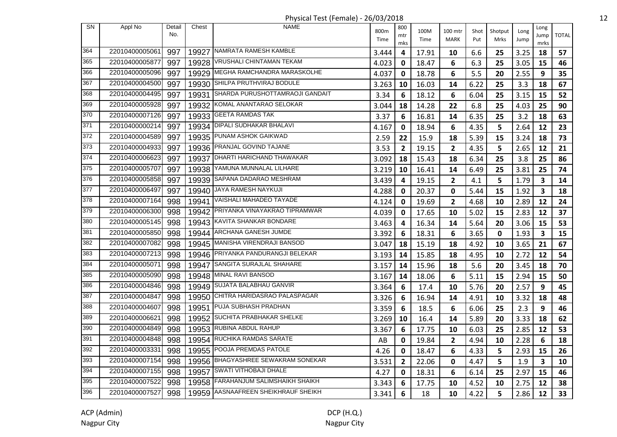Physical Test (Female) - 26/03/2018 12

| <b>SN</b> | Appl No        | Detail<br>No. | Chest | <b>NAME</b>                         | 800m<br>Time | 800<br>mtr<br>mks | 100M<br>Time | 100 mtr<br>MARK | Shot<br>Put | Shotput<br>Mrks | Long<br>Jump | Long<br>Jump<br>mrks | <b>TOTAL</b> |
|-----------|----------------|---------------|-------|-------------------------------------|--------------|-------------------|--------------|-----------------|-------------|-----------------|--------------|----------------------|--------------|
| 364       | 22010400005061 | 997           |       | 19927 NAMRATA RAMESH KAMBLE         | 3.444        | 4                 | 17.91        | 10              | 6.6         | 25              | 3.25         | 18                   | 57           |
| 365       | 22010400005877 | 997           |       | 19928 VRUSHALI CHINTAMAN TEKAM      | 4.023        | 0                 | 18.47        | 6               | 6.3         | 25              | 3.05         | 15                   | 46           |
| 366       | 22010400005096 | 997           |       | 19929 MEGHA RAMCHANDRA MARASKOLHE   | 4.037        | 0                 | 18.78        | 6               | 5.5         | 20              | 2.55         | 9                    | 35           |
| 367       | 22010400004500 | 997           |       | 19930 SHILPA PRUTHVIRAJ BODULE      | 3.263        | 10                | 16.03        | 14              | 6.22        | 25              | 3.3          | 18                   | 67           |
| 368       | 22010400004495 | 997           | 19931 | SHARDA PURUSHOTTAMRAOJI GANDAIT     | 3.34         | 6                 | 18.12        | 6               | 6.04        | 25              | 3.15         | 15                   | 52           |
| 369       | 22010400005928 | 997           | 19932 | KOMAL ANANTARAO SELOKAR             | 3.044        | 18                | 14.28        | 22              | 6.8         | 25              | 4.03         | 25                   | 90           |
| 370       | 22010400007126 | 997           |       | 19933 GEETA RAMDAS TAK              | 3.37         | 6                 | 16.81        | 14              | 6.35        | 25              | 3.2          | 18                   | 63           |
| 371       | 22010400000214 | 997           |       | 19934   DIPALI SUDHAKAR BHALAVI     | 4.167        | 0                 | 18.94        | 6               | 4.35        | 5               | 2.64         | 12                   | 23           |
| 372       | 22010400004589 | 997           |       | 19935 PUNAM ASHOK GAIKWAD           | 2.59         | 22                | 15.9         | 18              | 5.39        | 15              | 3.24         | 18                   | 73           |
| 373       | 22010400004933 | 997           |       | 19936 PRANJAL GOVIND TAJANE         | 3.53         | $\overline{2}$    | 19.15        | $\overline{2}$  | 4.35        | 5               | 2.65         | 12                   | 21           |
| 374       | 22010400006623 | 997           |       | 19937   DHARTI HARICHAND THAWAKAR   | 3.092        | 18                | 15.43        | 18              | 6.34        | 25              | 3.8          | 25                   | 86           |
| 375       | 22010400005707 | 997           | 19938 | YAMUNA MUNNALAL LILHARE             | 3.219        | 10                | 16.41        | 14              | 6.49        | 25              | 3.81         | 25                   | 74           |
| 376       | 22010400005858 | 997           |       | 19939 SAPANA DADARAO MESHRAM        | 3.439        | 4                 | 19.15        | $\overline{2}$  | 4.1         | 5               | 1.79         | 3                    | 14           |
| 377       | 22010400006497 | 997           | 19940 | JAYA RAMESH NAYKUJI                 | 4.288        | 0                 | 20.37        | 0               | 5.44        | 15              | 1.92         | $\mathbf{3}$         | 18           |
| 378       | 22010400007164 | 998           | 19941 | VAISHALI MAHADEO TAYADE             | 4.124        | 0                 | 19.69        | $\mathbf{2}$    | 4.68        | 10              | 2.89         | 12                   | 24           |
| 379       | 22010400006300 | 998           |       | 19942 PRIYANKA VINAYAKRAO TIPRAMWAR | 4.039        | 0                 | 17.65        | 10              | 5.02        | 15              | 2.83         | 12                   | 37           |
| 380       | 22010400005145 | 998           |       | 19943 KAVITA SHANKAR BONDARE        | 3.463        | 4                 | 16.34        | 14              | 5.64        | 20              | 3.06         | 15                   | 53           |
| 381       | 22010400005850 | 998           |       | 19944 ARCHANA GANESH JUMDE          | 3.392        | 6                 | 18.31        | 6               | 3.65        | 0               | 1.93         | 3                    | 15           |
| 382       | 22010400007082 | 998           |       | 19945 MANISHA VIRENDRAJI BANSOD     | 3.047        | 18                | 15.19        | 18              | 4.92        | 10              | 3.65         | 21                   | 67           |
| 383       | 22010400007213 | 998           |       | 19946 PRIYANKA PANDURANGJI BELEKAR  | 3.193        | 14                | 15.85        | 18              | 4.95        | 10              | 2.72         | 12                   | 54           |
| 384       | 22010400005071 | 998           | 19947 | <b>SANGITA SURAJLAL SHAHARE</b>     | 3.157        | 14                | 15.96        | 18              | 5.6         | 20              | 3.45         | 18                   | 70           |
| 385       | 22010400005090 | 998           | 19948 | MINAL RAVI BANSOD                   | 3.167        | 14                | 18.06        | 6               | 5.11        | 15              | 2.94         | 15                   | 50           |
| 386       | 22010400004846 | 998           | 19949 | SUJATA BALABHAU GANVIR              | 3.364        | 6                 | 17.4         | 10              | 5.76        | 20              | 2.57         | 9                    | 45           |
| 387       | 22010400004847 | 998           |       | 19950 CHITRA HARIDASRAO PALASPAGAR  | 3.326        | 6                 | 16.94        | 14              | 4.91        | 10              | 3.32         | 18                   | 48           |
| 388       | 22010400004607 | 998           |       | 19951 PUJA SUBHASH PRADHAN          | 3.359        | 6                 | 18.5         | 6               | 6.06        | 25              | 2.3          | 9                    | 46           |
| 389       | 22010400006621 | 998           |       | 19952 SUCHITA PRABHAKAR SHELKE      | 3.269        | 10                | 16.4         | 14              | 5.89        | 20              | 3.33         | 18                   | 62           |
| 390       | 22010400004849 | 998           |       | 19953 RUBINA ABDUL RAHUP            | 3.367        | 6                 | 17.75        | 10              | 6.03        | 25              | 2.85         | 12                   | 53           |
| 391       | 22010400004848 | 998           |       | 19954 RUCHIKA RAMDAS SARATE         | AB           | 0                 | 19.84        | $\mathbf{2}$    | 4.94        | 10              | 2.28         | 6                    | 18           |
| 392       | 22010400003331 | 998           | 19955 | POOJA PREMDAS PATOLE                | 4.26         | 0                 | 18.47        | 6               | 4.33        | 5               | 2.93         | 15                   | 26           |
| 393       | 22010400007154 | 998           | 19956 | BHAGYASHREE SEWAKRAM SONEKAR        | 3.531        | 2                 | 22.06        | 0               | 4.47        | 5               | 1.9          | 3                    | 10           |
| 394       | 22010400007155 | 998           | 19957 | SWATI VITHOBAJI DHALE               | 4.27         | 0                 | 18.31        | 6               | 6.14        | 25              | 2.97         | 15                   | 46           |
| 395       | 22010400007522 | 998           | 19958 | FARAHANJUM SALIMSHAIKH SHAIKH       | 3.343        | 6                 | 17.75        | 10              | 4.52        | 10              | 2.75         | 12                   | 38           |
| 396       | 22010400007527 | 998           |       | 19959 AASNAAFREEN SHEIKHRAUF SHEIKH | 3.341        | 6                 | 18           | 10              | 4.22        | 5               | 2.86         | 12                   | 33           |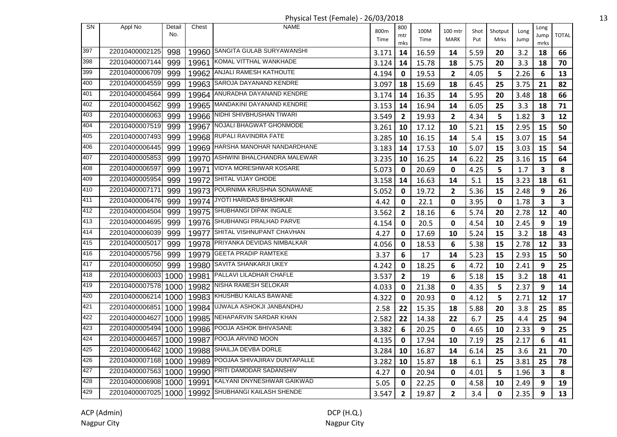Physical Test (Female) - 26/03/2018 13

|     |                |               |       | $\ldots$ , $\ldots$ , $\ldots$ , $\ldots$ , $\ldots$ , $\ldots$ , $\ldots$ , $\ldots$ , $\ldots$ |              |                   |              |                        |             |                 |              |                         |              |
|-----|----------------|---------------|-------|--------------------------------------------------------------------------------------------------|--------------|-------------------|--------------|------------------------|-------------|-----------------|--------------|-------------------------|--------------|
| SN  | Appl No        | Detail<br>No. | Chest | <b>NAME</b>                                                                                      | 800m<br>Time | 800<br>mtr<br>mks | 100M<br>Time | 100 mtr<br><b>MARK</b> | Shot<br>Put | Shotput<br>Mrks | Long<br>Jump | Long<br>Jump<br>mrks    | <b>TOTAL</b> |
| 397 | 22010400002125 | 998           |       | 19960 SANGITA GULAB SURYAWANSHI                                                                  | 3.171        | 14                | 16.59        | 14                     | 5.59        | 20              | 3.2          | 18                      | 66           |
| 398 | 22010400007144 | 999           | 19961 | KOMAL VITTHAL WANKHADE                                                                           | 3.124        | 14                | 15.78        | 18                     | 5.75        | 20              | 3.3          | 18                      | 70           |
| 399 | 22010400006709 | 999           |       | 19962   ANJALI RAMESH KATHOUTE                                                                   | 4.194        | 0                 | 19.53        | $\overline{2}$         | 4.05        | 5               | 2.26         | 6                       | 13           |
| 400 | 22010400004559 | 999           | 19963 | SAROJA DAYANAND KENDRE                                                                           | 3.097        | 18                | 15.69        | 18                     | 6.45        | 25              | 3.75         | 21                      | 82           |
| 401 | 22010400004564 | 999           |       | 19964 ANURADHA DAYANAND KENDRE                                                                   | 3.174        | 14                | 16.35        | 14                     | 5.95        | 20              | 3.48         | 18                      | 66           |
| 402 | 22010400004562 | 999           |       | 19965 MANDAKINI DAYANAND KENDRE                                                                  | 3.153        | 14                | 16.94        | 14                     | 6.05        | 25              | 3.3          | 18                      | 71           |
| 403 | 22010400006063 | 999           |       | 19966 NIDHI SHIVBHUSHAN TIWARI                                                                   | 3.549        | $\mathbf{2}$      | 19.93        | $\overline{2}$         | 4.34        | 5               | 1.82         | $\mathbf{3}$            | 12           |
| 404 | 22010400007519 | 999           |       | 19967 NOJALI BHAGWAT GHONMODE                                                                    | 3.261        | 10                | 17.12        | 10                     | 5.21        | 15              | 2.95         | 15                      | 50           |
| 405 | 22010400007493 | 999           |       | 19968 RUPALI RAVINDRA FATE                                                                       | 3.285        | 10                | 16.15        | 14                     | 5.4         | 15              | 3.07         | 15                      | 54           |
| 406 | 22010400006445 | 999           |       | 19969 HARSHA MANOHAR NANDARDHANE                                                                 | 3.183        | 14                | 17.53        | 10                     | 5.07        | 15              | 3.03         | 15                      | 54           |
| 407 | 22010400005853 | 999           | 19970 | ASHWINI BHALCHANDRA MALEWAR                                                                      | 3.235        | 10                | 16.25        | 14                     | 6.22        | 25              | 3.16         | 15                      | 64           |
| 408 | 22010400006597 | 999           | 19971 | <b>VIDYA MORESHWAR KOSARE</b>                                                                    | 5.073        | 0                 | 20.69        | 0                      | 4.25        | 5               | 1.7          | $\mathbf{3}$            | 8            |
| 409 | 22010400005954 | 999           | 19972 | SHITAL VIJAY GHODE                                                                               | 3.158        | 14                | 16.63        | 14                     | 5.1         | 15              | 3.23         | 18                      | 61           |
| 410 | 22010400007171 | 999           |       | 19973 POURNIMA KRUSHNA SONAWANE                                                                  | 5.052        | 0                 | 19.72        | $\mathbf{2}$           | 5.36        | 15              | 2.48         | 9                       | 26           |
| 411 | 22010400006476 | 999           | 19974 | JYOTI HARIDAS BHASHKAR                                                                           | 4.42         | 0                 | 22.1         | 0                      | 3.95        | $\mathbf 0$     | 1.78         | 3                       | 3            |
| 412 | 22010400004504 | 999           |       | 19975 SHUBHANGI DIPAK INGALE                                                                     | 3.562        | 2                 | 18.16        | 6                      | 5.74        | 20              | 2.78         | 12                      | 40           |
| 413 | 22010400004695 | 999           |       | 19976 SHUBHANGI PRALHAD PARVE                                                                    | 4.154        | 0                 | 20.5         | 0                      | 4.54        | 10              | 2.45         | 9                       | 19           |
| 414 | 22010400006039 | 999           | 19977 | SHITAL VISHNUPANT CHAVHAN                                                                        | 4.27         | 0                 | 17.69        | 10                     | 5.24        | 15              | 3.2          | 18                      | 43           |
| 415 | 22010400005017 | 999           |       | 19978 PRIYANKA DEVIDAS NIMBALKAR                                                                 | 4.056        | 0                 | 18.53        | 6                      | 5.38        | 15              | 2.78         | 12                      | 33           |
| 416 | 22010400005756 | 999           |       | 19979 GEETA PRADIP RAMTEKE                                                                       | 3.37         | 6                 | 17           | 14                     | 5.23        | 15              | 2.93         | 15                      | 50           |
| 417 | 22010400006050 | 999           | 19980 | <b>SAVITA SHANKARJI UKEY</b>                                                                     | 4.242        | 0                 | 18.25        | 6                      | 4.72        | 10              | 2.41         | 9                       | 25           |
| 418 | 22010400006003 | 1000          | 19981 | PALLAVI LILADHAR CHAFLE                                                                          | 3.537        | $\overline{2}$    | 19           | 6                      | 5.18        | 15              | 3.2          | 18                      | 41           |
| 419 | 22010400007578 | 1000          | 19982 | NISHA RAMESH SELOKAR                                                                             | 4.033        | 0                 | 21.38        | 0                      | 4.35        | 5               | 2.37         | 9                       | 14           |
| 420 | 22010400006214 | 1000          |       | 19983 KHUSHBU KAILAS BAWANE                                                                      | 4.322        | 0                 | 20.93        | 0                      | 4.12        | 5               | 2.71         | 12                      | 17           |
| 421 | 22010400006851 | 1000          | 19984 | UJWALA ASHOKJI JANBANDHU                                                                         | 2.58         | 22                | 15.35        | 18                     | 5.88        | 20              | 3.8          | 25                      | 85           |
| 422 | 22010400004627 | 1000          |       | 19985 NEHAPARVIN SARDAR KHAN                                                                     | 2.582        | 22                | 14.38        | 22                     | 6.7         | 25              | 4.4          | 25                      | 94           |
| 423 | 22010400005494 | 1000          | 19986 | POOJA ASHOK BHIVASANE                                                                            | 3.382        | 6                 | 20.25        | 0                      | 4.65        | 10              | 2.33         | 9                       | 25           |
| 424 | 22010400004657 | 1000          | 19987 | POOJA ARVIND MOON                                                                                | 4.135        | 0                 | 17.94        | 10                     | 7.19        | 25              | 2.17         | 6                       | 41           |
| 425 | 22010400006462 | 1000          | 19988 | SHAILJA DEVBA DORLE                                                                              | 3.284        | 10                | 16.87        | 14                     | 6.14        | 25              | 3.6          | 21                      | 70           |
| 426 | 22010400007168 | 1000          | 19989 | POOJAA SHIVAJIRAV DUNTAPALLE                                                                     | 3.282        | 10                | 15.87        | 18                     | 6.1         | 25              | 3.81         | 25                      | 78           |
| 427 | 22010400007563 | 1000          | 19990 | PRITI DAMODAR SADANSHIV                                                                          | 4.27         | 0                 | 20.94        | 0                      | 4.01        | 5               | 1.96         | $\overline{\mathbf{3}}$ | 8            |
| 428 | 22010400006908 | 1000          | 19991 | KALYANI DNYNESHWAR GAIKWAD                                                                       | 5.05         | 0                 | 22.25        | 0                      | 4.58        | 10              | 2.49         | 9                       | 19           |
| 429 | 22010400007025 | 1000          | 19992 | <b>SHUBHANGI KAILASH SHENDE</b>                                                                  | 3.547        | $\overline{2}$    | 19.87        | $\overline{2}$         | 3.4         | $\mathbf 0$     | 2.35         | 9                       | 13           |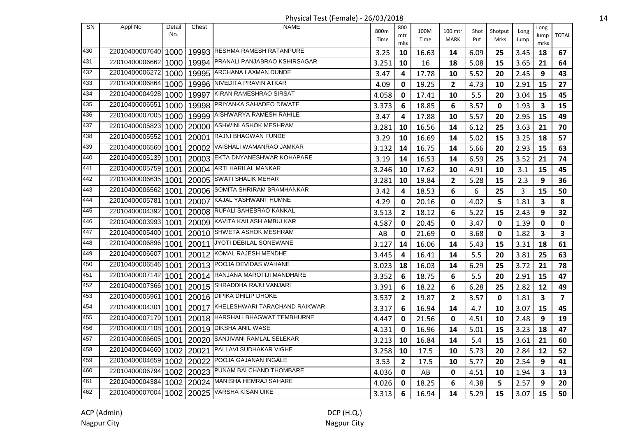Physical Test (Female) - 26/03/2018 14

| <b>SN</b> | Appl No        | Detail | Chest | <b>NAME</b>                         | 800m  | 800            | 100M  | 100 mtr        | Shot | Shotput     | Long | Long                    |                         |
|-----------|----------------|--------|-------|-------------------------------------|-------|----------------|-------|----------------|------|-------------|------|-------------------------|-------------------------|
|           |                | No.    |       |                                     | Time  | mtr            | Time  | <b>MARK</b>    | Put  | Mrks        | Jump | Jump                    | <b>TOTAL</b>            |
| 430       | 22010400007640 | 1000   |       | 19993 RESHMA RAMESH RATANPURE       | 3.25  | mks<br>10      | 16.63 | 14             | 6.09 | 25          | 3.45 | mrks<br>18              | 67                      |
| 431       | 22010400006662 | 1000   |       | 19994 PRANALI PANJABRAO KSHIRSAGAR  | 3.251 | 10             | 16    | 18             | 5.08 | 15          | 3.65 | 21                      | 64                      |
| 432       | 22010400006272 | 1000   |       | 19995 ARCHANA LAXMAN DUNDE          | 3.47  | 4              | 17.78 | 10             | 5.52 | 20          | 2.45 | 9                       | 43                      |
| 433       | 22010400006864 | 1000   | 19996 | NIVEDITA PRAVIN ATKAR               | 4.09  | 0              | 19.25 | $\overline{2}$ | 4.73 | 10          | 2.91 | 15                      | 27                      |
| 434       | 22010400004928 | 1000   | 19997 | KIRAN RAMESHRAO SIRSAT              | 4.058 | 0              | 17.41 | 10             | 5.5  | 20          | 3.04 | 15                      | 45                      |
| 435       | 22010400006551 | 1000   |       | 19998 PRIYANKA SAHADEO DIWATE       | 3.373 | 6              | 18.85 | 6              | 3.57 | 0           | 1.93 | $\overline{\mathbf{3}}$ | 15                      |
| 436       | 22010400007005 | 1000   |       | 19999 AISHWARYA RAMESH RAHILE       | 3.47  | 4              | 17.88 | 10             | 5.57 | 20          | 2.95 | 15                      | 49                      |
| 437       | 22010400005823 | 1000   |       | 20000 ASHWINI ASHOK MESHRAM         | 3.281 | 10             | 16.56 | 14             | 6.12 | 25          | 3.63 | 21                      | 70                      |
| 438       | 22010400005552 | 1001   |       | 20001 RAJNI BHAGWAN FUNDE           | 3.29  | 10             | 16.69 | 14             | 5.02 | 15          | 3.25 | 18                      | 57                      |
| 439       | 22010400006560 | 1001   | 20002 | VAISHALI WAMANRAO JAMKAR            | 3.132 | 14             | 16.75 | 14             | 5.66 | 20          | 2.93 | 15                      | 63                      |
| 440       | 22010400005139 | 1001   |       | 20003 EKTA DNYANESHWAR KOHAPARE     | 3.19  | 14             | 16.53 | 14             | 6.59 | 25          | 3.52 | 21                      | 74                      |
| 441       | 22010400005759 | 1001   | 20004 | ARTI HARILAL MANKAR                 | 3.246 | 10             | 17.62 | 10             | 4.91 | 10          | 3.1  | 15                      | 45                      |
| 442       | 22010400006635 | 1001   | 20005 | <b>SWATI SHALIK MEHAR</b>           | 3.281 | 10             | 19.84 | $\overline{2}$ | 5.28 | 15          | 2.3  | 9                       | 36                      |
| 443       | 22010400006562 | 1001   | 20006 | SOMITA SHRIRAM BRAMHANKAR           | 3.42  | 4              | 18.53 | 6              | 6    | 25          | 3    | 15                      | 50                      |
| 444       | 22010400005781 | 1001   |       | 20007 KAJAL YASHWANT HUMNE          | 4.29  | 0              | 20.16 | 0              | 4.02 | 5           | 1.81 | $\overline{\mathbf{3}}$ | 8                       |
| 445       | 22010400004392 | 1001   |       | 20008 RUPALI SAHEBRAO KANKAL        | 3.513 | $\mathbf{2}$   | 18.12 | 6              | 5.22 | 15          | 2.43 | 9                       | 32                      |
| 446       | 22010400003993 | 1001   |       | 20009 KAVITA KAILASH AMBULKAR       | 4.587 | 0              | 20.45 | 0              | 3.47 | $\mathbf 0$ | 1.39 | $\mathbf 0$             | $\mathbf 0$             |
| 447       | 22010400005400 | 1001   |       | 20010 SHWETA ASHOK MESHRAM          | AB    | 0              | 21.69 | 0              | 3.68 | 0           | 1.82 | 3                       | $\overline{\mathbf{3}}$ |
| 448       | 22010400006896 | 1001   |       | 20011 JYOTI DEBILAL SONEWANE        | 3.127 | 14             | 16.06 | 14             | 5.43 | 15          | 3.31 | 18                      | 61                      |
| 449       | 22010400006607 | 1001   |       | 20012 KOMAL RAJESH MENDHE           | 3.445 | 4              | 16.41 | 14             | 5.5  | 20          | 3.81 | 25                      | 63                      |
| 450       | 22010400006546 | 1001   |       | 20013 POOJA DEVIDAS WAHANE          | 3.023 | 18             | 16.03 | 14             | 6.29 | 25          | 3.72 | 21                      | 78                      |
| 451       | 22010400007142 | 1001   |       | 20014 RANJANA MAROTIJI MANDHARE     | 3.352 | 6              | 18.75 | 6              | 5.5  | 20          | 2.91 | 15                      | 47                      |
| 452       | 22010400007366 | 1001   |       | 20015 SHRADDHA RAJU VANJARI         | 3.391 | 6              | 18.22 | 6              | 6.28 | 25          | 2.82 | 12                      | 49                      |
| 453       | 22010400005961 | 1001   |       | 20016 DIPIKA DHILIP DHOKE           | 3.537 | $\overline{2}$ | 19.87 | $\mathbf{2}$   | 3.57 | 0           | 1.81 | $\overline{\mathbf{3}}$ | $\overline{\mathbf{z}}$ |
| 454       | 22010400004301 | 1001   |       | 20017 KHELESHWARI TARACHAND RAIKWAR | 3.317 | 6              | 16.94 | 14             | 4.7  | 10          | 3.07 | 15                      | 45                      |
| 455       | 22010400007179 | 1001   |       | 20018 HARSHALI BHAGWAT TEMBHURNE    | 4.447 | 0              | 21.56 | $\mathbf 0$    | 4.51 | 10          | 2.48 | 9                       | 19                      |
| 456       | 22010400007108 | 1001   |       | 20019 DIKSHA ANIL WASE              | 4.131 | 0              | 16.96 | 14             | 5.01 | 15          | 3.23 | 18                      | 47                      |
| 457       | 22010400006605 | 1001   |       | 20020 SANJIVANI RAMLAL SELEKAR      | 3.213 | 10             | 16.84 | 14             | 5.4  | 15          | 3.61 | 21                      | 60                      |
| 458       | 22010400004660 | 1002   | 20021 | PALLAVI SUDHAKAR VIGHE              | 3.258 | 10             | 17.5  | 10             | 5.73 | 20          | 2.84 | 12                      | 52                      |
| 459       | 22010400004659 | 1002   | 20022 | POOJA GAJANAN INGALE                | 3.53  | $\overline{2}$ | 17.5  | 10             | 5.77 | 20          | 2.54 | 9                       | 41                      |
| 460       | 22010400006794 | 1002   | 20023 | PUNAM BALCHAND THOMBARE             | 4.036 | 0              | AB    | 0              | 4.51 | 10          | 1.94 | $\mathbf{3}$            | 13                      |
| 461       | 22010400004384 | 1002   |       | 20024 MANISHA HEMRAJ SAHARE         | 4.026 | 0              | 18.25 | 6              | 4.38 | 5           | 2.57 | 9                       | 20                      |
| 462       | 22010400007004 |        |       | 1002   20025 VARSHA KISAN UIKE      | 3.313 | 6              | 16.94 | 14             | 5.29 | 15          | 3.07 | 15                      | 50                      |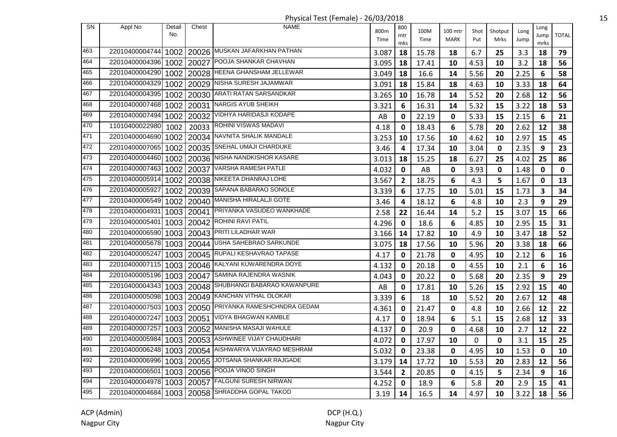| <b>SN</b> | Appl No        | Detail            | Chest      | <b>NAME</b>                              | 800m  | 800          | 100M  | 100 mtr      | Shot | Shotput | Long | Long         |              |
|-----------|----------------|-------------------|------------|------------------------------------------|-------|--------------|-------|--------------|------|---------|------|--------------|--------------|
|           |                | No.               |            |                                          | Time  | mtr          | Time  | <b>MARK</b>  | Put  | Mrks    | Jump | Jump         | <b>TOTAL</b> |
| 463       | 22010400004744 |                   |            | 1002   20026 MUSKAN JAFARKHAN PATHAN     |       | mks<br>18    |       |              |      |         |      | mrks         |              |
| 464       | 22010400004396 | 1002              |            | 20027 POOJA SHANKAR CHAVHAN              | 3.087 |              | 15.78 | 18           | 6.7  | 25      | 3.3  | 18           | 79           |
| 465       | 22010400004290 |                   |            | 20028   HEENA GHANSHAM JELLEWAR          | 3.095 | 18           | 17.41 | 10           | 4.53 | 10      | 3.2  | 18           | 56           |
| 466       |                | 1002 <sub>1</sub> |            | 20029   NISHA SURESH JAJAMWAR            | 3.049 | 18           | 16.6  | 14           | 5.56 | 20      | 2.25 | 6            | 58           |
|           | 22010400004329 | 1002              |            |                                          | 3.091 | 18           | 15.84 | 18           | 4.63 | 10      | 3.33 | 18           | 64           |
| 467       | 22010400004395 |                   | 1002 20030 | ARATI RATAN SARSANDKAR                   | 3.265 | 10           | 16.78 | 14           | 5.52 | 20      | 2.68 | 12           | 56           |
| 468       | 22010400007468 | 1002              | 20031      | NARGIS AYUB SHEIKH                       | 3.321 | 6            | 16.31 | 14           | 5.32 | 15      | 3.22 | 18           | 53           |
| 469       | 22010400007494 | 1002              | 20032      | VIDHYA HARIDASJI KODAPE                  | AB    | 0            | 22.19 | $\mathbf{0}$ | 5.33 | 15      | 2.15 | 6            | 21           |
| 470       | 11010400022980 | 1002              |            | 20033 ROHINI VISWAS MADAVI               | 4.18  | $\mathbf{0}$ | 18.43 | 6            | 5.78 | 20      | 2.62 | 12           | 38           |
| 471       | 22010400004690 |                   |            | 1002   20034   NAVNITA SHALIK MANDALE    | 3.253 | 10           | 17.56 | 10           | 4.62 | 10      | 2.97 | 15           | 45           |
| 472       | 22010400007065 | 1002              |            | 20035 SNEHAL UMAJI CHARDUKE              | 3.46  | 4            | 17.34 | 10           | 3.04 | 0       | 2.35 | 9            | 23           |
| 473       | 22010400004460 | 1002              |            | 20036 NISHA NANDKISHOR KASARE            | 3.013 | 18           | 15.25 | 18           | 6.27 | 25      | 4.02 | 25           | 86           |
| 474       | 22010400007463 | 1002              | 20037      | VARSHA RAMESH PATLE                      | 4.032 | $\mathbf 0$  | AB    | 0            | 3.93 | 0       | 1.48 | 0            | 0            |
| 475       | 22010400005914 | 1002              | 20038      | NIKEETA DHANRAJ LOHE                     | 3.567 | $\mathbf{2}$ | 18.75 | 6            | 4.3  | 5       | 1.67 | 0            | 13           |
| 476       | 22010400005927 |                   | 1002 20039 | SAPANA BABARAO SONOLE                    | 3.339 | 6            | 17.75 | 10           | 5.01 | 15      | 1.73 | $\mathbf{3}$ | 34           |
| 477       | 22010400006549 | 1002              | 20040      | <b>MANISHA HIRALALJI GOTE</b>            | 3.46  | 4            | 18.12 | 6            | 4.8  | 10      | 2.3  | 9            | 29           |
| 478       | 22010400004931 |                   |            | 1003   20041   PRIYANKA VASUDEO WANKHADE | 2.58  | 22           | 16.44 | 14           | 5.2  | 15      | 3.07 | 15           | 66           |
| 479       | 22010400005401 |                   |            | 1003   20042   ROHINI RAVI PATIL         | 4.296 | 0            | 18.6  | 6            | 4.85 | 10      | 2.95 | 15           | 31           |
| 480       | 22010400006590 |                   |            | 1003   20043   PRITI LILADHAR WAR        | 3.166 | 14           | 17.82 | 10           | 4.9  | 10      | 3.47 | 18           | 52           |
| 481       | 22010400005678 | 10031             |            | 20044 USHA SAHEBRAO SARKUNDE             | 3.075 | 18           | 17.56 | 10           | 5.96 | 20      | 3.38 | 18           | 66           |
| 482       | 22010400005247 | 1003              |            | 20045 RUPALI KESHAVRAO TAPASE            | 4.17  | 0            | 21.78 | 0            | 4.95 | 10      | 2.12 | 6            | 16           |
| 483       | 22010400007115 | 10031             |            | 20046 KALYANI KUWARENDRA DOYE            | 4.132 | 0            | 20.18 | $\mathbf 0$  | 4.55 | 10      | 2.1  | 6            | 16           |
| 484       | 22010400005196 |                   | 1003 20047 | SAMINA RAJENDRA WASNIK                   | 4.043 | 0            | 20.22 | $\mathbf 0$  | 5.68 | 20      | 2.35 | 9            | 29           |
| 485       | 22010400004343 |                   | 1003 20048 | SHUBHANGI BABARAO KAWANPURE              | AB    | 0            | 17.81 | 10           | 5.26 | 15      | 2.92 | 15           | 40           |
| 486       | 22010400005098 |                   |            | 1003   20049 KANCHAN VITHAL OLOKAR       | 3.339 | 6            | 18    | 10           | 5.52 | 20      | 2.67 | 12           | 48           |
| 487       | 22010400007503 |                   |            | 1003   20050 PRIYANKA RAMESHCHNDRA GEDAM | 4.361 | 0            | 21.47 | 0            | 4.8  | 10      | 2.66 | 12           | 22           |
| 488       | 22010400007247 |                   | 1003 20051 | VIDYA BHAGWAN KAMBLE                     | 4.17  | 0            | 18.94 | 6            | 5.1  | 15      | 2.68 | 12           | 33           |
| 489       | 22010400007257 |                   |            | 1003   20052 MANISHA MASAJI WAHULE       | 4.137 | 0            | 20.9  | $\mathbf{0}$ | 4.68 | 10      | 2.7  | 12           | 22           |
| 490       | 22010400005984 |                   |            | 1003   20053   ASHWINEE VIJAY CHAUDHARI  | 4.072 | 0            | 17.97 | 10           | 0    | 0       | 3.1  | 15           | 25           |
| 491       | 22010400006248 | 10031             | 20054      | AISHWARYA VIJAYRAO MESHRAM               | 5.032 | 0            | 23.38 | 0            | 4.95 | 10      | 1.53 | 0            | 10           |
| 492       | 22010400006996 | 1003              | 20055      | JOTSANA SHANKAR RAJGADE                  | 3.179 | 14           | 17.72 | 10           | 5.53 | 20      | 2.83 | 12           | 56           |
| 493       | 22010400006501 |                   | 1003 20056 | POOJA VINOD SINGH                        | 3.544 | $\mathbf{2}$ | 20.85 | 0            | 4.15 | 5       | 2.34 | 9            | 16           |
| 494       | 22010400004978 |                   | 1003 20057 | <b>FALGUNI SURESH NIRWAN</b>             | 4.252 | 0            | 18.9  | 6            | 5.8  | 20      | 2.9  | 15           | 41           |
| 495       | 22010400004684 |                   | 1003 20058 | SHRADDHA GOPAL TAKOD                     | 3.19  | 14           | 16.5  | 14           | 4.97 | 10      | 3.22 | 18           | 56           |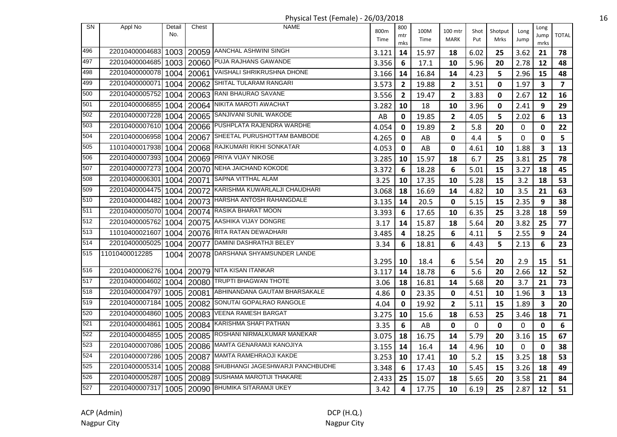| Shotput<br>Shot<br>Long<br>No.<br>mtr<br>Jump<br>Time<br>MARK<br>Time<br>Put<br>Mrks<br>Jump<br>mks<br>mrks<br>1003 20059 AANCHAL ASHWINI SINGH<br>496<br>22010400004683<br>3.121<br>14<br>15.97<br>18<br>6.02<br>25<br>3.62<br>21<br>497<br>20060 PUJA RAJHANS GAWANDE<br>22010400004685<br>1003<br>3.356<br>6<br>5.96<br>2.78<br>17.1<br>10<br>20<br>12<br>VAISHALI SHRIKRUSHNA DHONE<br>498<br>22010400000078<br>1004<br>20061<br>16.84<br>5<br>2.96<br>3.166<br>14<br>14<br>4.23<br>15<br>499<br>SHITAL TULARAM RANGARI<br>22010400000071<br>1004<br>20062<br>3.573<br>$\overline{2}$<br>1.97<br>$\overline{\mathbf{3}}$<br>$\overline{2}$<br>19.88<br>3.51<br>0<br>20063 RANI BHAURAO SAVANE<br>500<br>22010400005752 1004<br>3.556<br>$\overline{2}$<br>3.83<br>2.67<br>$\overline{\mathbf{2}}$<br>19.47<br>0<br>12<br>501<br>20064 NIKITA MAROTI AWACHAT<br>22010400006855 1004<br>3.282<br>10<br>18<br>10<br>3.96<br>0<br>2.41<br>9<br>502<br>22010400007228 1004<br>20065 SANJIVANI SUNIL WAKODE<br>AB<br>19.85<br>$\overline{2}$<br>4.05<br>5<br>6<br>0<br>2.02<br>20066 PUSHPLATA RAJENDRA WARDHE<br>503<br>22010400007610 1004<br>$\overline{2}$<br>4.054<br>19.89<br>5.8<br>20<br>0<br>0<br>0<br>504<br>20067 SHEETAL PURUSHOTTAM BAMBODE<br>22010400006958 1004<br>5<br>4.265<br>0<br>0<br>4.4<br>0<br>0<br>AB<br>505<br>20068 RAJKUMARI RIKHI SONKATAR<br>11010400017938 1004<br>4.053<br>0<br>AB<br>$\mathbf 0$<br>10<br>1.88<br>3<br>4.61<br>20069 PRIYA VIJAY NIKOSE<br>506<br>22010400007393<br>1004<br>3.285<br>15.97<br>18<br>6.7<br>25<br>3.81<br>25<br>10<br>507<br>22010400007273<br>20070 NEHA JAICHAND KOKODE<br>1004<br>3.372<br>6<br>18.28<br>6<br>5.01<br>15<br>3.27<br>18<br><b>SAPNA VITTHAL ALAM</b><br>508<br>22010400006301<br>1004<br>20071<br>3.25<br>3.2<br>10<br>17.35<br>10<br>5.28<br>15<br>18<br>20072 KARISHMA KUWARLALJI CHAUDHARI<br>509<br>22010400004475 1004<br>3.5<br>3.068<br>18<br>16.69<br>14<br>4.82<br>10<br>21<br>510<br>20073 HARSHA ANTOSH RAHANGDALE<br>22010400004482<br>1004<br>5.15<br>15<br>2.35<br>9<br>3.135<br>14<br>20.5<br>$\mathbf 0$<br>20074 RASIKA BHARAT MOON<br>511<br>22010400005070<br>1004<br>3.393<br>6.35<br>3.28<br>6<br>17.65<br>10<br>25<br>18<br>512<br>22010400005762<br>20075 AASHIKA VIJAY DONGRE<br>1004<br>14<br>15.87<br>5.64<br>3.82<br>25<br>3.17<br>18<br>20<br>513<br>20076 RITA RATAN DEWADHARI<br>11010400021607<br>1004<br>6<br>5<br>2.55<br>9<br>3.485<br>4<br>18.25<br>4.11<br>514<br>22010400005025<br>20077 DAMINI DASHRATHJI BELEY<br>1004<br>3.34<br>6<br>18.81<br>6<br>4.43<br>5<br>2.13<br>6<br>20078 DARSHANA SHYAMSUNDER LANDE<br>515<br>11010400012285<br>1004<br>3.295<br>10<br>18.4<br>5.54<br>20<br>2.9<br>6<br>15<br>516<br>22010400006276<br>20079 NITA KISAN ITANKAR<br>1004<br>3.117<br>14<br>18.78<br>6<br>5.6<br>20<br>2.66<br>12<br>20080 TRUPTI BHAGWAN THOTE<br>517<br>22010400004602<br>3.7<br>21<br>1004<br>3.06<br>18<br>16.81<br>14<br>5.68<br>20<br>518<br>20081 ABHINANDANA GAUTAM BHARSAKALE<br>22010400004797<br>1005<br>4.86<br>23.35<br>$\mathbf{0}$<br>4.51<br>1.96<br>3<br>0<br>10<br>519<br>20082 SONUTAI GOPALRAO RANGOLE<br>22010400007184<br>1005<br>3<br>4.04<br>0<br>19.92<br>$\mathbf{2}$<br>5.11<br>15<br>1.89<br>520<br><b>VEENA RAMESH BARGAT</b><br>22010400004860<br>1005<br>20083<br>3.275<br>6.53<br>10<br>15.6<br>18<br>25<br>3.46<br>18<br>521<br>22010400004861<br>KARISHMA SHAFI PATHAN<br>1005<br>20084<br>6<br>3.35<br>AB<br>0<br>0<br>0<br>0<br>0<br>522<br>20085 ROSHANI NIRMALKUMAR MANEKAR<br>22010400004855<br>1005<br>3.075<br>18<br>16.75<br>14<br>5.79<br>20<br>3.16<br>15<br>523<br>20086 MAMTA GENARAMJI KANOJIYA<br>22010400007086<br>1005<br>3.155<br>0<br>0<br>14<br>16.4<br>14<br>4.96<br>10<br>524<br>20087 MAMTA RAMEHRAOJI KAKDE<br>22010400007286 1005<br>3.253<br>5.2<br>10<br>17.41<br>10<br>15<br>3.25<br>18<br>525<br>20088 SHUBHANGI JAGESHWARJI PANCHBUDHE<br>22010400005314<br>1005<br>3.348<br>6<br>5.45<br>3.26<br>18<br>17.43<br>10<br>15<br>526<br>20089 SUSHAMA MAROTIJI THAKARE<br>22010400005287<br>1005<br>25<br>15.07<br>5.65<br>3.58<br>21<br>2.433<br>18<br>20 | <b>SN</b> | Appl No        | Detail | Chest | <b>NAME</b>                  | 800m | 800 | 100M  | 100 mtr |      |      | Long |                         |
|---------------------------------------------------------------------------------------------------------------------------------------------------------------------------------------------------------------------------------------------------------------------------------------------------------------------------------------------------------------------------------------------------------------------------------------------------------------------------------------------------------------------------------------------------------------------------------------------------------------------------------------------------------------------------------------------------------------------------------------------------------------------------------------------------------------------------------------------------------------------------------------------------------------------------------------------------------------------------------------------------------------------------------------------------------------------------------------------------------------------------------------------------------------------------------------------------------------------------------------------------------------------------------------------------------------------------------------------------------------------------------------------------------------------------------------------------------------------------------------------------------------------------------------------------------------------------------------------------------------------------------------------------------------------------------------------------------------------------------------------------------------------------------------------------------------------------------------------------------------------------------------------------------------------------------------------------------------------------------------------------------------------------------------------------------------------------------------------------------------------------------------------------------------------------------------------------------------------------------------------------------------------------------------------------------------------------------------------------------------------------------------------------------------------------------------------------------------------------------------------------------------------------------------------------------------------------------------------------------------------------------------------------------------------------------------------------------------------------------------------------------------------------------------------------------------------------------------------------------------------------------------------------------------------------------------------------------------------------------------------------------------------------------------------------------------------------------------------------------------------------------------------------------------------------------------------------------------------------------------------------------------------------------------------------------------------------------------------------------------------------------------------------------------------------------------------------------------------------------------------------------------------------------------------------------------------------------------------------------------------------------------------------------------------------------------------------------------------------------------------------------------------------------------------------------------------------------------------------------------------------------------------------------------------------------------------------------------------------------------------------------------------------------------------------------------------------------------------------------------------------------------------------------|-----------|----------------|--------|-------|------------------------------|------|-----|-------|---------|------|------|------|-------------------------|
|                                                                                                                                                                                                                                                                                                                                                                                                                                                                                                                                                                                                                                                                                                                                                                                                                                                                                                                                                                                                                                                                                                                                                                                                                                                                                                                                                                                                                                                                                                                                                                                                                                                                                                                                                                                                                                                                                                                                                                                                                                                                                                                                                                                                                                                                                                                                                                                                                                                                                                                                                                                                                                                                                                                                                                                                                                                                                                                                                                                                                                                                                                                                                                                                                                                                                                                                                                                                                                                                                                                                                                                                                                                                                                                                                                                                                                                                                                                                                                                                                                                                                                                                                         |           |                |        |       |                              |      |     |       |         |      |      |      | <b>TOTAL</b>            |
|                                                                                                                                                                                                                                                                                                                                                                                                                                                                                                                                                                                                                                                                                                                                                                                                                                                                                                                                                                                                                                                                                                                                                                                                                                                                                                                                                                                                                                                                                                                                                                                                                                                                                                                                                                                                                                                                                                                                                                                                                                                                                                                                                                                                                                                                                                                                                                                                                                                                                                                                                                                                                                                                                                                                                                                                                                                                                                                                                                                                                                                                                                                                                                                                                                                                                                                                                                                                                                                                                                                                                                                                                                                                                                                                                                                                                                                                                                                                                                                                                                                                                                                                                         |           |                |        |       |                              |      |     |       |         |      |      |      |                         |
|                                                                                                                                                                                                                                                                                                                                                                                                                                                                                                                                                                                                                                                                                                                                                                                                                                                                                                                                                                                                                                                                                                                                                                                                                                                                                                                                                                                                                                                                                                                                                                                                                                                                                                                                                                                                                                                                                                                                                                                                                                                                                                                                                                                                                                                                                                                                                                                                                                                                                                                                                                                                                                                                                                                                                                                                                                                                                                                                                                                                                                                                                                                                                                                                                                                                                                                                                                                                                                                                                                                                                                                                                                                                                                                                                                                                                                                                                                                                                                                                                                                                                                                                                         |           |                |        |       |                              |      |     |       |         |      |      |      | 78                      |
|                                                                                                                                                                                                                                                                                                                                                                                                                                                                                                                                                                                                                                                                                                                                                                                                                                                                                                                                                                                                                                                                                                                                                                                                                                                                                                                                                                                                                                                                                                                                                                                                                                                                                                                                                                                                                                                                                                                                                                                                                                                                                                                                                                                                                                                                                                                                                                                                                                                                                                                                                                                                                                                                                                                                                                                                                                                                                                                                                                                                                                                                                                                                                                                                                                                                                                                                                                                                                                                                                                                                                                                                                                                                                                                                                                                                                                                                                                                                                                                                                                                                                                                                                         |           |                |        |       |                              |      |     |       |         |      |      |      | 48                      |
|                                                                                                                                                                                                                                                                                                                                                                                                                                                                                                                                                                                                                                                                                                                                                                                                                                                                                                                                                                                                                                                                                                                                                                                                                                                                                                                                                                                                                                                                                                                                                                                                                                                                                                                                                                                                                                                                                                                                                                                                                                                                                                                                                                                                                                                                                                                                                                                                                                                                                                                                                                                                                                                                                                                                                                                                                                                                                                                                                                                                                                                                                                                                                                                                                                                                                                                                                                                                                                                                                                                                                                                                                                                                                                                                                                                                                                                                                                                                                                                                                                                                                                                                                         |           |                |        |       |                              |      |     |       |         |      |      |      | 48                      |
|                                                                                                                                                                                                                                                                                                                                                                                                                                                                                                                                                                                                                                                                                                                                                                                                                                                                                                                                                                                                                                                                                                                                                                                                                                                                                                                                                                                                                                                                                                                                                                                                                                                                                                                                                                                                                                                                                                                                                                                                                                                                                                                                                                                                                                                                                                                                                                                                                                                                                                                                                                                                                                                                                                                                                                                                                                                                                                                                                                                                                                                                                                                                                                                                                                                                                                                                                                                                                                                                                                                                                                                                                                                                                                                                                                                                                                                                                                                                                                                                                                                                                                                                                         |           |                |        |       |                              |      |     |       |         |      |      |      | $\overline{\mathbf{z}}$ |
|                                                                                                                                                                                                                                                                                                                                                                                                                                                                                                                                                                                                                                                                                                                                                                                                                                                                                                                                                                                                                                                                                                                                                                                                                                                                                                                                                                                                                                                                                                                                                                                                                                                                                                                                                                                                                                                                                                                                                                                                                                                                                                                                                                                                                                                                                                                                                                                                                                                                                                                                                                                                                                                                                                                                                                                                                                                                                                                                                                                                                                                                                                                                                                                                                                                                                                                                                                                                                                                                                                                                                                                                                                                                                                                                                                                                                                                                                                                                                                                                                                                                                                                                                         |           |                |        |       |                              |      |     |       |         |      |      |      | 16                      |
|                                                                                                                                                                                                                                                                                                                                                                                                                                                                                                                                                                                                                                                                                                                                                                                                                                                                                                                                                                                                                                                                                                                                                                                                                                                                                                                                                                                                                                                                                                                                                                                                                                                                                                                                                                                                                                                                                                                                                                                                                                                                                                                                                                                                                                                                                                                                                                                                                                                                                                                                                                                                                                                                                                                                                                                                                                                                                                                                                                                                                                                                                                                                                                                                                                                                                                                                                                                                                                                                                                                                                                                                                                                                                                                                                                                                                                                                                                                                                                                                                                                                                                                                                         |           |                |        |       |                              |      |     |       |         |      |      |      | 29                      |
|                                                                                                                                                                                                                                                                                                                                                                                                                                                                                                                                                                                                                                                                                                                                                                                                                                                                                                                                                                                                                                                                                                                                                                                                                                                                                                                                                                                                                                                                                                                                                                                                                                                                                                                                                                                                                                                                                                                                                                                                                                                                                                                                                                                                                                                                                                                                                                                                                                                                                                                                                                                                                                                                                                                                                                                                                                                                                                                                                                                                                                                                                                                                                                                                                                                                                                                                                                                                                                                                                                                                                                                                                                                                                                                                                                                                                                                                                                                                                                                                                                                                                                                                                         |           |                |        |       |                              |      |     |       |         |      |      |      | 13                      |
|                                                                                                                                                                                                                                                                                                                                                                                                                                                                                                                                                                                                                                                                                                                                                                                                                                                                                                                                                                                                                                                                                                                                                                                                                                                                                                                                                                                                                                                                                                                                                                                                                                                                                                                                                                                                                                                                                                                                                                                                                                                                                                                                                                                                                                                                                                                                                                                                                                                                                                                                                                                                                                                                                                                                                                                                                                                                                                                                                                                                                                                                                                                                                                                                                                                                                                                                                                                                                                                                                                                                                                                                                                                                                                                                                                                                                                                                                                                                                                                                                                                                                                                                                         |           |                |        |       |                              |      |     |       |         |      |      |      | 22                      |
|                                                                                                                                                                                                                                                                                                                                                                                                                                                                                                                                                                                                                                                                                                                                                                                                                                                                                                                                                                                                                                                                                                                                                                                                                                                                                                                                                                                                                                                                                                                                                                                                                                                                                                                                                                                                                                                                                                                                                                                                                                                                                                                                                                                                                                                                                                                                                                                                                                                                                                                                                                                                                                                                                                                                                                                                                                                                                                                                                                                                                                                                                                                                                                                                                                                                                                                                                                                                                                                                                                                                                                                                                                                                                                                                                                                                                                                                                                                                                                                                                                                                                                                                                         |           |                |        |       |                              |      |     |       |         |      |      |      | 5                       |
|                                                                                                                                                                                                                                                                                                                                                                                                                                                                                                                                                                                                                                                                                                                                                                                                                                                                                                                                                                                                                                                                                                                                                                                                                                                                                                                                                                                                                                                                                                                                                                                                                                                                                                                                                                                                                                                                                                                                                                                                                                                                                                                                                                                                                                                                                                                                                                                                                                                                                                                                                                                                                                                                                                                                                                                                                                                                                                                                                                                                                                                                                                                                                                                                                                                                                                                                                                                                                                                                                                                                                                                                                                                                                                                                                                                                                                                                                                                                                                                                                                                                                                                                                         |           |                |        |       |                              |      |     |       |         |      |      |      | 13                      |
|                                                                                                                                                                                                                                                                                                                                                                                                                                                                                                                                                                                                                                                                                                                                                                                                                                                                                                                                                                                                                                                                                                                                                                                                                                                                                                                                                                                                                                                                                                                                                                                                                                                                                                                                                                                                                                                                                                                                                                                                                                                                                                                                                                                                                                                                                                                                                                                                                                                                                                                                                                                                                                                                                                                                                                                                                                                                                                                                                                                                                                                                                                                                                                                                                                                                                                                                                                                                                                                                                                                                                                                                                                                                                                                                                                                                                                                                                                                                                                                                                                                                                                                                                         |           |                |        |       |                              |      |     |       |         |      |      |      | 78                      |
|                                                                                                                                                                                                                                                                                                                                                                                                                                                                                                                                                                                                                                                                                                                                                                                                                                                                                                                                                                                                                                                                                                                                                                                                                                                                                                                                                                                                                                                                                                                                                                                                                                                                                                                                                                                                                                                                                                                                                                                                                                                                                                                                                                                                                                                                                                                                                                                                                                                                                                                                                                                                                                                                                                                                                                                                                                                                                                                                                                                                                                                                                                                                                                                                                                                                                                                                                                                                                                                                                                                                                                                                                                                                                                                                                                                                                                                                                                                                                                                                                                                                                                                                                         |           |                |        |       |                              |      |     |       |         |      |      |      | 45                      |
|                                                                                                                                                                                                                                                                                                                                                                                                                                                                                                                                                                                                                                                                                                                                                                                                                                                                                                                                                                                                                                                                                                                                                                                                                                                                                                                                                                                                                                                                                                                                                                                                                                                                                                                                                                                                                                                                                                                                                                                                                                                                                                                                                                                                                                                                                                                                                                                                                                                                                                                                                                                                                                                                                                                                                                                                                                                                                                                                                                                                                                                                                                                                                                                                                                                                                                                                                                                                                                                                                                                                                                                                                                                                                                                                                                                                                                                                                                                                                                                                                                                                                                                                                         |           |                |        |       |                              |      |     |       |         |      |      |      | 53                      |
|                                                                                                                                                                                                                                                                                                                                                                                                                                                                                                                                                                                                                                                                                                                                                                                                                                                                                                                                                                                                                                                                                                                                                                                                                                                                                                                                                                                                                                                                                                                                                                                                                                                                                                                                                                                                                                                                                                                                                                                                                                                                                                                                                                                                                                                                                                                                                                                                                                                                                                                                                                                                                                                                                                                                                                                                                                                                                                                                                                                                                                                                                                                                                                                                                                                                                                                                                                                                                                                                                                                                                                                                                                                                                                                                                                                                                                                                                                                                                                                                                                                                                                                                                         |           |                |        |       |                              |      |     |       |         |      |      |      | 63                      |
|                                                                                                                                                                                                                                                                                                                                                                                                                                                                                                                                                                                                                                                                                                                                                                                                                                                                                                                                                                                                                                                                                                                                                                                                                                                                                                                                                                                                                                                                                                                                                                                                                                                                                                                                                                                                                                                                                                                                                                                                                                                                                                                                                                                                                                                                                                                                                                                                                                                                                                                                                                                                                                                                                                                                                                                                                                                                                                                                                                                                                                                                                                                                                                                                                                                                                                                                                                                                                                                                                                                                                                                                                                                                                                                                                                                                                                                                                                                                                                                                                                                                                                                                                         |           |                |        |       |                              |      |     |       |         |      |      |      | 38                      |
|                                                                                                                                                                                                                                                                                                                                                                                                                                                                                                                                                                                                                                                                                                                                                                                                                                                                                                                                                                                                                                                                                                                                                                                                                                                                                                                                                                                                                                                                                                                                                                                                                                                                                                                                                                                                                                                                                                                                                                                                                                                                                                                                                                                                                                                                                                                                                                                                                                                                                                                                                                                                                                                                                                                                                                                                                                                                                                                                                                                                                                                                                                                                                                                                                                                                                                                                                                                                                                                                                                                                                                                                                                                                                                                                                                                                                                                                                                                                                                                                                                                                                                                                                         |           |                |        |       |                              |      |     |       |         |      |      |      | 59                      |
|                                                                                                                                                                                                                                                                                                                                                                                                                                                                                                                                                                                                                                                                                                                                                                                                                                                                                                                                                                                                                                                                                                                                                                                                                                                                                                                                                                                                                                                                                                                                                                                                                                                                                                                                                                                                                                                                                                                                                                                                                                                                                                                                                                                                                                                                                                                                                                                                                                                                                                                                                                                                                                                                                                                                                                                                                                                                                                                                                                                                                                                                                                                                                                                                                                                                                                                                                                                                                                                                                                                                                                                                                                                                                                                                                                                                                                                                                                                                                                                                                                                                                                                                                         |           |                |        |       |                              |      |     |       |         |      |      |      | 77                      |
|                                                                                                                                                                                                                                                                                                                                                                                                                                                                                                                                                                                                                                                                                                                                                                                                                                                                                                                                                                                                                                                                                                                                                                                                                                                                                                                                                                                                                                                                                                                                                                                                                                                                                                                                                                                                                                                                                                                                                                                                                                                                                                                                                                                                                                                                                                                                                                                                                                                                                                                                                                                                                                                                                                                                                                                                                                                                                                                                                                                                                                                                                                                                                                                                                                                                                                                                                                                                                                                                                                                                                                                                                                                                                                                                                                                                                                                                                                                                                                                                                                                                                                                                                         |           |                |        |       |                              |      |     |       |         |      |      |      | 24                      |
|                                                                                                                                                                                                                                                                                                                                                                                                                                                                                                                                                                                                                                                                                                                                                                                                                                                                                                                                                                                                                                                                                                                                                                                                                                                                                                                                                                                                                                                                                                                                                                                                                                                                                                                                                                                                                                                                                                                                                                                                                                                                                                                                                                                                                                                                                                                                                                                                                                                                                                                                                                                                                                                                                                                                                                                                                                                                                                                                                                                                                                                                                                                                                                                                                                                                                                                                                                                                                                                                                                                                                                                                                                                                                                                                                                                                                                                                                                                                                                                                                                                                                                                                                         |           |                |        |       |                              |      |     |       |         |      |      |      | 23                      |
|                                                                                                                                                                                                                                                                                                                                                                                                                                                                                                                                                                                                                                                                                                                                                                                                                                                                                                                                                                                                                                                                                                                                                                                                                                                                                                                                                                                                                                                                                                                                                                                                                                                                                                                                                                                                                                                                                                                                                                                                                                                                                                                                                                                                                                                                                                                                                                                                                                                                                                                                                                                                                                                                                                                                                                                                                                                                                                                                                                                                                                                                                                                                                                                                                                                                                                                                                                                                                                                                                                                                                                                                                                                                                                                                                                                                                                                                                                                                                                                                                                                                                                                                                         |           |                |        |       |                              |      |     |       |         |      |      |      |                         |
|                                                                                                                                                                                                                                                                                                                                                                                                                                                                                                                                                                                                                                                                                                                                                                                                                                                                                                                                                                                                                                                                                                                                                                                                                                                                                                                                                                                                                                                                                                                                                                                                                                                                                                                                                                                                                                                                                                                                                                                                                                                                                                                                                                                                                                                                                                                                                                                                                                                                                                                                                                                                                                                                                                                                                                                                                                                                                                                                                                                                                                                                                                                                                                                                                                                                                                                                                                                                                                                                                                                                                                                                                                                                                                                                                                                                                                                                                                                                                                                                                                                                                                                                                         |           |                |        |       |                              |      |     |       |         |      |      |      | 51                      |
|                                                                                                                                                                                                                                                                                                                                                                                                                                                                                                                                                                                                                                                                                                                                                                                                                                                                                                                                                                                                                                                                                                                                                                                                                                                                                                                                                                                                                                                                                                                                                                                                                                                                                                                                                                                                                                                                                                                                                                                                                                                                                                                                                                                                                                                                                                                                                                                                                                                                                                                                                                                                                                                                                                                                                                                                                                                                                                                                                                                                                                                                                                                                                                                                                                                                                                                                                                                                                                                                                                                                                                                                                                                                                                                                                                                                                                                                                                                                                                                                                                                                                                                                                         |           |                |        |       |                              |      |     |       |         |      |      |      | 52                      |
|                                                                                                                                                                                                                                                                                                                                                                                                                                                                                                                                                                                                                                                                                                                                                                                                                                                                                                                                                                                                                                                                                                                                                                                                                                                                                                                                                                                                                                                                                                                                                                                                                                                                                                                                                                                                                                                                                                                                                                                                                                                                                                                                                                                                                                                                                                                                                                                                                                                                                                                                                                                                                                                                                                                                                                                                                                                                                                                                                                                                                                                                                                                                                                                                                                                                                                                                                                                                                                                                                                                                                                                                                                                                                                                                                                                                                                                                                                                                                                                                                                                                                                                                                         |           |                |        |       |                              |      |     |       |         |      |      |      | 73                      |
|                                                                                                                                                                                                                                                                                                                                                                                                                                                                                                                                                                                                                                                                                                                                                                                                                                                                                                                                                                                                                                                                                                                                                                                                                                                                                                                                                                                                                                                                                                                                                                                                                                                                                                                                                                                                                                                                                                                                                                                                                                                                                                                                                                                                                                                                                                                                                                                                                                                                                                                                                                                                                                                                                                                                                                                                                                                                                                                                                                                                                                                                                                                                                                                                                                                                                                                                                                                                                                                                                                                                                                                                                                                                                                                                                                                                                                                                                                                                                                                                                                                                                                                                                         |           |                |        |       |                              |      |     |       |         |      |      |      | 13                      |
|                                                                                                                                                                                                                                                                                                                                                                                                                                                                                                                                                                                                                                                                                                                                                                                                                                                                                                                                                                                                                                                                                                                                                                                                                                                                                                                                                                                                                                                                                                                                                                                                                                                                                                                                                                                                                                                                                                                                                                                                                                                                                                                                                                                                                                                                                                                                                                                                                                                                                                                                                                                                                                                                                                                                                                                                                                                                                                                                                                                                                                                                                                                                                                                                                                                                                                                                                                                                                                                                                                                                                                                                                                                                                                                                                                                                                                                                                                                                                                                                                                                                                                                                                         |           |                |        |       |                              |      |     |       |         |      |      |      | 20                      |
|                                                                                                                                                                                                                                                                                                                                                                                                                                                                                                                                                                                                                                                                                                                                                                                                                                                                                                                                                                                                                                                                                                                                                                                                                                                                                                                                                                                                                                                                                                                                                                                                                                                                                                                                                                                                                                                                                                                                                                                                                                                                                                                                                                                                                                                                                                                                                                                                                                                                                                                                                                                                                                                                                                                                                                                                                                                                                                                                                                                                                                                                                                                                                                                                                                                                                                                                                                                                                                                                                                                                                                                                                                                                                                                                                                                                                                                                                                                                                                                                                                                                                                                                                         |           |                |        |       |                              |      |     |       |         |      |      |      | 71                      |
|                                                                                                                                                                                                                                                                                                                                                                                                                                                                                                                                                                                                                                                                                                                                                                                                                                                                                                                                                                                                                                                                                                                                                                                                                                                                                                                                                                                                                                                                                                                                                                                                                                                                                                                                                                                                                                                                                                                                                                                                                                                                                                                                                                                                                                                                                                                                                                                                                                                                                                                                                                                                                                                                                                                                                                                                                                                                                                                                                                                                                                                                                                                                                                                                                                                                                                                                                                                                                                                                                                                                                                                                                                                                                                                                                                                                                                                                                                                                                                                                                                                                                                                                                         |           |                |        |       |                              |      |     |       |         |      |      |      | 6                       |
|                                                                                                                                                                                                                                                                                                                                                                                                                                                                                                                                                                                                                                                                                                                                                                                                                                                                                                                                                                                                                                                                                                                                                                                                                                                                                                                                                                                                                                                                                                                                                                                                                                                                                                                                                                                                                                                                                                                                                                                                                                                                                                                                                                                                                                                                                                                                                                                                                                                                                                                                                                                                                                                                                                                                                                                                                                                                                                                                                                                                                                                                                                                                                                                                                                                                                                                                                                                                                                                                                                                                                                                                                                                                                                                                                                                                                                                                                                                                                                                                                                                                                                                                                         |           |                |        |       |                              |      |     |       |         |      |      |      | 67                      |
|                                                                                                                                                                                                                                                                                                                                                                                                                                                                                                                                                                                                                                                                                                                                                                                                                                                                                                                                                                                                                                                                                                                                                                                                                                                                                                                                                                                                                                                                                                                                                                                                                                                                                                                                                                                                                                                                                                                                                                                                                                                                                                                                                                                                                                                                                                                                                                                                                                                                                                                                                                                                                                                                                                                                                                                                                                                                                                                                                                                                                                                                                                                                                                                                                                                                                                                                                                                                                                                                                                                                                                                                                                                                                                                                                                                                                                                                                                                                                                                                                                                                                                                                                         |           |                |        |       |                              |      |     |       |         |      |      |      | 38                      |
|                                                                                                                                                                                                                                                                                                                                                                                                                                                                                                                                                                                                                                                                                                                                                                                                                                                                                                                                                                                                                                                                                                                                                                                                                                                                                                                                                                                                                                                                                                                                                                                                                                                                                                                                                                                                                                                                                                                                                                                                                                                                                                                                                                                                                                                                                                                                                                                                                                                                                                                                                                                                                                                                                                                                                                                                                                                                                                                                                                                                                                                                                                                                                                                                                                                                                                                                                                                                                                                                                                                                                                                                                                                                                                                                                                                                                                                                                                                                                                                                                                                                                                                                                         |           |                |        |       |                              |      |     |       |         |      |      |      | 53                      |
|                                                                                                                                                                                                                                                                                                                                                                                                                                                                                                                                                                                                                                                                                                                                                                                                                                                                                                                                                                                                                                                                                                                                                                                                                                                                                                                                                                                                                                                                                                                                                                                                                                                                                                                                                                                                                                                                                                                                                                                                                                                                                                                                                                                                                                                                                                                                                                                                                                                                                                                                                                                                                                                                                                                                                                                                                                                                                                                                                                                                                                                                                                                                                                                                                                                                                                                                                                                                                                                                                                                                                                                                                                                                                                                                                                                                                                                                                                                                                                                                                                                                                                                                                         |           |                |        |       |                              |      |     |       |         |      |      |      | 49                      |
|                                                                                                                                                                                                                                                                                                                                                                                                                                                                                                                                                                                                                                                                                                                                                                                                                                                                                                                                                                                                                                                                                                                                                                                                                                                                                                                                                                                                                                                                                                                                                                                                                                                                                                                                                                                                                                                                                                                                                                                                                                                                                                                                                                                                                                                                                                                                                                                                                                                                                                                                                                                                                                                                                                                                                                                                                                                                                                                                                                                                                                                                                                                                                                                                                                                                                                                                                                                                                                                                                                                                                                                                                                                                                                                                                                                                                                                                                                                                                                                                                                                                                                                                                         |           |                |        |       |                              |      |     |       |         |      |      |      | 84                      |
| 4<br>25<br>10                                                                                                                                                                                                                                                                                                                                                                                                                                                                                                                                                                                                                                                                                                                                                                                                                                                                                                                                                                                                                                                                                                                                                                                                                                                                                                                                                                                                                                                                                                                                                                                                                                                                                                                                                                                                                                                                                                                                                                                                                                                                                                                                                                                                                                                                                                                                                                                                                                                                                                                                                                                                                                                                                                                                                                                                                                                                                                                                                                                                                                                                                                                                                                                                                                                                                                                                                                                                                                                                                                                                                                                                                                                                                                                                                                                                                                                                                                                                                                                                                                                                                                                                           | 527       | 22010400007317 | 1005   |       | 20090 BHUMIKA SITARAMJI UKEY | 3.42 |     | 17.75 |         | 6.19 | 2.87 | 12   | 51                      |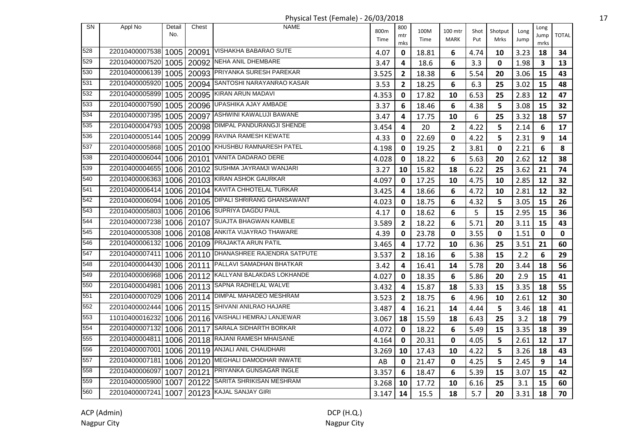| <b>SN</b> | Appl No        | Detail<br>No. | Chest      | <b>NAME</b>                              | 800m<br>Time | 800<br>mtr<br>mks | 100M<br>Time | 100 mtr<br>MARK | Shot<br>Put | Shotput<br>Mrks | Long<br>Jump | Long<br>Jump<br>mrks | <b>TOTAL</b> |
|-----------|----------------|---------------|------------|------------------------------------------|--------------|-------------------|--------------|-----------------|-------------|-----------------|--------------|----------------------|--------------|
| 528       | 22010400007538 | 1005          |            | 20091 VISHAKHA BABARAO SUTE              | 4.07         | 0                 | 18.81        | 6               | 4.74        | 10              | 3.23         | 18                   | 34           |
| 529       | 22010400007520 | 1005          |            | 20092 NEHA ANIL DHEMBARE                 | 3.47         | 4                 | 18.6         | 6               | 3.3         | 0               | 1.98         | 3                    | 13           |
| 530       | 22010400006139 | 1005          |            | 20093 PRIYANKA SURESH PAREKAR            | 3.525        | $\mathbf{2}$      | 18.38        | 6               | 5.54        | 20              | 3.06         | 15                   | 43           |
| 531       | 22010400005920 | 1005          | 20094      | SANTOSHI NARAYANRAO KASAR                | 3.53         | $\mathbf{2}$      | 18.25        | 6               | 6.3         | 25              | 3.02         | 15                   | 48           |
| 532       | 22010400005899 | 1005          | 20095      | KIRAN ARUN MADAVI                        | 4.353        | 0                 | 17.82        | 10              | 6.53        | 25              | 2.83         | 12                   | 47           |
| 533       | 22010400007590 | 1005          | 20096      | UPASHIKA AJAY AMBADE                     | 3.37         | 6                 | 18.46        | 6               | 4.38        | 5               | 3.08         | 15                   | 32           |
| 534       | 22010400007395 | 1005          |            | 20097 ASHWINI KAWALUJI BAWANE            | 3.47         | 4                 | 17.75        | 10              | 6           | 25              | 3.32         | 18                   | 57           |
| 535       | 22010400004793 |               |            | 1005   20098   DIMPAL PANDURANGJI SHENDE | 3.454        | 4                 | 20           | $\overline{2}$  | 4.22        | 5               | 2.14         | $6\phantom{1}$       | 17           |
| 536       | 22010400005144 | 1005          |            | 20099 RAVINA RAMESH KEWATE               | 4.33         | 0                 | 22.69        | $\mathbf 0$     | 4.22        | 5               | 2.31         | 9                    | 14           |
| 537       | 22010400005868 |               |            | 1005   20100 KHUSHBU RAMNARESH PATEL     | 4.198        | 0                 | 19.25        | $\overline{2}$  | 3.81        | $\mathbf 0$     | 2.21         | 6                    | 8            |
| 538       | 22010400006044 | 1006          |            | 20101 VANITA DADARAO DERE                | 4.028        | 0                 | 18.22        | 6               | 5.63        | 20              | 2.62         | 12                   | 38           |
| 539       | 22010400004655 | 1006          |            | 20102 SUSHMA JAYRAMJI WANJARI            | 3.27         | 10                | 15.82        | 18              | 6.22        | 25              | 3.62         | 21                   | 74           |
| 540       | 22010400006363 | 1006          |            | 20103 KIRAN ASHOK GAURKAR                | 4.097        | 0                 | 17.25        | 10              | 4.75        | 10              | 2.85         | 12                   | 32           |
| 541       | 22010400006414 |               |            | 1006   20104   KAVITA CHHOTELAL TURKAR   | 3.425        | 4                 | 18.66        | 6               | 4.72        | 10              | 2.81         | 12                   | 32           |
| 542       | 22010400006094 |               | 1006 20105 | DIPALI SHRIRANG GHANSAWANT               | 4.023        | 0                 | 18.75        | 6               | 4.32        | 5               | 3.05         | 15                   | 26           |
| 543       | 22010400005803 |               |            | 1006   20106   SUPRIYA DAGDU PAUL        | 4.17         | 0                 | 18.62        | 6               | 5           | 15              | 2.95         | 15                   | 36           |
| 544       | 22010400007238 |               |            | 1006   20107 SUAJTA BHAGWAN KAMBLE       | 3.589        | $\overline{2}$    | 18.22        | 6               | 5.71        | 20              | 3.11         | 15                   | 43           |
| 545       | 22010400005308 |               |            | 1006   20108   ANKITA VIJAYRAO THAWARE   | 4.39         | 0                 | 23.78        | $\mathbf 0$     | 3.55        | 0               | 1.51         | 0                    | 0            |
| 546       | 22010400006132 |               |            | 1006   20109 PRAJAKTA ARUN PATIL         | 3.465        | 4                 | 17.72        | 10              | 6.36        | 25              | 3.51         | 21                   | 60           |
| 547       | 22010400007411 | 1006          |            | 20110 DHANASHREE RAJENDRA SATPUTE        | 3.537        | 2                 | 18.16        | 6               | 5.38        | 15              | 2.2          | 6                    | 29           |
| 548       | 22010400004430 | 1006          |            | 20111 PALLAVI SAMADHAN BHATKAR           | 3.42         | 4                 | 16.41        | 14              | 5.78        | 20              | 3.44         | 18                   | 56           |
| 549       | 22010400006968 | 1006          |            | 20112 KALLYANI BALAKDAS LOKHANDE         | 4.027        | 0                 | 18.35        | 6               | 5.86        | 20              | 2.9          | 15                   | 41           |
| 550       | 22010400004981 |               |            | 1006   20113 SAPNA RADHELAL WALVE        | 3.432        | 4                 | 15.87        | 18              | 5.33        | 15              | 3.35         | 18                   | 55           |
| 551       | 22010400007029 |               |            | 1006   20114   DIMPAL MAHADEO MESHRAM    | 3.523        | 2                 | 18.75        | 6               | 4.96        | 10              | 2.61         | 12                   | 30           |
| 552       | 22010400002444 |               |            | 1006   20115   SHIVANI ANILRAO HAJARE    | 3.487        | 4                 | 16.21        | 14              | 4.44        | 5               | 3.46         | 18                   | 41           |
| 553       | 11010400016232 |               |            | 1006   20116   VAISHALI HEMRAJ LANJEWAR  | 3.067        | 18                | 15.59        | 18              | 6.43        | 25              | 3.2          | 18                   | 79           |
| 554       | 22010400007132 |               |            | 1006   20117 SARALA SIDHARTH BORKAR      | 4.072        | 0                 | 18.22        | 6               | 5.49        | 15              | 3.35         | 18                   | 39           |
| 555       | 22010400004811 | 1006          |            | 20118 RAJANI RAMESH MHAISANE             | 4.164        | 0                 | 20.31        | $\mathbf 0$     | 4.05        | 5               | 2.61         | 12                   | 17           |
| 556       | 22010400007001 | 1006          |            | 20119   ANJALI ANIL CHAUDHARI            | 3.269        | 10                | 17.43        | 10              | 4.22        | 5               | 3.26         | 18                   | 43           |
| 557       | 22010400007181 | 1006          |            | 20120 MEGHALI DAMODHAR INWATE            | AB           | 0                 | 21.47        | 0               | 4.25        | 5               | 2.45         | 9                    | 14           |
| 558       | 22010400006097 | 1007          | 20121      | <b>PRIYANKA GUNSAGAR INGLE</b>           | 3.357        | 6                 | 18.47        | 6               | 5.39        | 15              | 3.07         | 15                   | 42           |
| 559       | 22010400005900 | 1007          | 20122      | SARITA SHRIKISAN MESHRAM                 | 3.268        | 10                | 17.72        | 10              | 6.16        | 25              | 3.1          | 15                   | 60           |
| 560       | 22010400007241 | 1007          |            | 20123 KAJAL SANJAY GIRI                  | 3.147        | 14                | 15.5         | 18              | 5.7         | 20              | 3.31         | 18                   | 70           |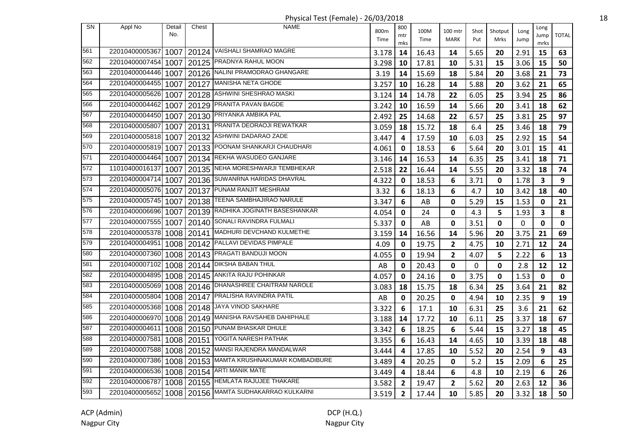| SN  | Appl No        | Detail<br>No. | Chest | <b>NAME</b>                             | 800m<br>Time | 800<br>mtr<br>mks | 100M<br>Time | 100 mtr<br><b>MARK</b> | Shot<br>Put | Shotput<br>Mrks | Long<br>Jump | Long<br>Jump<br>mrks | <b>TOTAL</b> |
|-----|----------------|---------------|-------|-----------------------------------------|--------------|-------------------|--------------|------------------------|-------------|-----------------|--------------|----------------------|--------------|
| 561 | 22010400005367 | 1007          |       | 20124 VAISHALI SHAMRAO MAGRE            | 3.178        | 14                | 16.43        | 14                     | 5.65        | 20              | 2.91         | 15                   | 63           |
| 562 | 22010400007454 | 1007          |       | 20125 PRADNYA RAHUL MOON                | 3.298        | 10                | 17.81        | 10                     | 5.31        | 15              | 3.06         | 15                   | 50           |
| 563 | 22010400004446 | 1007          |       | 20126 NALINI PRAMODRAO GHANGARE         | 3.19         | 14                | 15.69        | 18                     | 5.84        | 20              | 3.68         | 21                   | 73           |
| 564 | 22010400004455 | 1007          | 20127 | <b>MANISHA NETA GHODE</b>               | 3.257        | 10                | 16.28        | 14                     | 5.88        | 20              | 3.62         | 21                   | 65           |
| 565 | 22010400005626 | 1007          | 20128 | ASHWINI SHESHRAO MASKI                  | 3.124        | 14                | 14.78        | 22                     | 6.05        | 25              | 3.94         | 25                   | 86           |
| 566 | 22010400004462 | 1007          |       | 20129 PRANITA PAVAN BAGDE               | 3.242        | 10                | 16.59        | 14                     | 5.66        | 20              | 3.41         | 18                   | 62           |
| 567 | 22010400004450 | 1007          |       | 20130 PRIYANKA AMBIKA PAL               | 2.492        | 25                | 14.68        | 22                     | 6.57        | 25              | 3.81         | 25                   | 97           |
| 568 | 22010400005807 | 1007          |       | 20131 PRANITA DEORAOJI REWATKAR         | 3.059        | 18                | 15.72        | 18                     | 6.4         | 25              | 3.46         | 18                   | 79           |
| 569 | 22010400005818 | 1007          |       | 20132 ASHWINI DADARAO ZADE              | 3.447        | 4                 | 17.59        | 10                     | 6.03        | 25              | 2.92         | 15                   | 54           |
| 570 | 22010400005819 | 1007          |       | 20133 POONAM SHANKARJI CHAUDHARI        | 4.061        | 0                 | 18.53        | 6                      | 5.64        | 20              | 3.01         | 15                   | 41           |
| 571 | 22010400004464 | 1007          | 20134 | REKHA WASUDEO GANJARE                   | 3.146        | 14                | 16.53        | 14                     | 6.35        | 25              | 3.41         | 18                   | 71           |
| 572 | 11010400016137 | 1007          | 20135 | NEHA MORESHWARJI TEMBHEKAR              | 2.518        | 22                | 16.44        | 14                     | 5.55        | 20              | 3.32         | 18                   | 74           |
| 573 | 22010400004714 | 1007          |       | 20136 SUWANRNA HARIDAS DHAVRAL          | 4.322        | 0                 | 18.53        | 6                      | 3.71        | $\mathbf 0$     | 1.78         | $\mathbf{3}$         | 9            |
| 574 | 22010400005076 | 1007          | 20137 | PUNAM RANJIT MESHRAM                    | 3.32         | 6                 | 18.13        | 6                      | 4.7         | 10              | 3.42         | 18                   | 40           |
| 575 | 22010400005745 | 1007          |       | 20138 TEENA SAMBHAJIRAO NARULE          | 3.347        | 6                 | AB           | $\mathbf 0$            | 5.29        | 15              | 1.53         | 0                    | 21           |
| 576 | 22010400006696 | 1007          |       | 20139 RADHIKA JOGINATH BASESHANKAR      | 4.054        | $\mathbf 0$       | 24           | $\mathbf 0$            | 4.3         | 5               | 1.93         | 3                    | 8            |
| 577 | 22010400007555 | 1007          |       | 20140 SONALI RAVINDRA FULMALI           | 5.337        | 0                 | AB           | $\mathbf 0$            | 3.51        | $\mathbf 0$     | $\mathbf 0$  | $\mathbf 0$          | $\mathbf 0$  |
| 578 | 22010400005378 | 1008          |       | 20141   MADHURI DEVCHAND KULMETHE       | 3.159        | 14                | 16.56        | 14                     | 5.96        | 20              | 3.75         | 21                   | 69           |
| 579 | 22010400004951 | 1008          |       | 20142 PALLAVI DEVIDAS PIMPALE           | 4.09         | 0                 | 19.75        | $\overline{2}$         | 4.75        | 10              | 2.71         | 12                   | 24           |
| 580 | 22010400007360 | 1008          |       | 20143 PRAGATI BANDUJI MOON              | 4.055        | 0                 | 19.94        | $\overline{2}$         | 4.07        | 5               | 2.22         | 6                    | 13           |
| 581 | 22010400007102 | 1008          | 20144 | <b>DIKSHA BABAN THUL</b>                | AB           | 0                 | 20.43        | $\mathbf 0$            | 0           | $\mathbf 0$     | 2.8          | 12                   | 12           |
| 582 | 22010400004895 | 1008          | 20145 | ANKITA RAJU POHINKAR                    | 4.057        | 0                 | 24.16        | $\mathbf 0$            | 3.75        | 0               | 1.53         | 0                    | $\mathbf 0$  |
| 583 | 22010400005069 | 1008          |       | 20146   DHANASHREE CHAITRAM NAROLE      | 3.083        | 18                | 15.75        | 18                     | 6.34        | 25              | 3.64         | 21                   | 82           |
| 584 | 22010400005804 |               |       | 1008   20147 PRALISHA RAVINDRA PATIL    | AB           | 0                 | 20.25        | $\mathbf 0$            | 4.94        | 10              | 2.35         | 9                    | 19           |
| 585 | 22010400005368 |               |       | 1008   20148   JAYA VINOD SAKHARE       | 3.322        | 6                 | 17.1         | 10                     | 6.31        | 25              | 3.6          | 21                   | 62           |
| 586 | 22010400006970 | 1008          |       | 20149 MANISHA RAVSAHEB DAHIPHALE        | 3.188        | 14                | 17.72        | 10                     | 6.11        | 25              | 3.37         | 18                   | 67           |
| 587 | 22010400004611 | 1008          |       | 20150 PUNAM BHASKAR DHULE               | 3.342        | 6                 | 18.25        | 6                      | 5.44        | 15              | 3.27         | 18                   | 45           |
| 588 | 22010400007581 | 1008          | 20151 | YOGITA NARESH PATHAK                    | 3.355        | 6                 | 16.43        | 14                     | 4.65        | 10              | 3.39         | 18                   | 48           |
| 589 | 22010400007588 | 1008          | 20152 | MANSI RAJENDRA MANDALWAR                | 3.444        | 4                 | 17.85        | 10                     | 5.52        | 20              | 2.54         | 9                    | 43           |
| 590 | 22010400007386 | 1008          | 20153 | MAMTA KRUSHNAKUMAR KOMBADIBURE          | 3.489        | 4                 | 20.25        | 0                      | 5.2         | 15              | 2.09         | 6                    | 25           |
| 591 | 22010400006536 | 1008          | 20154 | <b>ARTI MANIK MATE</b>                  | 3.449        | 4                 | 18.44        | 6                      | 4.8         | 10              | 2.19         | 6                    | 26           |
| 592 | 22010400006787 |               |       | 1008   20155   HEMLATA RAJUJEE THAKARE  | 3.582        | $\overline{2}$    | 19.47        | $\overline{2}$         | 5.62        | 20              | 2.63         | 12                   | 36           |
| 593 | 22010400005652 |               |       | 1008   20156 MAMTA SUDHAKARRAO KULKARNI | 3.519        | $\overline{2}$    | 17.44        | 10                     | 5.85        | 20              | 3.32         | 18                   | 50           |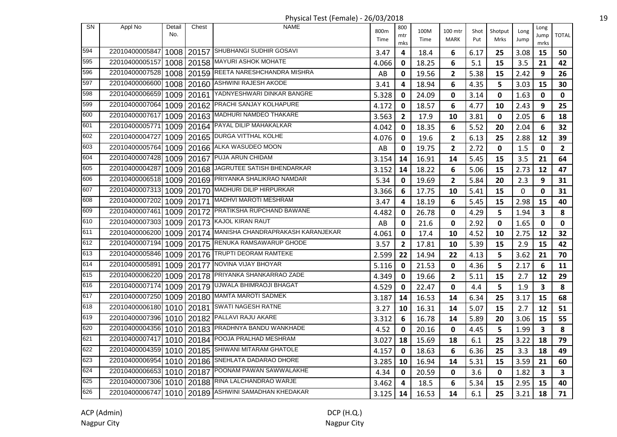Physical Test (Female) - 26/03/2018 19

|           |                           |               |            | $\ldots$ , $\ldots$ , $\ldots$ , $\ldots$ , $\ldots$ , $\ldots$ , $\ldots$ , $\ldots$ , $\ldots$ |              |              |              |                         |             |                 |              |                         |                         |
|-----------|---------------------------|---------------|------------|--------------------------------------------------------------------------------------------------|--------------|--------------|--------------|-------------------------|-------------|-----------------|--------------|-------------------------|-------------------------|
| <b>SN</b> | Appl No                   | Detail<br>No. | Chest      | <b>NAME</b>                                                                                      | 800m<br>Time | 800<br>mtr   | 100M<br>Time | 100 mtr<br><b>MARK</b>  | Shot<br>Put | Shotput<br>Mrks | Long<br>Jump | Long<br>Jump            | <b>TOTAL</b>            |
| 594       | 22010400005847            |               |            | 1008   20157 SHUBHANGI SUDHIR GOSAVI                                                             | 3.47         | mks<br>4     | 18.4         | 6                       | 6.17        | 25              | 3.08         | mrks<br>15              | 50                      |
| 595       | 22010400005157            | 1008          |            | 20158 MAYURI ASHOK MOHATE                                                                        | 4.066        | 0            | 18.25        | 6                       | 5.1         | 15              | 3.5          | 21                      | 42                      |
| 596       | 22010400007528            |               |            | 1008   20159 REETA NARESHCHANDRA MISHRA                                                          | AB           | 0            | 19.56        | $\mathbf{2}$            | 5.38        | 15              | 2.42         | 9                       | 26                      |
| 597       | 22010400006600            |               |            | 1008   20160   ASHWINI RAJESH AKODE                                                              | 3.41         | 4            | 18.94        | 6                       | 4.35        | 5               | 3.03         | 15                      | 30                      |
| 598       | 22010400006659            |               |            | 1009   20161   YADNYESHWARI DINKAR BANGRE                                                        | 5.328        | 0            | 24.09        | $\mathbf 0$             | 3.14        | $\pmb{0}$       | 1.63         | $\mathbf 0$             | $\mathbf 0$             |
| 599       |                           |               |            | 22010400007064 1009 20162 PRACHI SANJAY KOLHAPURE                                                | 4.172        | 0            | 18.57        | 6                       | 4.77        | 10              | 2.43         | 9                       | 25                      |
| 600       | 22010400007617            |               |            | 1009   20163   MADHURI NAMDEO THAKARE                                                            | 3.563        | 2            | 17.9         | 10                      | 3.81        | 0               | 2.05         | 6                       | 18                      |
| 601       | 22010400005771            |               |            | 1009   20164   PAYAL DILIP MAHAKALKAR                                                            | 4.042        | 0            | 18.35        | 6                       | 5.52        | 20              | 2.04         | 6                       | 32                      |
| 602       | 22010400004727            |               |            | 1009 20165 DURGA VITTHAL KOLHE                                                                   | 4.076        | 0            | 19.6         | $\mathbf{2}$            | 6.13        | 25              | 2.88         | 12                      | 39                      |
| 603       | 22010400005764            |               |            | 1009   20166   ALKA WASUDEO MOON                                                                 | AB           | 0            | 19.75        | $\overline{\mathbf{2}}$ | 2.72        | 0               | 1.5          | $\mathbf 0$             | $\overline{2}$          |
| 604       | 22010400007428            |               | 1009 20167 | PUJA ARUN CHIDAM                                                                                 | 3.154        | 14           | 16.91        | 14                      | 5.45        | 15              | 3.5          | 21                      | 64                      |
| 605       | 22010400004287            |               |            | 1009   20168   JAGRUTEE SATISH BHENDARKAR                                                        | 3.152        | 14           | 18.22        | 6                       | 5.06        | 15              | 2.73         | 12                      | 47                      |
| 606       | 22010400006518            |               |            | 1009   20169 PRIYANKA SHALIKRAO NAMDAR                                                           | 5.34         | 0            | 19.69        | $\mathbf{2}$            | 5.84        | 20              | 2.3          | 9                       | 31                      |
| 607       | 22010400007313            |               |            | 1009   20170 MADHURI DILIP HIRPURKAR                                                             | 3.366        | 6            | 17.75        | 10                      | 5.41        | 15              | $\mathbf 0$  | $\mathbf 0$             | 31                      |
| 608       | 22010400007202            |               |            | 1009   20171   MADHVI MAROTI MESHRAM                                                             | 3.47         | 4            | 18.19        | 6                       | 5.45        | 15              | 2.98         | 15                      | 40                      |
| 609       | 22010400007461            |               |            | 1009   20172 PRATIKSHA RUPCHAND BAWANE                                                           | 4.482        | 0            | 26.78        | $\mathbf 0$             | 4.29        | 5               | 1.94         | $\overline{\mathbf{3}}$ | 8                       |
| 610       | 22010400007303            | 1009          |            | 20173 KAJOL KIRAN RAUT                                                                           | AB           | 0            | 21.6         | 0                       | 2.92        | 0               | 1.65         | 0                       | $\mathbf 0$             |
| 611       | 22010400006200            |               |            | 1009   20174 MANISHA CHANDRAPRAKASH KARANJEKAR                                                   | 4.061        | 0            | 17.4         | 10                      | 4.52        | 10              | 2.75         | 12                      | 32                      |
| 612       | 22010400007194            | 1009          |            | 20175 RENUKA RAMSAWARUP GHODE                                                                    | 3.57         | $\mathbf{2}$ | 17.81        | 10                      | 5.39        | 15              | 2.9          | 15                      | 42                      |
| 613       | 22010400005846            |               |            | 1009   20176   TRUPTI DEORAM RAMTEKE                                                             | 2.599        | 22           | 14.94        | 22                      | 4.13        | 5               | 3.62         | 21                      | 70                      |
| 614       | 22010400005891            |               |            | 1009   20177 NOVINA VIJAY BHOYAR                                                                 | 5.116        | 0            | 21.53        | $\mathbf 0$             | 4.36        | 5               | 2.17         | 6                       | 11                      |
| 615       | 22010400006220            |               |            | 1009   20178 PRIYANKA SHANKARRAO ZADE                                                            | 4.349        | 0            | 19.66        | $\overline{2}$          | 5.11        | 15              | 2.7          | 12                      | 29                      |
| 616       | 22010400007174            |               |            | 1009   20179   UJWALA BHIMRAOJI BHAGAT                                                           | 4.529        | 0            | 22.47        | $\mathbf 0$             | 4.4         | 5               | 1.9          | $\overline{\mathbf{3}}$ | 8                       |
| 617       |                           |               |            | 22010400007250 1009 20180 MAMTA MAROTI SADMEK                                                    | 3.187        | 14           | 16.53        | 14                      | 6.34        | 25              | 3.17         | 15                      | 68                      |
| 618       | 22010400006180            |               |            | 1010   20181 SWATI NAGESH RATNE                                                                  | 3.27         | 10           | 16.31        | 14                      | 5.07        | 15              | 2.7          | 12                      | 51                      |
| 619       | 22010400007396            |               |            | 1010   20182 PALLAVI RAJU AKARE                                                                  | 3.312        | 6            | 16.78        | 14                      | 5.89        | 20              | 3.06         | 15                      | 55                      |
| 620       |                           |               |            | 22010400004356 1010 20183 PRADHNYA BANDU WANKHADE                                                | 4.52         | 0            | 20.16        | 0                       | 4.45        | 5               | 1.99         | $\overline{\mathbf{3}}$ | 8                       |
| 621       |                           |               |            | 22010400007417 1010 20184 POOJA PRALHAD MESHRAM                                                  | 3.027        | 18           | 15.69        | 18                      | 6.1         | 25              | 3.22         | 18                      | 79                      |
| 622       | 22010400004359 1010 20185 |               |            | SHIWANI MITARAM GHATOLE                                                                          | 4.157        | 0            | 18.63        | 6                       | 6.36        | 25              | 3.3          | 18                      | 49                      |
| 623       |                           |               |            | 22010400006954 1010 20186 SNEHLATA DADARAO DHORE                                                 | 3.285        | 10           | 16.94        | 14                      | 5.31        | 15              | 3.59         | 21                      | 60                      |
| 624       | 22010400006653            |               | 1010 20187 | POONAM PAWAN SAWWALAKHE                                                                          | 4.34         | 0            | 20.59        | 0                       | 3.6         | 0               | 1.82         | $\overline{\mathbf{3}}$ | $\overline{\mathbf{3}}$ |
| 625       |                           |               |            | 22010400007306 1010 20188 RINA LALCHANDRAO WARJE                                                 | 3.462        | 4            | 18.5         | 6                       | 5.34        | 15              | 2.95         | 15                      | 40                      |
| 626       |                           |               |            | 22010400006747 1010 20189 ASHWINI SAMADHAN KHEDAKAR                                              | 3.125        | 14           | 16.53        | 14                      | 6.1         | 25              | 3.21         | 18                      | 71                      |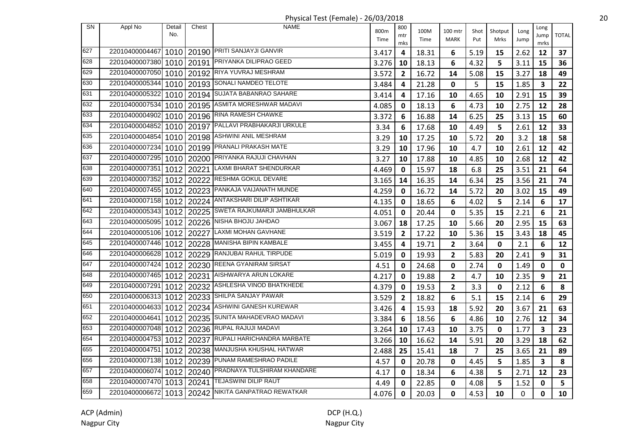| SN  | Appl No             | Detail | Chest      | <b>NAME</b>                                           |       | 800            |       |                         |                |         |      | Long                    |              |
|-----|---------------------|--------|------------|-------------------------------------------------------|-------|----------------|-------|-------------------------|----------------|---------|------|-------------------------|--------------|
|     |                     | No.    |            |                                                       | 800m  | mtr            | 100M  | 100 mtr                 | Shot           | Shotput | Long | Jump                    | <b>TOTAL</b> |
|     |                     |        |            |                                                       | Time  | mks            | Time  | <b>MARK</b>             | Put            | Mrks    | Jump | mrks                    |              |
| 627 | 22010400004467      |        |            | 1010   20190 PRITI SANJAYJI GANVIR                    | 3.417 | 4              | 18.31 | 6                       | 5.19           | 15      | 2.62 | 12                      | 37           |
| 628 | 22010400007380      |        | 1010 20191 | PRIYANKA DILIPRAO GEED                                | 3.276 | 10             | 18.13 | 6                       | 4.32           | 5       | 3.11 | 15                      | 36           |
| 629 | 22010400007050      |        | 1010 20192 | <b>RIYA YUVRAJ MESHRAM</b>                            | 3.572 | 2              | 16.72 | 14                      | 5.08           | 15      | 3.27 | 18                      | 49           |
| 630 | 22010400005344      |        |            | 1010   20193   SONALI NAMDEO TELOTE                   | 3.484 | 4              | 21.28 | $\mathbf 0$             | 5              | 15      | 1.85 | $\overline{\mathbf{3}}$ | 22           |
| 631 | 22010400005322      |        |            | 1010   20194   SUJATA BABANRAO SAHARE                 | 3.414 | 4              | 17.16 | 10                      | 4.65           | 10      | 2.91 | 15                      | 39           |
| 632 | 22010400007534      |        |            | 1010   20195   ASMITA MORESHWAR MADAVI                | 4.085 | 0              | 18.13 | 6                       | 4.73           | 10      | 2.75 | 12                      | 28           |
| 633 | 22010400004902      |        |            | $1010$   20196 RINA RAMESH CHAWKE                     | 3.372 | 6              | 16.88 | 14                      | 6.25           | 25      | 3.13 | 15                      | 60           |
| 634 | 22010400004852      |        |            | 1010   20197   PALLAVI PRABHAKARJI URKULE             | 3.34  | 6              | 17.68 | 10                      | 4.49           | 5       | 2.61 | 12                      | 33           |
| 635 | 22010400004854      | 10101  |            | 20198 ASHWINI ANIL MESHRAM                            | 3.29  | 10             | 17.25 | 10                      | 5.72           | 20      | 3.2  | 18                      | 58           |
| 636 | 22010400007234      | 1010 l |            | 20199 PRANALI PRAKASH MATE                            | 3.29  | 10             | 17.96 | 10                      | 4.7            | 10      | 2.61 | 12                      | 42           |
| 637 | 22010400007295      | 1010 l | 20200      | PRIYANKA RAJUJI CHAVHAN                               | 3.27  | 10             | 17.88 | 10                      | 4.85           | 10      | 2.68 | 12                      | 42           |
| 638 | 22010400007351      |        | 1012 20221 | LAXMI BHARAT SHENDURKAR                               | 4.469 | 0              | 15.97 | 18                      | 6.8            | 25      | 3.51 | 21                      | 64           |
| 639 | 22010400007352      | 1012   | 20222      | RESHMA GOKUL DEVARE                                   | 3.165 | 14             | 16.35 | 14                      | 6.34           | 25      | 3.56 | 21                      | 74           |
| 640 |                     |        |            | 22010400007455 1012 20223 PANKAJA VAIJANATH MUNDE     | 4.259 | 0              | 16.72 | 14                      | 5.72           | 20      | 3.02 | 15                      | 49           |
| 641 | 22010400007158      |        |            | 1012   20224 ANTAKSHARI DILIP ASHTIKAR                | 4.135 | 0              | 18.65 | 6                       | 4.02           | 5       | 2.14 | 6                       | 17           |
| 642 |                     |        |            | 22010400005343 1012 20225 SWETA RAJKUMARJI JAMBHULKAR | 4.051 | 0              | 20.44 | 0                       | 5.35           | 15      | 2.21 | 6                       | 21           |
| 643 | 22010400005095      | 1012   |            | 20226 NISHA BHOJU JAHDAO                              | 3.067 | 18             | 17.25 | 10                      | 5.66           | 20      | 2.95 | 15                      | 63           |
| 644 | 22010400005106      | 1012   | 20227      | LAXMI MOHAN GAVHANE                                   | 3.519 | $\mathbf{2}$   | 17.22 | 10                      | 5.36           | 15      | 3.43 | 18                      | 45           |
| 645 | 22010400007446      | 10121  |            | 20228 MANISHA BIPIN KAMBALE                           | 3.455 | 4              | 19.71 | $\overline{\mathbf{2}}$ | 3.64           | 0       | 2.1  | 6                       | 12           |
| 646 | 22010400006628      | 1012   | 20229      | <b>RANJUBAI RAHUL TIRPUDE</b>                         | 5.019 | 0              | 19.93 | $\mathbf{2}$            | 5.83           | 20      | 2.41 | 9                       | 31           |
| 647 | 22010400007424      |        |            | 1012   20230 REENA GYANIRAM SIRSAT                    | 4.51  | 0              | 24.68 | 0                       | 2.74           | 0       | 1.49 | $\mathbf 0$             | $\mathbf 0$  |
| 648 | 22010400007465 1012 |        | 20231      | AISHWARYA ARUN LOKARE                                 | 4.217 | 0              | 19.88 | $\mathbf{2}$            | 4.7            | 10      | 2.35 | 9                       | 21           |
| 649 | 22010400007291      |        |            | 1012   20232 ASHLESHA VINOD BHATKHEDE                 | 4.379 | 0              | 19.53 | $\mathbf{2}$            | 3.3            | 0       | 2.12 | 6                       | 8            |
| 650 |                     |        |            | 22010400006313 1012 20233 SHILPA SANJAY PAWAR         | 3.529 | $\overline{2}$ | 18.82 | 6                       | 5.1            | 15      | 2.14 | 6                       | 29           |
| 651 |                     |        |            | 22010400004633 1012 20234 ASHWINI GANESH KUREWAR      | 3.426 | 4              | 15.93 | 18                      | 5.92           | 20      | 3.67 | 21                      | 63           |
| 652 | 22010400004641      | 1012   |            | 20235 SUNITA MAHADEVRAO MADAVI                        | 3.384 | 6              | 18.56 | 6                       | 4.86           | 10      | 2.76 | 12                      | 34           |
| 653 | 22010400007048      | 1012   |            | 20236 RUPAL RAJUJI MADAVI                             | 3.264 | 10             | 17.43 | 10                      | 3.75           | 0       | 1.77 | 3                       | 23           |
| 654 | 22010400004753      | 1012 l | 20237      | RUPALI HARICHANDRA MARBATE                            | 3.266 | 10             | 16.62 | 14                      | 5.91           | 20      | 3.29 | 18                      | 62           |
| 655 | 22010400004751      |        | 1012 20238 | MANJUSHA KHUSHAL HATWAR                               | 2.488 | 25             | 15.41 | 18                      | $\overline{7}$ | 25      | 3.65 | 21                      | 89           |
| 656 | 22010400007138 1012 |        | 20239      | PUNAM RAMESHRAO PADILE                                | 4.57  | 0              | 20.78 | 0                       | 4.45           | 5       | 1.85 | $\overline{\mathbf{3}}$ | 8            |
| 657 | 22010400006074      |        |            | 1012   20240 PRADNAYA TULSHIRAM KHANDARE              | 4.17  | 0              | 18.34 | 6                       | 4.38           | 5       | 2.71 | 12                      | 23           |
| 658 | 22010400007470      |        |            | 1013   20241   TEJASWINI DILIP RAUT                   | 4.49  | 0              | 22.85 | 0                       | 4.08           | 5       | 1.52 | 0                       | 5            |
| 659 |                     |        |            | 22010400006672 1013 20242 NIKITA GANPATRAO REWATKAR   | 4.076 | 0              | 20.03 | $\mathbf 0$             | 4.53           | 10      | 0    | 0                       | 10           |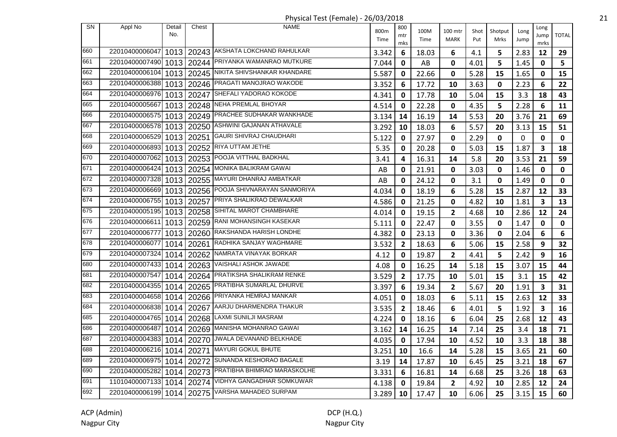| <b>SN</b> | Appl No                   | Detail<br>No. | Chest      | <b>NAME</b>                                           | 800m  | 800<br>mtr     | 100M  | 100 mtr        | Shot | Shotput | Long | Long<br>Jump            | <b>TOTAL</b> |
|-----------|---------------------------|---------------|------------|-------------------------------------------------------|-------|----------------|-------|----------------|------|---------|------|-------------------------|--------------|
|           |                           |               |            |                                                       | Time  | mks            | Time  | MARK           | Put  | Mrks    | Jump | mrks                    |              |
| 660       | 22010400006047            |               |            | 1013   20243   AKSHATA LOKCHAND RAHULKAR              | 3.342 | 6              | 18.03 | 6              | 4.1  | 5       | 2.83 | 12                      | 29           |
| 661       | 22010400007490            |               |            | 1013   20244   PRIYANKA WAMANRAO MUTKURE              | 7.044 | 0              | AB    | $\mathbf 0$    | 4.01 | 5       | 1.45 | 0                       | 5.           |
| 662       | 22010400006104            |               |            | 1013   20245   NIKITA SHIVSHANKAR KHANDARE            | 5.587 | 0              | 22.66 | $\mathbf{0}$   | 5.28 | 15      | 1.65 | 0                       | 15           |
| 663       | 22010400006388            |               |            | 1013   20246 PRAGATI MANOJRAO WAKODE                  | 3.352 | 6              | 17.72 | 10             | 3.63 | 0       | 2.23 | 6                       | 22           |
| 664       | 22010400006976            |               |            | 1013   20247 SHEFALI YADORAO KOKODE                   | 4.341 | 0              | 17.78 | 10             | 5.04 | 15      | 3.3  | 18                      | 43           |
| 665       |                           |               |            | 22010400005667 1013 20248 NEHA PREMLAL BHOYAR         | 4.514 | 0              | 22.28 | 0              | 4.35 | 5       | 2.28 | 6                       | 11           |
| 666       |                           |               |            | 22010400006575 1013 20249 PRACHEE SUDHAKAR WANKHADE   | 3.134 | 14             | 16.19 | 14             | 5.53 | 20      | 3.76 | 21                      | 69           |
| 667       |                           |               |            | 22010400006578 1013 20250 ASHWINI GAJANAN ATHAVALE    | 3.292 | 10             | 18.03 | 6              | 5.57 | 20      | 3.13 | 15                      | 51           |
| 668       | 22010400006529            |               |            | 1013   20251   GAURI SHIVRAJ CHAUDHARI                | 5.122 | 0              | 27.97 | $\mathbf 0$    | 2.29 | 0       | 0    | 0                       | $\mathbf 0$  |
| 669       |                           |               |            | 22010400006893 1013 20252 RIYA UTTAM JETHE            | 5.35  | 0              | 20.28 | $\mathbf 0$    | 5.03 | 15      | 1.87 | 3                       | 18           |
| 670       | 22010400007062            |               | 1013 20253 | <b>POOJA VITTHAL BADKHAL</b>                          | 3.41  | 4              | 16.31 | 14             | 5.8  | 20      | 3.53 | 21                      | 59           |
| 671       |                           |               |            | 22010400006424 1013 20254 MONIKA BALIKRAM GAWAI       | AB    | 0              | 21.91 | $\mathbf 0$    | 3.03 | 0       | 1.46 | 0                       | $\mathbf 0$  |
| 672       | 22010400007328            |               |            | 1013   20255   MAYURI DHANRAJ AMBATKAR                | AB    | 0              | 24.12 | $\mathbf 0$    | 3.1  | 0       | 1.49 | 0                       | 0            |
| 673       |                           |               |            | 22010400006669 1013 20256 POOJA SHIVNARAYAN SANMORIYA | 4.034 | 0              | 18.19 | 6              | 5.28 | 15      | 2.87 | 12                      | 33           |
| 674       | 22010400006755            |               |            | 1013   20257 PRIYA SHALIKRAO DEWALKAR                 | 4.586 | 0              | 21.25 | 0              | 4.82 | 10      | 1.81 | 3                       | 13           |
| 675       | 22010400005195            |               |            | 1013   20258   SIHITAL MAROT CHAMBHARE                | 4.014 | 0              | 19.15 | $\overline{2}$ | 4.68 | 10      | 2.86 | 12                      | 24           |
| 676       | 22010400006611            |               |            | 1013   20259 RANI MOHANSINGH KASEKAR                  | 5.111 | 0              | 22.47 | 0              | 3.55 | 0       | 1.47 | 0                       | 0            |
| 677       | 22010400006777            |               |            | 1013   20260 RAKSHANDA HARISH LONDHE                  | 4.382 | 0              | 23.13 | 0              | 3.36 | 0       | 2.04 | 6                       | 6            |
| 678       | 22010400006077            |               |            | 1014   20261 RADHIKA SANJAY WAGHMARE                  | 3.532 | $\mathbf{2}$   | 18.63 | 6              | 5.06 | 15      | 2.58 | 9                       | 32           |
| 679       | 22010400007324            |               |            | 1014   20262   NAMRATA VINAYAK BORKAR                 | 4.12  | 0              | 19.87 | $\mathbf{2}$   | 4.41 | 5       | 2.42 | 9                       | 16           |
| 680       | 22010400007433            |               | 1014 20263 | VAISHALI ASHOK JAWADE                                 | 4.08  | 0              | 16.25 | 14             | 5.18 | 15      | 3.07 | 15                      | 44           |
| 681       | 22010400007547            |               |            | 1014   20264   PRATIKSHA SHALIKRAM RENKE              | 3.529 | $\mathbf{2}$   | 17.75 | 10             | 5.01 | 15      | 3.1  | 15                      | 42           |
| 682       |                           |               |            | 22010400004355 1014 20265 PRATIBHA SUMARLAL DHURVE    | 3.397 | 6              | 19.34 | $\overline{2}$ | 5.67 | 20      | 1.91 | 3                       | 31           |
| 683       |                           |               |            | 22010400004658 1014 20266 PRIYANKA HEMRAJ MANKAR      | 4.051 | 0              | 18.03 | 6              | 5.11 | 15      | 2.63 | 12                      | 33           |
| 684       |                           |               |            | 22010400006838 1014 20267 AARJU DHARMENDRA THAKUR     | 3.535 | $\overline{2}$ | 18.46 | 6              | 4.01 | 5       | 1.92 | $\overline{\mathbf{3}}$ | 16           |
| 685       | 22010400004765            |               |            | 1014   20268 LAXMI SUNILJI MASRAM                     | 4.224 | 0              | 18.16 | 6              | 6.04 | 25      | 2.68 | 12                      | 43           |
| 686       | 22010400006487            |               |            | 1014   20269   MANISHA MOHANRAO GAWAI                 | 3.162 | 14             | 16.25 | 14             | 7.14 | 25      | 3.4  | 18                      | 71           |
| 687       |                           |               |            | 22010400004383 1014 20270 JWALA DEVANAND BELKHADE     | 4.035 | 0              | 17.94 | 10             | 4.52 | 10      | 3.3  | 18                      | 38           |
| 688       | 22010400006216 1014 20271 |               |            | MAYURI GOKUL BHUTE                                    | 3.251 | 10             | 16.6  | 14             | 5.28 | 15      | 3.65 | 21                      | 60           |
| 689       | 22010400006975 1014 20272 |               |            | SUNANDA KESHORAO BAGALE                               | 3.19  | 14             | 17.87 | 10             | 6.45 | 25      | 3.21 | 18                      | 67           |
| 690       | 22010400005282            |               |            | 1014   20273 PRATIBHA BHIMRAO MARASKOLHE              | 3.331 | 6              | 16.81 | 14             | 6.68 | 25      | 3.26 | 18                      | 63           |
| 691       |                           |               |            | 11010400007133 1014 20274 VIDHYA GANGADHAR SOMKUWAR   | 4.138 | 0              | 19.84 | $\mathbf{2}$   | 4.92 | 10      | 2.85 | 12                      | 24           |
| 692       |                           |               |            | 22010400006199 1014 20275 VARSHA MAHADEO SURPAM       | 3.289 | 10             | 17.47 | 10             | 6.06 | 25      | 3.15 | 15                      | 60           |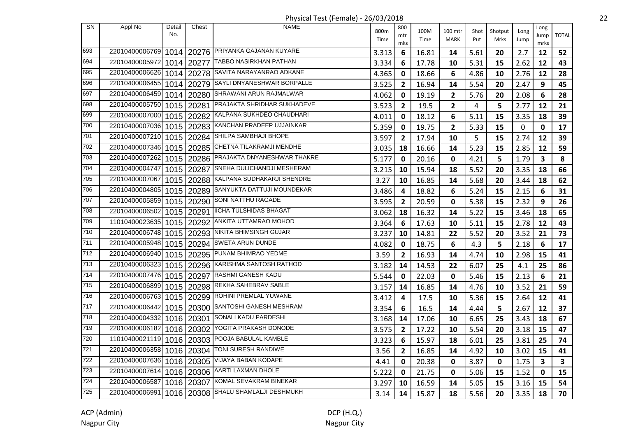Physical Test (Female) - 26/03/2018 22

| <b>SN</b> | Appl No        | Detail<br>No. | Chest      | <b>NAME</b>                            | 800m  | 800<br>mtr     | 100M  | 100 mtr        | Shot | Shotput     | Long | Long<br>Jump | <b>TOTAL</b> |
|-----------|----------------|---------------|------------|----------------------------------------|-------|----------------|-------|----------------|------|-------------|------|--------------|--------------|
|           |                |               |            |                                        | Time  | mks            | Time  | <b>MARK</b>    | Put  | Mrks        | Jump | mrks         |              |
| 693       | 22010400006769 | 1014          |            | 20276 PRIYANKA GAJANAN KUYARE          | 3.313 | 6              | 16.81 | 14             | 5.61 | 20          | 2.7  | 12           | 52           |
| 694       | 22010400005972 | 1014          | 20277      | <b>TABBO NASIRKHAN PATHAN</b>          | 3.334 | 6              | 17.78 | 10             | 5.31 | 15          | 2.62 | 12           | 43           |
| 695       | 22010400006626 | 1014          | 20278      | SAVITA NARAYANRAO ADKANE               | 4.365 | 0              | 18.66 | 6              | 4.86 | 10          | 2.76 | 12           | 28           |
| 696       | 22010400006455 | 1014          | 20279      | SAYLI DNYANESHWAR BORPALLE             | 3.525 | $\overline{2}$ | 16.94 | 14             | 5.54 | 20          | 2.47 | 9            | 45           |
| 697       | 22010400006459 | 1014          | 20280      | SHRAWANI ARUN RAJMALWAR                | 4.062 | 0              | 19.19 | $\overline{2}$ | 5.76 | 20          | 2.08 | 6            | 28           |
| 698       | 22010400005750 | 1015          | 20281      | PRAJAKTA SHRIDHAR SUKHADEVE            | 3.523 | $\mathbf{2}$   | 19.5  | $\mathbf{2}$   | 4    | 5           | 2.77 | 12           | 21           |
| 699       | 22010400007000 | 1015          |            | 20282 KALPANA SUKHDEO CHAUDHARI        | 4.011 | 0              | 18.12 | 6              | 5.11 | 15          | 3.35 | 18           | 39           |
| 700       | 22010400007036 |               |            | 1015   20283 KANCHAN PRADEEP UJJAINKAR | 5.359 | 0              | 19.75 | $\overline{2}$ | 5.33 | 15          | 0    | 0            | 17           |
| 701       | 22010400007210 | 1015          | 20284      | SHILPA SAMBHAJI BHOPE                  | 3.597 | $\overline{2}$ | 17.94 | 10             | 5    | 15          | 2.74 | 12           | 39           |
| 702       | 22010400007346 | 1015          | 20285      | CHETNA TILAKRAMJI MENDHE               | 3.035 | 18             | 16.66 | 14             | 5.23 | 15          | 2.85 | 12           | 59           |
| 703       | 22010400007262 | 1015          | 20286      | PRAJAKTA DNYANESHWAR THAKRE            | 5.177 | 0              | 20.16 | $\mathbf 0$    | 4.21 | 5           | 1.79 | 3            | 8            |
| 704       | 22010400004747 | 1015          | 20287      | SNEHA DULICHANDJI MESHERAM             | 3.215 | 10             | 15.94 | 18             | 5.52 | 20          | 3.35 | 18           | 66           |
| 705       | 22010400007067 |               | 1015 20288 | KALPANA SUDHAKARJI SHENDRE             | 3.27  | 10             | 16.85 | 14             | 5.68 | 20          | 3.44 | 18           | 62           |
| 706       | 22010400004805 | 1015          | 20289      | SANYUKTA DATTUJI MOUNDEKAR             | 3.486 | 4              | 18.82 | 6              | 5.24 | 15          | 2.15 | 6            | 31           |
| 707       | 22010400005859 |               | 1015 20290 | SONI NATTHU RAGADE                     | 3.595 | $\mathbf{2}$   | 20.59 | 0              | 5.38 | 15          | 2.32 | 9            | 26           |
| 708       | 22010400006502 | 1015          |            | 20291   IICHA TULSHIDAS BHAGAT         | 3.062 | 18             | 16.32 | 14             | 5.22 | 15          | 3.46 | 18           | 65           |
| 709       | 11010400023635 | 1015          |            | 20292 ANKITA UTTAMRAO MOHOD            | 3.364 | 6              | 17.63 | 10             | 5.11 | 15          | 2.78 | 12           | 43           |
| 710       | 22010400006748 | 1015          |            | 20293   NIKITA BHIMSINGH GUJAR         | 3.237 | 10             | 14.81 | 22             | 5.52 | 20          | 3.52 | 21           | 73           |
| 711       | 22010400005948 | 1015          |            | 20294 SWETA ARUN DUNDE                 | 4.082 | 0              | 18.75 | 6              | 4.3  | 5           | 2.18 | 6            | 17           |
| 712       | 22010400006940 | 1015          |            | 20295 PUNAM BHIMRAO YEDME              | 3.59  | $\overline{2}$ | 16.93 | 14             | 4.74 | 10          | 2.98 | 15           | 41           |
| 713       | 22010400006323 | 1015          | 20296      | KARISHMA SANTOSH RATHOD                | 3.182 | 14             | 14.53 | 22             | 6.07 | 25          | 4.1  | 25           | 86           |
| 714       | 22010400007476 | 1015          | 20297      | RASHMI GANESH KADU                     | 5.544 | 0              | 22.03 | 0              | 5.46 | 15          | 2.13 | 6            | 21           |
| 715       | 22010400006899 | 1015          | 20298      | REKHA SAHEBRAV SABLE                   | 3.157 | 14             | 16.85 | 14             | 4.76 | 10          | 3.52 | 21           | 59           |
| 716       | 22010400006763 | 1015          |            | 20299 ROHINI PREMLAL YUWANE            | 3.412 | 4              | 17.5  | 10             | 5.36 | 15          | 2.64 | 12           | 41           |
| 717       | 22010400006442 | 1015          |            | 20300 SANTOSHI GANESH MESHRAM          | 3.354 | 6              | 16.5  | 14             | 4.44 | 5           | 2.67 | 12           | 37           |
| 718       | 22010400004332 |               | 1016 20301 | SONALI KADU PARDESHI                   | 3.168 | 14             | 17.06 | 10             | 6.65 | 25          | 3.43 | 18           | 67           |
| 719       | 22010400006182 | 1016          | 20302      | YOGITA PRAKASH DONODE                  | 3.575 | $\overline{2}$ | 17.22 | 10             | 5.54 | 20          | 3.18 | 15           | 47           |
| 720       | 11010400021119 | 1016          | 20303      | POOJA BABULAL KAMBLE                   | 3.323 | 6              | 15.97 | 18             | 6.01 | 25          | 3.81 | 25           | 74           |
| 721       | 22010400006358 | 1016          | 20304      | TONI SURESH RANDIWE                    | 3.56  | $\overline{2}$ | 16.85 | 14             | 4.92 | 10          | 3.02 | 15           | 41           |
| 722       | 22010400007636 |               | 1016 20305 | VIJAYA BABAN KODAPE                    | 4.41  | 0              | 20.38 | 0              | 3.87 | $\mathbf 0$ | 1.75 | 3            | 3            |
| 723       | 22010400007614 |               | 1016 20306 | AARTI LAXMAN DHOLE                     | 5.222 | 0              | 21.75 | $\mathbf 0$    | 5.06 | 15          | 1.52 | 0            | 15           |
| 724       | 22010400006587 |               | 1016 20307 | KOMAL SEVAKRAM BINEKAR                 | 3.297 | 10             | 16.59 | 14             | 5.05 | 15          | 3.16 | 15           | 54           |
| 725       | 22010400006991 |               |            | 1016   20308 SHALU SHAMLALJI DESHMUKH  | 3.14  | 14             | 15.87 | 18             | 5.56 | 20          | 3.35 | 18           | 70           |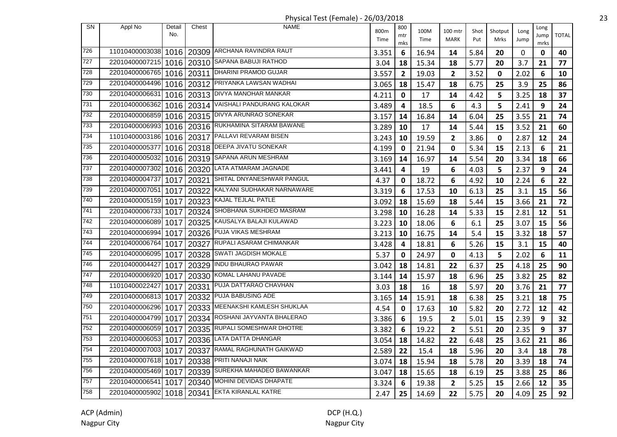| SN  | Appl No        | Detail<br>No. | Chest      | <b>NAME</b>                                        | 800m<br>Time | 800<br>mtr<br>mks | 100M<br>Time | 100 mtr<br>MARK | Shot<br>Put | Shotput<br>Mrks | Long<br>Jump | Long<br>Jump<br>mrks | <b>TOTAL</b> |
|-----|----------------|---------------|------------|----------------------------------------------------|--------------|-------------------|--------------|-----------------|-------------|-----------------|--------------|----------------------|--------------|
| 726 |                |               |            | 11010400003038 1016 20309 ARCHANA RAVINDRA RAUT    | 3.351        | 6                 | 16.94        | 14              | 5.84        | 20              | $\mathbf{0}$ | $\mathbf 0$          | 40           |
| 727 | 22010400007215 |               |            | 1016   20310 SAPANA BABUJI RATHOD                  | 3.04         | 18                | 15.34        | 18              | 5.77        | 20              | 3.7          | 21                   | 77           |
| 728 | 22010400006765 |               |            | 1016   20311   DHARINI PRAMOD GUJAR                | 3.557        | $\overline{2}$    | 19.03        | $\mathbf{2}$    | 3.52        | 0               | 2.02         | 6                    | 10           |
| 729 | 22010400004496 |               |            | 1016   20312 PRIYANKA LAWSAN WADHAI                | 3.065        | 18                | 15.47        | 18              | 6.75        | 25              | 3.9          | 25                   | 86           |
| 730 | 22010400006631 |               |            | 1016   20313   DIVYA MANOHAR MANKAR                | 4.211        | 0                 | 17           | 14              | 4.42        | 5               | 3.25         | 18                   | 37           |
| 731 | 22010400006362 |               | 1016 20314 | VAISHALI PANDURANG KALOKAR                         | 3.489        | 4                 | 18.5         | 6               | 4.3         | 5               | 2.41         | 9                    | 24           |
| 732 | 22010400006859 |               |            | 1016   20315   DIVYA ARUNRAO SONEKAR               | 3.157        | 14                | 16.84        | 14              | 6.04        | 25              | 3.55         | 21                   | 74           |
| 733 |                |               |            | 22010400006993 1016 20316 RUKHAMINA SITARAM BAWANE | 3.289        | 10                | 17           | 14              | 5.44        | 15              | 3.52         | 21                   | 60           |
| 734 | 11010400003186 |               |            | 1016   20317   PALLAVI REVARAM BISEN               | 3.243        | 10                | 19.59        | $\overline{2}$  | 3.86        | $\mathbf 0$     | 2.87         | 12                   | 24           |
| 735 | 22010400005377 |               |            | 1016   20318   DEEPA JIVATU SONEKAR                | 4.199        | 0                 | 21.94        | 0               | 5.34        | 15              | 2.13         | 6                    | 21           |
| 736 | 22010400005032 |               |            | 1016   20319 SAPANA ARUN MESHRAM                   | 3.169        | 14                | 16.97        | 14              | 5.54        | 20              | 3.34         | 18                   | 66           |
| 737 | 22010400007302 |               |            | 1016   20320 LATA ATMARAM JAGNADE                  | 3.441        | 4                 | 19           | 6               | 4.03        | 5               | 2.37         | 9                    | 24           |
| 738 | 22010400004737 | 10171         | 20321      | SHITAL DNYANESHWAR PANGUL                          | 4.37         | 0                 | 18.72        | 6               | 4.92        | 10              | 2.24         | 6                    | 22           |
| 739 | 22010400007051 | 10171         | 20322      | KALYANI SUDHAKAR NARNAWARE                         | 3.319        | 6                 | 17.53        | 10              | 6.13        | 25              | 3.1          | 15                   | 56           |
| 740 | 22010400005159 | 1017          |            | 20323 KAJAL TEJLAL PATLE                           | 3.092        | 18                | 15.69        | 18              | 5.44        | 15              | 3.66         | 21                   | 72           |
| 741 | 22010400006733 | 1017          |            | 20324 SHOBHANA SUKHDEO MASRAM                      | 3.298        | 10                | 16.28        | 14              | 5.33        | 15              | 2.81         | 12                   | 51           |
| 742 | 22010400006089 |               |            | 1017   20325   KAUSALYA BALAJI KULAWAD             | 3.223        | 10                | 18.06        | 6               | 6.1         | 25              | 3.07         | 15                   | 56           |
| 743 | 22010400006994 | 1017          |            | 20326 PUJA VIKAS MESHRAM                           | 3.213        | 10                | 16.75        | 14              | 5.4         | 15              | 3.32         | 18                   | 57           |
| 744 | 22010400006764 | 1017          |            | 20327 RUPALI ASARAM CHIMANKAR                      | 3.428        | 4                 | 18.81        | 6               | 5.26        | 15              | 3.1          | 15                   | 40           |
| 745 | 22010400006095 | 1017          | 20328      | <b>SWATI JAGDISH MOKALE</b>                        | 5.37         | 0                 | 24.97        | 0               | 4.13        | 5               | 2.02         | 6                    | 11           |
| 746 | 22010400004427 | 1017          |            | 20329 INDU BHAURAO PAWAR                           | 3.042        | 18                | 14.81        | 22              | 6.37        | 25              | 4.18         | 25                   | 90           |
| 747 | 22010400006920 | 1017          | 20330      | KOMAL LAHANU PAVADE                                | 3.144        | 14                | 15.97        | 18              | 6.96        | 25              | 3.82         | 25                   | 82           |
| 748 | 11010400022427 | 1017          | 20331      | PUJA DATTARAO CHAVHAN                              | 3.03         | 18                | 16           | 18              | 5.97        | 20              | 3.76         | 21                   | 77           |
| 749 | 22010400006813 | 1017          | 20332      | PUJA BABUSING ADE                                  | 3.165        | 14                | 15.91        | 18              | 6.38        | 25              | 3.21         | 18                   | 75           |
| 750 | 22010400006296 |               |            | 1017   20333   MEENAKSHI KAMLESH SHUKLAA           | 4.54         | $\mathbf 0$       | 17.63        | 10              | 5.82        | 20              | 2.72         | 12                   | 42           |
| 751 | 22010400004799 | 1017          |            | 20334 ROSHANI JAYVANTA BHALERAO                    | 3.386        | 6                 | 19.5         | $\overline{2}$  | 5.01        | 15              | 2.39         | 9                    | 32           |
| 752 | 22010400006059 |               |            | 1017   20335   RUPALI SOMESHWAR DHOTRE             | 3.382        | 6                 | 19.22        | $\overline{2}$  | 5.51        | 20              | 2.35         | 9                    | 37           |
| 753 | 22010400006053 | 10171         |            | 20336 LATA DATTA DHANGAR                           | 3.054        | 18                | 14.82        | 22              | 6.48        | 25              | 3.62         | 21                   | 86           |
| 754 | 22010400007003 | 1017          | 20337      | RAMAL RAGHUNATH GAIKWAD                            | 2.589        | 22                | 15.4         | 18              | 5.96        | 20              | 3.4          | 18                   | 78           |
| 755 | 22010400007618 | 1017          | 20338      | PRITI NANAJI NAIK                                  | 3.074        | 18                | 15.94        | 18              | 5.78        | 20              | 3.39         | 18                   | 74           |
| 756 | 22010400005469 |               | 1017 20339 | SUREKHA MAHADEO BAWANKAR                           | 3.047        | 18                | 15.65        | 18              | 6.19        | 25              | 3.88         | 25                   | 86           |
| 757 | 22010400006541 | 1017 I        | 20340      | MOHINI DEVIDAS DHAPATE                             | 3.324        | 6                 | 19.38        | 2               | 5.25        | 15              | 2.66         | 12                   | 35           |
| 758 | 22010400005902 |               |            | 1018   20341 EKTA KIRANLAL KATRE                   | 2.47         | 25                | 14.69        | 22              | 5.75        | 20              | 4.09         | 25                   | 92           |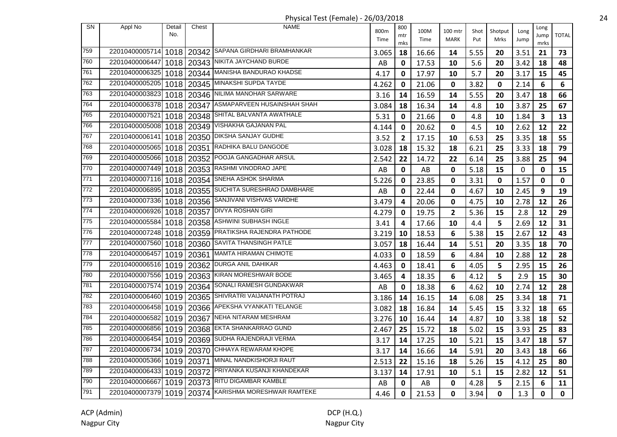| <b>SN</b> | Appl No                   | Detail | Chest      | <b>NAME</b>                                           |       | 800          |       |              |      |             |      |              |              |
|-----------|---------------------------|--------|------------|-------------------------------------------------------|-------|--------------|-------|--------------|------|-------------|------|--------------|--------------|
|           |                           | No.    |            |                                                       | 800m  | mtr          | 100M  | 100 mtr      | Shot | Shotput     | Long | Long<br>Jump | <b>TOTAL</b> |
|           |                           |        |            |                                                       | Time  | mks          | Time  | <b>MARK</b>  | Put  | Mrks        | Jump | mrks         |              |
| 759       | 22010400005714            |        |            | 1018   20342 SAPANA GIRDHARI BRAMHANKAR               | 3.065 | 18           | 16.66 | 14           | 5.55 | 20          | 3.51 | 21           | 73           |
| 760       | 22010400006447            |        |            | 1018   20343 NIKITA JAYCHAND BURDE                    | AB    | 0            | 17.53 | 10           | 5.6  | 20          | 3.42 | 18           | 48           |
| 761       | 22010400006325            |        | 1018 20344 | MANISHA BANDURAO KHADSE                               | 4.17  | 0            | 17.97 | 10           | 5.7  | 20          | 3.17 | 15           | 45           |
| 762       | 22010400005205            |        | 1018 20345 | MINAKSHI SUPDA TAYDE                                  | 4.262 | 0            | 21.06 | 0            | 3.82 | 0           | 2.14 | 6            | 6            |
| 763       | 22010400003823            |        |            | 1018   20346   NILIMA MANOHAR SARWARE                 | 3.16  | 14           | 16.59 | 14           | 5.55 | 20          | 3.47 | 18           | 66           |
| 764       |                           |        |            | 22010400006378 1018 20347 ASMAPARVEEN HUSAINSHAH SHAH | 3.084 | 18           | 16.34 | 14           | 4.8  | 10          | 3.87 | 25           | 67           |
| 765       | 22010400007521            |        |            | 1018   20348   SHITAL BALVANTA AWATHALE               | 5.31  | 0            | 21.66 | 0            | 4.8  | 10          | 1.84 | 3            | 13           |
| 766       | 22010400005008            |        |            | 1018   20349   VISHAKHA GAJANAN PAL                   | 4.144 | 0            | 20.62 | 0            | 4.5  | 10          | 2.62 | 12           | 22           |
| 767       | 22010400006141            | 1018   |            | 20350 DIKSHA SANJAY GUDHE                             | 3.52  | $\mathbf{2}$ | 17.15 | 10           | 6.53 | 25          | 3.35 | 18           | 55           |
| 768       | 22010400005065            |        |            | 1018   20351   RADHIKA BALU DANGODE                   | 3.028 | 18           | 15.32 | 18           | 6.21 | 25          | 3.33 | 18           | 79           |
| 769       | 22010400005066            | 1018   |            | 20352 POOJA GANGADHAR ARSUL                           | 2.542 | 22           | 14.72 | 22           | 6.14 | 25          | 3.88 | 25           | 94           |
| 770       | 22010400007449 1018 20353 |        |            | RASHMI VINODRAO JAPE                                  | AB    | $\mathbf 0$  | AB    | 0            | 5.18 | 15          | 0    | $\mathbf 0$  | 15           |
| 771       | 22010400007116            |        |            | 1018   20354 SNEHA ASHOK SHARMA                       | 5.226 | 0            | 23.85 | 0            | 3.31 | 0           | 1.57 | 0            | $\mathbf 0$  |
| 772       | 22010400006895            |        |            | 1018   20355   SUCHITA SURESHRAO DAMBHARE             | AB    | 0            | 22.44 | $\mathbf 0$  | 4.67 | 10          | 2.45 | 9            | 19           |
| 773       | 22010400007336            |        |            | 1018   20356 SANJIVANI VISHVAS VARDHE                 | 3.479 | 4            | 20.06 | 0            | 4.75 | 10          | 2.78 | 12           | 26           |
| 774       | 22010400006926            |        |            | 1018   20357   DIVYA ROSHAN GIRI                      | 4.279 | 0            | 19.75 | $\mathbf{2}$ | 5.36 | 15          | 2.8  | 12           | 29           |
| 775       | 22010400005584            |        |            | 1018   20358   ASHWINI SUBHASH INGLE                  | 3.41  | 4            | 17.66 | 10           | 4.4  | 5           | 2.69 | 12           | 31           |
| 776       | 22010400007248            |        |            | 1018   20359 PRATIKSHA RAJENDRA PATHODE               | 3.219 | 10           | 18.53 | 6            | 5.38 | 15          | 2.67 | 12           | 43           |
| 777       | 22010400007560            |        |            | 1018   20360 SAVITA THANSINGH PATLE                   | 3.057 | 18           | 16.44 | 14           | 5.51 | 20          | 3.35 | 18           | 70           |
| 778       | 22010400006457            |        | 1019 20361 | <b>MAMTA HIRAMAN CHIMOTE</b>                          | 4.033 | 0            | 18.59 | 6            | 4.84 | 10          | 2.88 | 12           | 28           |
| 779       | 22010400006516            |        | 1019 20362 | DURGA ANIL DAHIKAR                                    | 4.463 | 0            | 18.41 | 6            | 4.05 | 5           | 2.95 | 15           | 26           |
| 780       | 22010400007556 1019 20363 |        |            | KIRAN MORESHWAR BODE                                  | 3.465 | 4            | 18.35 | 6            | 4.12 | 5           | 2.9  | 15           | 30           |
| 781       | 22010400007574            |        |            | 1019   20364 SONALI RAMESH GUNDAKWAR                  | AB    | 0            | 18.38 | 6            | 4.62 | 10          | 2.74 | 12           | 28           |
| 782       |                           |        |            | 22010400006460 1019 20365 SHIVRATRI VAIJANATH POTRAJ  | 3.186 | 14           | 16.15 | 14           | 6.08 | 25          | 3.34 | 18           | 71           |
| 783       |                           |        |            | 22010400006458 1019 20366 APEKSHA VYANKATI TELANGE    | 3.082 | 18           | 16.84 | 14           | 5.45 | 15          | 3.32 | 18           | 65           |
| 784       | 22010400006582            | 1019   |            | 20367 NEHA NITARAM MESHRAM                            | 3.276 | 10           | 16.44 | 14           | 4.87 | 10          | 3.38 | 18           | 52           |
| 785       | 22010400006856            |        |            | 1019   20368   EKTA SHANKARRAO GUND                   | 2.467 | 25           | 15.72 | 18           | 5.02 | 15          | 3.93 | 25           | 83           |
| 786       | 22010400006454            |        |            | 1019   20369 SUDHA RAJENDRAJI VERMA                   | 3.17  | 14           | 17.25 | 10           | 5.21 | 15          | 3.47 | 18           | 57           |
| 787       |                           |        |            | 22010400006734 1019 20370 CHHAYA REWARAM KHOPE        | 3.17  | 14           | 16.66 | 14           | 5.91 | 20          | 3.43 | 18           | 66           |
| 788       |                           |        |            | 22010400005366 1019 20371 MINAL NANDKISHORJI RAUT     | 2.513 | 22           | 15.16 | 18           | 5.26 | 15          | 4.12 | 25           | 80           |
| 789       | 22010400006433            |        |            | 1019   20372 PRIYANKA KUSANJI KHANDEKAR               | 3.137 | 14           | 17.91 | 10           | 5.1  | 15          | 2.82 | 12           | 51           |
| 790       |                           |        |            | 22010400006667 1019 20373 RITU DIGAMBAR KAMBLE        | AB    | 0            | AB    | $\mathbf 0$  | 4.28 | 5           | 2.15 | 6            | 11           |
| 791       |                           |        |            | 22010400007379 1019 20374 KARISHMA MORESHWAR RAMTEKE  | 4.46  | 0            | 21.53 | $\mathbf 0$  | 3.94 | $\mathbf 0$ | 1.3  | 0            | $\mathbf 0$  |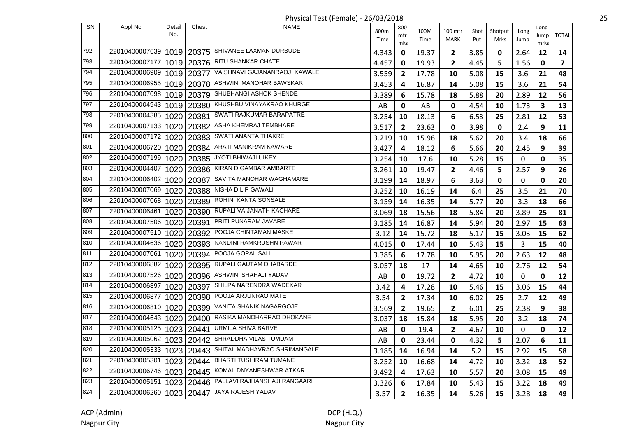Physical Test (Female) - 26/03/2018 25

| <b>SN</b> | Appl No        | Detail<br>No. | Chest      | <b>NAME</b>                                 | 800m  | 800<br>mtr     | 100M  | 100 mtr        | Shot | Shotput     | Long        | Long<br>Jump            | <b>TOTAL</b>            |
|-----------|----------------|---------------|------------|---------------------------------------------|-------|----------------|-------|----------------|------|-------------|-------------|-------------------------|-------------------------|
|           |                |               |            |                                             | Time  | mks            | Time  | <b>MARK</b>    | Put  | Mrks        | Jump        | mrks                    |                         |
| 792       | 22010400007639 |               |            | 1019   20375 SHIVANEE LAXMAN DURBUDE        | 4.343 | 0              | 19.37 | $\overline{2}$ | 3.85 | 0           | 2.64        | 12                      | 14                      |
| 793       | 22010400007177 |               |            | 1019   20376   RITU SHANKAR CHATE           | 4.457 | 0              | 19.93 | $\mathbf{2}$   | 4.45 | 5           | 1.56        | 0                       | $\overline{\mathbf{z}}$ |
| 794       | 22010400006909 |               | 1019 20377 | VAISHNAVI GAJANANRAOJI KAWALE               | 3.559 | $\mathbf{2}$   | 17.78 | 10             | 5.08 | 15          | 3.6         | 21                      | 48                      |
| 795       | 22010400006955 |               |            | 1019   20378   ASHWINI MANOHAR BAWSKAR      | 3.453 | 4              | 16.87 | 14             | 5.08 | 15          | 3.6         | 21                      | 54                      |
| 796       | 22010400007098 |               |            | 1019   20379 SHUBHANGI ASHOK SHENDE         | 3.389 | 6              | 15.78 | 18             | 5.88 | 20          | 2.89        | 12                      | 56                      |
| 797       | 22010400004943 |               |            | 1019   20380 KHUSHBU VINAYAKRAO KHURGE      | AB    | 0              | AB    | $\mathbf 0$    | 4.54 | 10          | 1.73        | $\overline{\mathbf{3}}$ | 13                      |
| 798       | 22010400004385 |               |            | 1020   20381 SWATI RAJKUMAR BARAPATRE       | 3.254 | 10             | 18.13 | 6              | 6.53 | 25          | 2.81        | 12                      | 53                      |
| 799       | 22010400007133 |               |            | 1020   20382   ASHA KHEMRAJ TEMBHARE        | 3.517 | $\overline{2}$ | 23.63 | 0              | 3.98 | 0           | 2.4         | 9                       | 11                      |
| 800       | 22010400007172 | 1020          |            | 20383 SWATI ANANTA THAKRE                   | 3.219 | 10             | 15.96 | 18             | 5.62 | 20          | 3.4         | 18                      | 66                      |
| 801       | 22010400006720 | 1020          |            | 20384 ARATI MANIKRAM KAWARE                 | 3.427 | 4              | 18.12 | 6              | 5.66 | 20          | 2.45        | 9                       | 39                      |
| 802       | 22010400007199 | 1020          |            | 20385 JYOTI BHIWAJI UIKEY                   | 3.254 | 10             | 17.6  | 10             | 5.28 | 15          | 0           | $\mathbf 0$             | 35                      |
| 803       | 22010400004407 | 1020          | 20386      | KIRAN DIGAMBAR AMBARTE                      | 3.261 | 10             | 19.47 | $\overline{2}$ | 4.46 | 5           | 2.57        | 9                       | 26                      |
| 804       | 22010400006402 | 1020          | 20387      | SAVITA MANOHAR WAGHAMARE                    | 3.199 | 14             | 18.97 | 6              | 3.63 | $\mathbf 0$ | 0           | $\mathbf 0$             | 20                      |
| 805       | 22010400007069 | 1020          | 20388      | NISHA DILIP GAWALI                          | 3.252 | 10             | 16.19 | 14             | 6.4  | 25          | 3.5         | 21                      | 70                      |
| 806       | 22010400007068 |               |            | 1020   20389 ROHINI KANTA SONSALE           | 3.159 | 14             | 16.35 | 14             | 5.77 | 20          | 3.3         | 18                      | 66                      |
| 807       | 22010400006461 |               |            | 1020   20390 RUPALI VAIJANATH KACHARE       | 3.069 | 18             | 15.56 | 18             | 5.84 | 20          | 3.89        | 25                      | 81                      |
| 808       | 22010400007506 | 1020          |            | 20391 PRITI PUNARAM JAVARE                  | 3.185 | 14             | 16.87 | 14             | 5.94 | 20          | 2.97        | 15                      | 63                      |
| 809       | 22010400007510 | 1020          |            | 20392 POOJA CHINTAMAN MASKE                 | 3.12  | 14             | 15.72 | 18             | 5.17 | 15          | 3.03        | 15                      | 62                      |
| 810       | 22010400004636 | 1020          |            | 20393 NANDINI RAMKRUSHN PAWAR               | 4.015 | 0              | 17.44 | 10             | 5.43 | 15          | 3           | 15                      | 40                      |
| 811       | 22010400007061 | 1020          | 20394      | <b>POOJA GOPAL SALI</b>                     | 3.385 | 6              | 17.78 | 10             | 5.95 | 20          | 2.63        | 12                      | 48                      |
| 812       | 22010400006882 | 1020          | 20395      | RUPALI GAUTAM DHABARDE                      | 3.057 | 18             | 17    | 14             | 4.65 | 10          | 2.76        | 12                      | 54                      |
| 813       | 22010400007526 | 1020          |            | 20396 ASHWINI SHAHAJI YADAV                 | AB    | 0              | 19.72 | $\mathbf{2}$   | 4.72 | 10          | $\mathbf 0$ | 0                       | 12                      |
| 814       | 22010400006897 | 1020          |            | 20397 SHILPA NARENDRA WADEKAR               | 3.42  | 4              | 17.28 | 10             | 5.46 | 15          | 3.06        | 15                      | 44                      |
| 815       | 22010400006877 | 1020          |            | 20398 POOJA ARJUNRAO MATE                   | 3.54  | $\mathbf{2}$   | 17.34 | 10             | 6.02 | 25          | 2.7         | 12                      | 49                      |
| 816       | 22010400006810 | 1020          |            | 20399 VANITA SHANIK NAGARGOJE               | 3.569 | $\mathbf{2}$   | 19.65 | $\overline{2}$ | 6.01 | 25          | 2.38        | 9                       | 38                      |
| 817       | 22010400004643 | 1020          |            | 20400 RASIKA MANOHARRAO DHOKANE             | 3.037 | 18             | 15.84 | 18             | 5.95 | 20          | 3.2         | 18                      | 74                      |
| 818       | 22010400005125 | 1023          | 20441      | URMILA SHIVA BARVE                          | AB    | 0              | 19.4  | $\overline{2}$ | 4.67 | 10          | $\mathbf 0$ | 0                       | 12                      |
| 819       | 22010400005062 | 1023          |            | 20442 SHRADDHA VILAS TUMDAM                 | AB    | 0              | 23.44 | 0              | 4.32 | 5           | 2.07        | 6                       | 11                      |
| 820       | 22010400005333 | 1023          |            | 20443 SHITAL MADHAVRAO SHRIMANGALE          | 3.185 | 14             | 16.94 | 14             | 5.2  | 15          | 2.92        | 15                      | 58                      |
| 821       | 22010400005301 | 1023          | 20444      | <b>BHARTI TUSHIRAM TUMANE</b>               | 3.252 | 10             | 16.68 | 14             | 4.72 | 10          | 3.32        | 18                      | 52                      |
| 822       | 22010400006746 | 1023          |            | 20445 KOMAL DNYANESHWAR ATKAR               | 3.492 | 4              | 17.63 | 10             | 5.57 | 20          | 3.08        | 15                      | 49                      |
| 823       | 22010400005151 |               |            | 1023   20446   PALLAVI RAJHANSHAJI RANGAARI | 3.326 | 6              | 17.84 | 10             | 5.43 | 15          | 3.22        | 18                      | 49                      |
| 824       | 22010400006260 |               |            | 1023   20447 JAYA RAJESH YADAV              | 3.57  | $\overline{2}$ | 16.35 | 14             | 5.26 | 15          | 3.28        | 18                      | 49                      |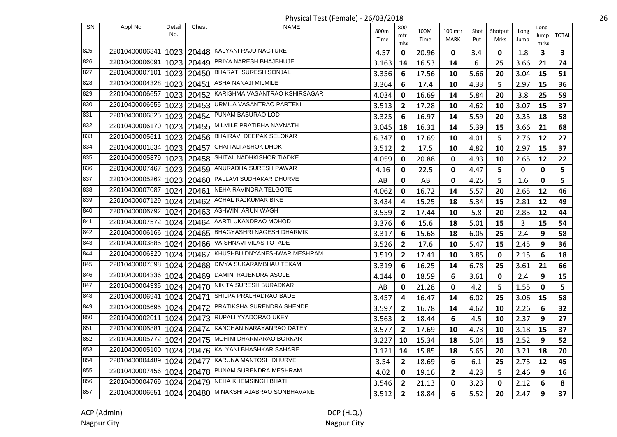Physical Test (Female) - 26/03/2018 26

| <b>SN</b> | Appl No        | Detail | Chest      | <b>NAME</b>                                           | 800m  | 800            | 100M  | 100 mtr      | Shot | Shotput     | Long | Long                    |                         |
|-----------|----------------|--------|------------|-------------------------------------------------------|-------|----------------|-------|--------------|------|-------------|------|-------------------------|-------------------------|
|           |                | No.    |            |                                                       | Time  | mtr<br>mks     | Time  | <b>MARK</b>  | Put  | Mrks        | Jump | Jump<br>mrks            | <b>TOTAL</b>            |
| 825       | 22010400006341 |        |            | 1023   20448   KALYANI RAJU NAGTURE                   | 4.57  | $\mathbf 0$    | 20.96 | 0            | 3.4  | 0           | 1.8  | $\overline{\mathbf{3}}$ | $\overline{\mathbf{3}}$ |
| 826       | 22010400006091 | 1023   |            | 20449 PRIYA NARESH BHAJBHUJE                          | 3.163 | 14             | 16.53 | 14           | 6    | 25          | 3.66 | 21                      | 74                      |
| 827       | 22010400007101 |        |            | 1023   20450   BHARATI SURESH SONJAL                  | 3.356 | 6              | 17.56 | 10           | 5.66 | 20          | 3.04 | 15                      | 51                      |
| 828       | 22010400004328 | 1023   | 20451      | ASHA NANAJI MILMILE                                   | 3.364 | 6              | 17.4  | 10           | 4.33 | 5           | 2.97 | 15                      | 36                      |
| 829       | 22010400006657 |        | 1023 20452 | KARISHMA VASANTRAO KSHIRSAGAR                         | 4.034 | 0              | 16.69 | 14           | 5.84 | 20          | 3.8  | 25                      | 59                      |
| 830       | 22010400006655 | 1023   | 20453      | URMILA VASANTRAO PARTEKI                              | 3.513 | $\mathbf{2}$   | 17.28 | 10           | 4.62 | 10          | 3.07 | 15                      | 37                      |
| 831       | 22010400006825 |        |            | 1023   20454   PUNAM BABURAO LOD                      | 3.325 | 6              | 16.97 | 14           | 5.59 | 20          | 3.35 | 18                      | 58                      |
| 832       | 22010400006170 |        |            | 1023   20455   MILMILE PRATIBHA NAVNATH               | 3.045 | 18             | 16.31 | 14           | 5.39 | 15          | 3.66 | 21                      | 68                      |
| 833       | 22010400005611 |        |            | 1023   20456   BHAIRAVI DEEPAK SELOKAR                | 6.347 | $\mathbf 0$    | 17.69 | 10           | 4.01 | 5           | 2.76 | 12                      | 27                      |
| 834       | 22010400001834 | 1023   |            | 20457 CHAITALI ASHOK DHOK                             | 3.512 | $\overline{2}$ | 17.5  | 10           | 4.82 | 10          | 2.97 | 15                      | 37                      |
| 835       | 22010400005879 | 1023   | 20458      | SHITAL NADHKISHOR TIADKE                              | 4.059 | 0              | 20.88 | 0            | 4.93 | 10          | 2.65 | 12                      | 22                      |
| 836       | 22010400007467 | 1023   | 20459      | ANURADHA SURESH PAWAR                                 | 4.16  | 0              | 22.5  | $\mathbf 0$  | 4.47 | 5           | 0    | 0                       | 5                       |
| 837       | 22010400005262 | 1023   | 20460      | PALLAVI SUDHAKAR DHURVE                               | AB    | 0              | AB    | 0            | 4.25 | 5           | 1.6  | 0                       | 5                       |
| 838       | 22010400007087 | 1024   | 20461      | NEHA RAVINDRA TELGOTE                                 | 4.062 | 0              | 16.72 | 14           | 5.57 | 20          | 2.65 | 12                      | 46                      |
| 839       | 22010400007129 | 1024   | 20462      | ACHAL RAJKUMAR BIKE                                   | 3.434 | 4              | 15.25 | 18           | 5.34 | 15          | 2.81 | 12                      | 49                      |
| 840       | 22010400006792 |        |            | 1024   20463   ASHWINI ARUN WAGH                      | 3.559 | $\mathbf{2}$   | 17.44 | 10           | 5.8  | 20          | 2.85 | 12                      | 44                      |
| 841       | 22010400007572 | 1024   | 20464      | AARTI UKANDRAO MOHOD                                  | 3.376 | 6              | 15.6  | 18           | 5.01 | 15          | 3    | 15                      | 54                      |
| 842       | 22010400006166 |        |            | 1024   20465   BHAGYASHRI NAGESH DHARMIK              | 3.317 | 6              | 15.68 | 18           | 6.05 | 25          | 2.4  | 9                       | 58                      |
| 843       | 22010400003885 | 1024   |            | 20466 VAISHNAVI VILAS TOTADE                          | 3.526 | $\mathbf{2}$   | 17.6  | 10           | 5.47 | 15          | 2.45 | 9                       | 36                      |
| 844       | 22010400006320 | 1024   | 20467      | KHUSHBU DNYANESHWAR MESHRAM                           | 3.519 | $\mathbf{2}$   | 17.41 | 10           | 3.85 | 0           | 2.15 | 6                       | 18                      |
| 845       | 22010400007598 | 1024   | 20468      | DIVYA SUKARAMBHAU TEKAM                               | 3.319 | 6              | 16.25 | 14           | 6.78 | 25          | 3.61 | 21                      | 66                      |
| 846       | 22010400004336 |        | 1024 20469 | DAMINI RAJENDRA ASOLE                                 | 4.144 | 0              | 18.59 | 6            | 3.61 | $\mathbf 0$ | 2.4  | 9                       | 15                      |
| 847       | 22010400004335 | 1024   |            | 20470 NIKITA SURESH BURADKAR                          | AB    | 0              | 21.28 | $\mathbf 0$  | 4.2  | 5           | 1.55 | $\mathbf 0$             | 5                       |
| 848       | 22010400006941 |        | 1024 20471 | SHILPA PRALHADRAO BADE                                | 3.457 | 4              | 16.47 | 14           | 6.02 | 25          | 3.06 | 15                      | 58                      |
| 849       | 22010400005695 | 1024   |            | 20472 PRATIKSHA SURENDRA SHENDE                       | 3.597 | $\overline{2}$ | 16.78 | 14           | 4.62 | 10          | 2.26 | 6                       | 32                      |
| 850       | 22010400002011 |        |            | 1024   20473   RUPALI YYADORAO UKEY                   | 3.563 | $\mathbf{2}$   | 18.44 | 6            | 4.5  | 10          | 2.37 | 9                       | 27                      |
| 851       | 22010400006881 | 1024   |            | 20474 KANCHAN NARAYANRAO DATEY                        | 3.577 | $\mathbf{2}$   | 17.69 | 10           | 4.73 | 10          | 3.18 | 15                      | 37                      |
| 852       | 22010400005772 | 1024   |            | 20475 MOHINI DHARMARAO BORKAR                         | 3.227 | 10             | 15.34 | 18           | 5.04 | 15          | 2.52 | 9                       | 52                      |
| 853       | 22010400005100 | 1024   |            | 20476 KALYANI BHASHKAR SAHARE                         | 3.121 | 14             | 15.85 | 18           | 5.65 | 20          | 3.21 | 18                      | 70                      |
| 854       | 22010400004489 | 1024   | 20477      | <b>KARUNA MANTOSH DHURVE</b>                          | 3.54  | $\mathbf{2}$   | 18.69 | 6            | 6.1  | 25          | 2.75 | 12                      | 45                      |
| 855       | 22010400007456 | 1024   |            | 20478 PUNAM SURENDRA MESHRAM                          | 4.02  | 0              | 19.16 | $\mathbf{2}$ | 4.23 | 5           | 2.46 | 9                       | 16                      |
| 856       | 22010400004769 |        |            | 1024   20479   NEHA KHEMSINGH BHATI                   | 3.546 | $\mathbf{2}$   | 21.13 | $\mathbf 0$  | 3.23 | 0           | 2.12 | 6                       | 8                       |
| 857       |                |        |            | 22010400006651 1024 20480 MINAKSHI AJABRAO SONBHAVANE | 3.512 | $\mathbf{2}$   | 18.84 | 6            | 5.52 | 20          | 2.47 | 9                       | 37                      |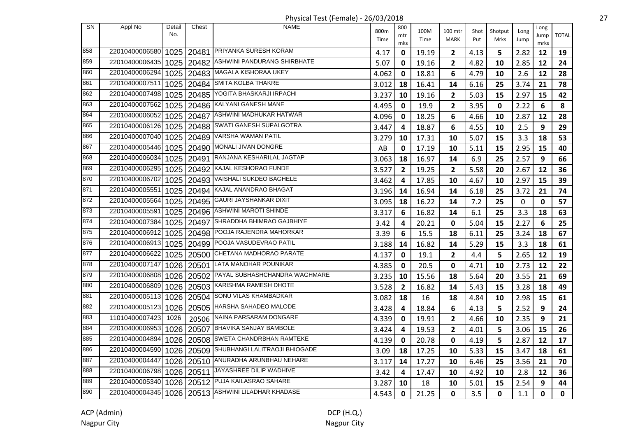| <b>SN</b> | Appl No        | Detail | Chest      | <b>NAME</b>                                        |       | 800            |       |                |      |              |             | Long        |              |
|-----------|----------------|--------|------------|----------------------------------------------------|-------|----------------|-------|----------------|------|--------------|-------------|-------------|--------------|
|           |                | No.    |            |                                                    | 800m  | mtr            | 100M  | 100 mtr        | Shot | Shotput      | Long        | Jump        | <b>TOTAL</b> |
|           |                |        |            |                                                    | Time  | mks            | Time  | <b>MARK</b>    | Put  | Mrks         | Jump        | mrks        |              |
| 858       | 22010400006580 |        | 1025 20481 | <b>PRIYANKA SURESH KORAM</b>                       | 4.17  | 0              | 19.19 | $\mathbf{2}$   | 4.13 | 5            | 2.82        | 12          | 19           |
| 859       | 22010400006435 | 1025   | 20482      | ASHWINI PANDURANG SHIRBHATE                        | 5.07  | 0              | 19.16 | $\mathbf{2}$   | 4.82 | 10           | 2.85        | 12          | 24           |
| 860       | 22010400006294 | 1025   | 20483      | MAGALA KISHORAA UKEY                               | 4.062 | 0              | 18.81 | 6              | 4.79 | 10           | 2.6         | 12          | 28           |
| 861       | 22010400007511 |        | 1025 20484 | SMITA KOLBA THAKRE                                 | 3.012 | 18             | 16.41 | 14             | 6.16 | 25           | 3.74        | 21          | 78           |
| 862       | 22010400007498 | 1025   | 20485      | YOGITA BHASKARJI IRPACHI                           | 3.237 | 10             | 19.16 | $\overline{2}$ | 5.03 | 15           | 2.97        | 15          | 42           |
| 863       | 22010400007562 | 1025   |            | 20486 KALYANI GANESH MANE                          | 4.495 | 0              | 19.9  | $\mathbf{2}$   | 3.95 | 0            | 2.22        | 6           | 8            |
| 864       | 22010400006052 | 1025   |            | 20487 ASHWINI MADHUKAR HATWAR                      | 4.096 | 0              | 18.25 | 6              | 4.66 | 10           | 2.87        | 12          | 28           |
| 865       | 22010400006126 |        | 1025 20488 | SWATI GANESH SUPALGOTRA                            | 3.447 | 4              | 18.87 | 6              | 4.55 | 10           | 2.5         | 9           | 29           |
| 866       | 22010400007040 | 1025   | 20489      | VARSHA WAMAN PATIL                                 | 3.279 | 10             | 17.31 | 10             | 5.07 | 15           | 3.3         | 18          | 53           |
| 867       | 22010400005446 | 1025   |            | 20490 MONALI JIVAN DONGRE                          | AB    | 0              | 17.19 | 10             | 5.11 | 15           | 2.95        | 15          | 40           |
| 868       | 22010400006034 | 1025   |            | 20491 RANJANA KESHARILAL JAGTAP                    | 3.063 | 18             | 16.97 | 14             | 6.9  | 25           | 2.57        | 9           | 66           |
| 869       | 22010400006295 | 1025   |            | 20492 KAJAL KESHORAO FUNDE                         | 3.527 | $\mathbf{2}$   | 19.25 | $\overline{2}$ | 5.58 | 20           | 2.67        | 12          | 36           |
| 870       | 22010400006702 |        | 1025 20493 | VAISHALI SUKDEO BAGHELE                            | 3.462 | 4              | 17.85 | 10             | 4.67 | 10           | 2.97        | 15          | 39           |
| 871       | 22010400005551 |        | 1025 20494 | KAJAL ANANDRAO BHAGAT                              | 3.196 | 14             | 16.94 | 14             | 6.18 | 25           | 3.72        | 21          | 74           |
| 872       | 22010400005564 |        | 1025 20495 | <b>GAURI JAYSHANKAR DIXIT</b>                      | 3.095 | 18             | 16.22 | 14             | 7.2  | 25           | $\mathbf 0$ | $\mathbf 0$ | 57           |
| 873       | 22010400005591 | 1025   |            | 20496 ASHWINI MAROTI SHINDE                        | 3.317 | 6              | 16.82 | 14             | 6.1  | 25           | 3.3         | 18          | 63           |
| 874       | 22010400007384 | 1025   |            | 20497 SHRADDHA BHIMRAO GAJBHIYE                    | 3.42  | 4              | 20.21 | 0              | 5.04 | 15           | 2.27        | 6           | 25           |
| 875       | 22010400006912 | 1025   |            | 20498 POOJA RAJENDRA MAHORKAR                      | 3.39  | 6              | 15.5  | 18             | 6.11 | 25           | 3.24        | 18          | 67           |
| 876       | 22010400006913 | 1025   | 20499      | POOJA VASUDEVRAO PATIL                             | 3.188 | 14             | 16.82 | 14             | 5.29 | 15           | 3.3         | 18          | 61           |
| 877       | 22010400006622 | 1025   | 20500      | CHETANA MADHORAO PARATE                            | 4.137 | 0              | 19.1  | $\mathbf{2}$   | 4.4  | 5            | 2.65        | 12          | 19           |
| 878       | 22010400007147 | 1026   | 20501      | LATA MANOHAR POUNIKAR                              | 4.385 | 0              | 20.5  | 0              | 4.71 | 10           | 2.73        | 12          | 22           |
| 879       | 22010400006808 | 1026   | 20502      | PAYAL SUBHASHCHANDRA WAGHMARE                      | 3.235 | 10             | 15.56 | 18             | 5.64 | 20           | 3.55        | 21          | 69           |
| 880       | 22010400006809 | 1026   |            | 20503 KARISHMA RAMESH DHOTE                        | 3.528 | $\overline{2}$ | 16.82 | 14             | 5.43 | 15           | 3.28        | 18          | 49           |
| 881       | 22010400005113 |        |            | 1026   20504   SONU VILAS KHAMBADKAR               | 3.082 | 18             | 16    | 18             | 4.84 | 10           | 2.98        | 15          | 61           |
| 882       | 22010400005123 | 1026   |            | 20505   HARSHA SAHADEO MALODE                      | 3.428 | 4              | 18.84 | 6              | 4.13 | 5            | 2.52        | 9           | 24           |
| 883       | 11010400007423 | 1026   | 20506      | NAINA PARSARAM DONGARE                             | 4.339 | $\mathbf 0$    | 19.91 | $\overline{2}$ | 4.66 | 10           | 2.35        | 9           | 21           |
| 884       | 22010400006953 | 1026   |            | 20507 BHAVIKA SANJAY BAMBOLE                       | 3.424 | 4              | 19.53 | $\overline{2}$ | 4.01 | 5            | 3.06        | 15          | 26           |
| 885       | 22010400004894 | 1026   | 20508      | SWETA CHANDRBHAN RAMTEKE                           | 4.139 | 0              | 20.78 | 0              | 4.19 | 5            | 2.87        | 12          | 17           |
| 886       | 22010400004590 | 1026   | 20509      | SHUBHANGI LALITRAOJI BHIOGADE                      | 3.09  | 18             | 17.25 | 10             | 5.33 | 15           | 3.47        | 18          | 61           |
| 887       | 22010400004447 |        | 1026 20510 | ANURADHA ARUNBHAU NEHARE                           | 3.117 | 14             | 17.27 | 10             | 6.46 | 25           | 3.56        | 21          | 70           |
| 888       | 22010400006798 |        | 1026 20511 | JAYASHREE DILIP WADHIVE                            | 3.42  | 4              | 17.47 | 10             | 4.92 | 10           | 2.8         | 12          | 36           |
| 889       | 22010400005340 |        |            | 1026   20512   PUJA KAILASRAO SAHARE               | 3.287 | 10             | 18    | 10             | 5.01 | 15           | 2.54        | 9           | 44           |
| 890       |                |        |            | 22010400004345 1026 20513 ASHWINI LILADHAR KHADASE | 4.543 | $\mathbf{0}$   | 21.25 | 0              | 3.5  | $\mathbf{0}$ | 1.1         | 0           | 0            |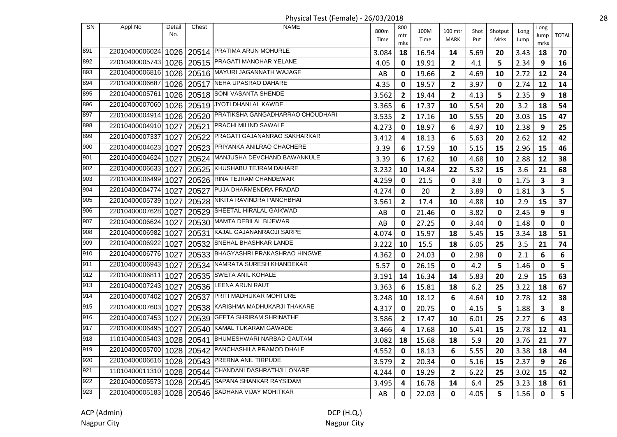| <b>SN</b> | Appl No        | Detail | Chest      | <b>NAME</b>                                      |       | 800            |       |                         |      |             |      | Long        |              |
|-----------|----------------|--------|------------|--------------------------------------------------|-------|----------------|-------|-------------------------|------|-------------|------|-------------|--------------|
|           |                | No.    |            |                                                  | 800m  | mtr            | 100M  | 100 mtr                 | Shot | Shotput     | Long | Jump        | <b>TOTAL</b> |
|           |                |        |            |                                                  | Time  | mks            | Time  | <b>MARK</b>             | Put  | Mrks        | Jump | mrks        |              |
| 891       | 22010400006024 |        |            | 1026   20514   PRATIMA ARUN MOHURLE              | 3.084 | 18             | 16.94 | 14                      | 5.69 | 20          | 3.43 | 18          | 70           |
| 892       | 22010400005743 | 1026   |            | 20515 PRAGATI MANOHAR YELANE                     | 4.05  | 0              | 19.91 | $\mathbf{2}$            | 4.1  | 5           | 2.34 | 9           | 16           |
| 893       | 22010400006816 |        |            | 1026   20516 MAYURI JAGANNATH WAJAGE             | AB    | 0              | 19.66 | $\overline{\mathbf{2}}$ | 4.69 | 10          | 2.72 | 12          | 24           |
| 894       | 22010400006687 |        | 1026 20517 | NEHA UPASRAO DAHARE                              | 4.35  | 0              | 19.57 | $\mathbf{2}$            | 3.97 | $\pmb{0}$   | 2.74 | 12          | 14           |
| 895       | 22010400005761 |        |            | 1026   20518 SONI VASANTA SHENDE                 | 3.562 | $\overline{2}$ | 19.44 | $\mathbf{2}$            | 4.13 | 5           | 2.35 | 9           | 18           |
| 896       | 22010400007060 |        |            | 1026   20519   JYOTI DHANLAL KAWDE               | 3.365 | 6              | 17.37 | 10                      | 5.54 | 20          | 3.2  | 18          | 54           |
| 897       | 22010400004914 | 1026   |            | 20520 PRATIKSHA GANGADHARRAO CHOUDHARI           | 3.535 | $\mathbf{2}$   | 17.16 | 10                      | 5.55 | 20          | 3.03 | 15          | 47           |
| 898       | 22010400004910 | 1027   |            | 20521 PRACHI MILIND SAWALE                       | 4.273 | 0              | 18.97 | 6                       | 4.97 | 10          | 2.38 | 9           | 25           |
| 899       | 22010400007337 | 1027   |            | 20522 PRAGATI GAJANANRAO SAKHARKAR               | 3.412 | 4              | 18.13 | 6                       | 5.63 | 20          | 2.62 | 12          | 42           |
| 900       | 22010400004623 | 1027   |            | 20523 PRIYANKA ANILRAO CHACHERE                  | 3.39  | 6              | 17.59 | 10                      | 5.15 | 15          | 2.96 | 15          | 46           |
| 901       | 22010400004624 | 1027   |            | 20524 MANJUSHA DEVCHAND BAWANKULE                | 3.39  | 6              | 17.62 | 10                      | 4.68 | 10          | 2.88 | 12          | 38           |
| 902       | 22010400006633 | 1027   | 20525      | KHUSHABU TEJRAM DAHARE                           | 3.232 | 10             | 14.84 | 22                      | 5.32 | 15          | 3.6  | 21          | 68           |
| 903       | 22010400006499 | 1027   |            | 20526 RINA TEJRAM CHANDEWAR                      | 4.259 | 0              | 21.5  | 0                       | 3.8  | 0           | 1.75 | 3           | $\mathbf{3}$ |
| 904       | 22010400004774 | 1027   | 20527      | PUJA DHARMENDRA PRADAD                           | 4.274 | 0              | 20    | $\overline{2}$          | 3.89 | 0           | 1.81 | 3           | 5            |
| 905       | 22010400005739 | 1027   |            | 20528 NIKITA RAVINDRA PANCHBHAI                  | 3.561 | $\overline{2}$ | 17.4  | 10                      | 4.88 | 10          | 2.9  | 15          | 37           |
| 906       | 22010400007628 | 1027   |            | 20529 SHEETAL HIRALAL GAIKWAD                    | AB    | 0              | 21.46 | 0                       | 3.82 | 0           | 2.45 | 9           | 9            |
| 907       | 22010400006624 | 1027   |            | 20530 MAMTA DEBILAL BIJEWAR                      | AB    | 0              | 27.25 | 0                       | 3.44 | $\mathbf 0$ | 1.48 | $\mathbf 0$ | $\mathbf 0$  |
| 908       | 22010400006982 | 1027   |            | 20531 KAJAL GAJANANRAOJI SARPE                   | 4.074 | 0              | 15.97 | 18                      | 5.45 | 15          | 3.34 | 18          | 51           |
| 909       | 22010400006922 | 1027   |            | 20532 SNEHAL BHASHKAR LANDE                      | 3.222 | 10             | 15.5  | 18                      | 6.05 | 25          | 3.5  | 21          | 74           |
| 910       | 22010400006776 | 1027   |            | 20533 BHAGYASHRI PRAKASHRAO HINGWE               | 4.362 | 0              | 24.03 | $\mathbf 0$             | 2.98 | $\mathbf 0$ | 2.1  | 6           | 6            |
| 911       | 22010400006943 | 1027   | 20534      | NAMRATA SURESH KHANDEKAR                         | 5.57  | 0              | 26.15 | $\mathbf 0$             | 4.2  | 5           | 1.46 | $\mathbf 0$ | 5            |
| 912       | 22010400006811 | 1027   | 20535      | <b>SWETA ANIL KOHALE</b>                         | 3.191 | 14             | 16.34 | 14                      | 5.83 | 20          | 2.9  | 15          | 63           |
| 913       | 22010400007243 | 1027   |            | 20536 LEENA ARUN RAUT                            | 3.363 | 6              | 15.81 | 18                      | 6.2  | 25          | 3.22 | 18          | 67           |
| 914       | 22010400007402 | 1027   |            | 20537 PRITI MADHUKAR MOHTURE                     | 3.248 | 10             | 18.12 | 6                       | 4.64 | 10          | 2.78 | 12          | 38           |
| 915       | 22010400007603 | 1027   |            | 20538 KARISHMA MADHUKARJI THAKARE                | 4.317 | 0              | 20.75 | $\mathbf 0$             | 4.15 | 5           | 1.88 | 3           | 8            |
| 916       | 22010400007453 | 1027   |            | 20539 GEETA SHRIRAM SHRINATHE                    | 3.586 | $\overline{2}$ | 17.47 | 10                      | 6.01 | 25          | 2.27 | 6           | 43           |
| 917       | 22010400006495 | 1027   |            | 20540 KAMAL TUKARAM GAWADE                       | 3.466 | 4              | 17.68 | 10                      | 5.41 | 15          | 2.78 | 12          | 41           |
| 918       | 11010400005403 | 1028   |            | 20541 BHUMESHWARI NARBAD GAUTAM                  | 3.082 | 18             | 15.68 | 18                      | 5.9  | 20          | 3.76 | 21          | 77           |
| 919       | 22010400005700 | 1028   | 20542      | PANCHASHILA PRAMOD DHALE                         | 4.552 | 0              | 18.13 | 6                       | 5.55 | 20          | 3.38 | 18          | 44           |
| 920       | 22010400006616 | 1028   | 20543      | PRERNA ANIL TIRPUDE                              | 3.579 | 2              | 20.34 | $\mathbf 0$             | 5.16 | 15          | 2.37 | 9           | 26           |
| 921       | 11010400011310 | 1028   | 20544      | CHANDANI DASHRATHJI LONARE                       | 4.244 | 0              | 19.29 | $\overline{\mathbf{c}}$ | 6.22 | 25          | 3.02 | 15          | 42           |
| 922       | 22010400005573 |        |            | 1028   20545   SAPANA SHANKAR RAYSIDAM           | 3.495 | 4              | 16.78 | 14                      | 6.4  | 25          | 3.23 | 18          | 61           |
| 923       |                |        |            | 22010400005183 1028 20546 SADHANA VIJAY MOHITKAR | AB    | 0              | 22.03 | 0                       | 4.05 | 5           | 1.56 | 0           | 5            |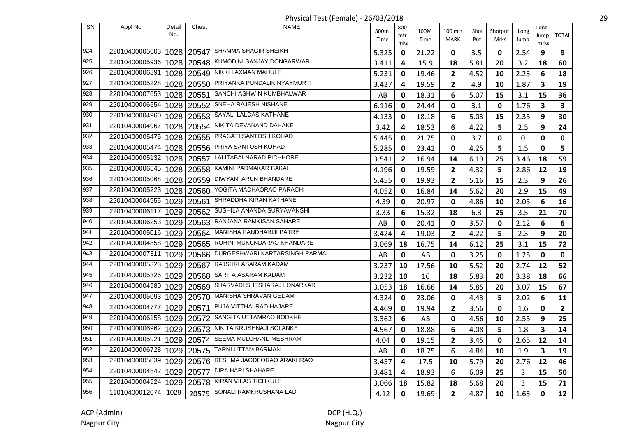Physical Test (Female) - 26/03/2018 29

| <b>SN</b>        | Appl No        | Detail | Chest | <b>NAME</b>                          | 800m  | 800          | 100M  | 100 mtr                 | Shot | Shotput     | Long | Long         |                |
|------------------|----------------|--------|-------|--------------------------------------|-------|--------------|-------|-------------------------|------|-------------|------|--------------|----------------|
|                  |                | No.    |       |                                      | Time  | mtr<br>mks   | Time  | <b>MARK</b>             | Put  | Mrks        | Jump | Jump<br>mrks | <b>TOTAL</b>   |
| 924              | 22010400005603 |        |       | 1028   20547 SHAMMA SHAGIR SHEIKH    | 5.325 | 0            | 21.22 | 0                       | 3.5  | 0           | 2.54 | 9            | 9              |
| 925              | 22010400005936 | 1028   |       | 20548 KUMODINI SANJAY DONGARWAR      | 3.411 | 4            | 15.9  | 18                      | 5.81 | 20          | 3.2  | 18           | 60             |
| 926              | 22010400006391 | 1028   |       | 20549 NIKKI LAXMAN MAHULE            | 5.231 | 0            | 19.46 | $\overline{2}$          | 4.52 | 10          | 2.23 | 6            | 18             |
| 927              | 22010400005228 | 1028   |       | 20550 PRIYANKA PUNDALIK NYAYMURTI    | 3.437 | 4            | 19.59 | $\overline{2}$          | 4.9  | 10          | 1.87 | 3            | 19             |
| 928              | 22010400007653 | 1028   | 20551 | SANCHI ASHWIN KUMBHALWAR             | AB    | 0            | 18.31 | 6                       | 5.07 | 15          | 3.1  | 15           | 36             |
| 929              | 22010400006554 | 1028   | 20552 | SNEHA RAJESH NISHANE                 | 6.116 | 0            | 24.44 | $\mathbf 0$             | 3.1  | $\mathbf 0$ | 1.76 | 3            | 3              |
| 930              | 22010400004960 | 1028   | 20553 | SAYALI LALDAS KATHANE                | 4.133 | 0            | 18.18 | 6                       | 5.03 | 15          | 2.35 | 9            | 30             |
| 931              | 22010400004967 | 1028   | 20554 | NIKITA DEVANAND DAHAKE               | 3.42  | 4            | 18.53 | 6                       | 4.22 | 5           | 2.5  | 9            | 24             |
| $\overline{9}32$ | 22010400005475 | 1028   |       | 20555 PRAGATI SANTOSH KOHAD          | 5.445 | 0            | 21.75 | $\mathbf{0}$            | 3.7  | 0           | 0    | 0            | $\mathbf 0$    |
| 933              | 22010400005474 | 1028   |       | 20556 PRIYA SANTOSH KOHAD            | 5.285 | $\mathbf 0$  | 23.41 | $\mathbf 0$             | 4.25 | 5           | 1.5  | 0            | 5              |
| 934              | 22010400005132 | 1028   | 20557 | LALITABAI NARAD PICHHORE             | 3.541 | $\mathbf{2}$ | 16.94 | 14                      | 6.19 | 25          | 3.46 | 18           | 59             |
| 935              | 22010400006545 | 1028   |       | 20558 KAMINI PADMAKAR BAKAL          | 4.196 | 0            | 19.59 | $\overline{2}$          | 4.32 | 5           | 2.86 | 12           | 19             |
| 936              | 22010400005068 | 1028   | 20559 | <b>DIWYANI ARUN BHANDARE</b>         | 5.455 | 0            | 19.93 | $\overline{2}$          | 5.16 | 15          | 2.3  | 9            | 26             |
| 937              | 22010400005223 | 1028   | 20560 | YOGITA MADHAORAO PARACHI             | 4.052 | 0            | 16.84 | 14                      | 5.62 | 20          | 2.9  | 15           | 49             |
| 938              | 22010400004955 | 1029   | 20561 | SHRADDHA KIRAN KATHANE               | 4.39  | 0            | 20.97 | $\mathbf 0$             | 4.86 | 10          | 2.05 | 6            | 16             |
| 939              | 22010400006117 | 1029   |       | 20562 SUSHILA ANANDA SURYAVANSHI     | 3.33  | 6            | 15.32 | 18                      | 6.3  | 25          | 3.5  | 21           | 70             |
| 940              | 22010400006253 | 1029   |       | 20563 RANJANA RAMKISAN SAHARE        | AB    | 0            | 20.41 | $\mathbf 0$             | 3.57 | 0           | 2.12 | 6            | 6              |
| 941              | 22010400005016 | 1029   |       | 20564   MANISHA PANDHARIJI PATRE     | 3.424 | 4            | 19.03 | $\overline{\mathbf{2}}$ | 4.22 | 5           | 2.3  | 9            | 20             |
| 942              | 22010400004858 | 1029   |       | 20565 ROHINI MUKUNDARAO KHANDARE     | 3.069 | 18           | 16.75 | 14                      | 6.12 | 25          | 3.1  | 15           | 72             |
| 943              | 22010400007311 | 1029   |       | 20566 DURGESHWARI KARTARSINGH PARMAL | AB    | 0            | AB    | $\mathbf 0$             | 3.25 | 0           | 1.25 | 0            | $\mathbf 0$    |
| 944              | 22010400005323 | 1029   | 20567 | RAJSHRI ASARAM KADAM                 | 3.237 | 10           | 17.56 | 10                      | 5.52 | 20          | 2.74 | 12           | 52             |
| 945              | 22010400005326 | 1029   | 20568 | SARITA ASARAM KADAM                  | 3.232 | 10           | 16    | 18                      | 5.83 | 20          | 3.38 | 18           | 66             |
| 946              | 22010400004980 | 1029   | 20569 | SHARVARI SHESHARAJ LONARKAR          | 3.053 | 18           | 16.66 | 14                      | 5.85 | 20          | 3.07 | 15           | 67             |
| 947              | 22010400005093 | 1029   |       | 20570 MANISHA SHRAVAN GEDAM          | 4.324 | 0            | 23.06 | 0                       | 4.43 | 5           | 2.02 | 6            | 11             |
| 948              | 22010400004777 | 1029   |       | 20571 PUJA VITTHALRAO HAJARE         | 4.469 | 0            | 19.94 | $\overline{\mathbf{2}}$ | 3.56 | $\mathbf 0$ | 1.6  | $\mathbf 0$  | $\overline{2}$ |
| 949              | 22010400006158 | 1029   |       | 20572 SANGITA UTTAMRAO BODKHE        | 3.362 | 6            | AB    | $\mathbf 0$             | 4.56 | 10          | 2.55 | 9            | 25             |
| 950              | 22010400006962 | 1029   |       | 20573 NIKITA KRUSHNAJI SOLANKE       | 4.567 | 0            | 18.88 | 6                       | 4.08 | 5           | 1.8  | 3            | 14             |
| 951              | 22010400005921 | 1029   |       | 20574 SEEMA MULCHAND MESHRAM         | 4.04  | 0            | 19.15 | $\mathbf{2}$            | 3.45 | 0           | 2.65 | 12           | 14             |
| 952              | 22010400006728 | 1029   | 20575 | <b>TARNI UTTAM BARMAN</b>            | AB    | 0            | 18.75 | 6                       | 4.84 | 10          | 1.9  | 3            | 19             |
| 953              | 22010400005039 | 1029   |       | 20576 RESHMA JAGDEORAO ARAKHRAO      | 3.457 | 4            | 17.5  | 10                      | 5.79 | 20          | 2.76 | 12           | 46             |
| 954              | 22010400004842 | 1029   | 20577 | <b>DIPA HARI SHAHARE</b>             | 3.481 | 4            | 18.93 | 6                       | 6.09 | 25          | 3    | 15           | 50             |
| 955              | 22010400004924 | 1029   | 20578 | <b>KIRAN VILAS TICHKULE</b>          | 3.066 | 18           | 15.82 | 18                      | 5.68 | 20          | 3    | 15           | 71             |
| 956              | 11010400012074 | 1029   | 20579 | SONALI RAMKRUSHANA LAD               | 4.12  | 0            | 19.69 | $\overline{2}$          | 4.87 | 10          | 1.63 | 0            | 12             |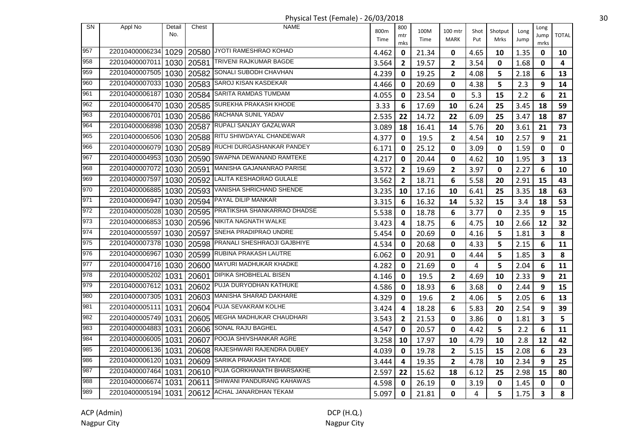Physical Test (Female) - 26/03/2018 30

| <b>SN</b> | Appl No        | Detail<br>No. | Chest | <b>NAME</b>                        | 800m<br>Time | 800<br>mtr<br>mks       | 100M<br>Time | 100 mtr<br><b>MARK</b> | Shot<br>Put | Shotput<br>Mrks | Long<br>Jump | Long<br>Jump<br>mrks    | <b>TOTAL</b>   |
|-----------|----------------|---------------|-------|------------------------------------|--------------|-------------------------|--------------|------------------------|-------------|-----------------|--------------|-------------------------|----------------|
| 957       | 22010400006234 |               |       | 1029 20580 JVOTI RAMESHRAO KOHAD   | 4.462        | 0                       | 21.34        | 0                      | 4.65        | 10              | 1.35         | 0                       | 10             |
| 958       | 22010400007011 | 1030          | 20581 | TRIVENI RAJKUMAR BAGDE             | 3.564        | $\overline{\mathbf{2}}$ | 19.57        | $\mathbf{2}$           | 3.54        | 0               | 1.68         | 0                       | 4              |
| 959       | 22010400007505 | 1030          |       | 20582 SONALI SUBODH CHAVHAN        | 4.239        | 0                       | 19.25        | $\mathbf{2}$           | 4.08        | 5               | 2.18         | 6                       | 13             |
| 960       | 22010400007033 | 1030          | 20583 | <b>SAROJ KISAN KASDEKAR</b>        | 4.466        | 0                       | 20.69        | $\mathbf 0$            | 4.38        | 5               | 2.3          | 9                       | 14             |
| 961       | 22010400006187 | 1030          | 20584 | SARITA RAMDAS TUMDAM               | 4.055        | 0                       | 23.54        | $\mathbf 0$            | 5.3         | 15              | 2.2          | 6                       | 21             |
| 962       | 22010400006470 | 1030          | 20585 | <b>SUREKHA PRAKASH KHODE</b>       | 3.33         | 6                       | 17.69        | 10                     | 6.24        | 25              | 3.45         | 18                      | 59             |
| 963       | 22010400006701 | 1030          |       | 20586 RACHANA SUNIL YADAV          | 2.535        | 22                      | 14.72        | 22                     | 6.09        | 25              | 3.47         | 18                      | 87             |
| 964       | 22010400006898 | 1030          |       | 20587 RUPALI SANJAY GAZALWAR       | 3.089        | 18                      | 16.41        | 14                     | 5.76        | 20              | 3.61         | 21                      | 73             |
| 965       | 22010400006506 | 1030          |       | 20588 RITU SHIWDAYAL CHANDEWAR     | 4.377        | 0                       | 19.5         | $\overline{2}$         | 4.54        | 10              | 2.57         | 9                       | 21             |
| 966       | 22010400006079 | 1030          |       | 20589 RUCHI DURGASHANKAR PANDEY    | 6.171        | 0                       | 25.12        | 0                      | 3.09        | $\mathbf 0$     | 1.59         | 0                       | $\mathbf 0$    |
| 967       | 22010400004953 | 1030          |       | 20590 SWAPNA DEWANAND RAMTEKE      | 4.217        | 0                       | 20.44        | 0                      | 4.62        | 10              | 1.95         | 3                       | 13             |
| 968       | 22010400007072 | 1030          | 20591 | MANISHA GAJANANRAO PARISE          | 3.572        | $\mathbf{2}$            | 19.69        | $\mathbf{2}$           | 3.97        | 0               | 2.27         | 6                       | 10             |
| 969       | 22010400007597 | 1030          | 20592 | LALITA KESHAORAO GULALE            | 3.562        | $\mathbf{2}$            | 18.71        | 6                      | 5.58        | 20              | 2.91         | 15                      | 43             |
| 970       | 22010400006885 | 1030          | 20593 | VANISHA SHRICHAND SHENDE           | 3.235        | 10                      | 17.16        | 10                     | 6.41        | 25              | 3.35         | 18                      | 63             |
| 971       | 22010400006947 | 1030          | 20594 | PAYAL DILIP MANKAR                 | 3.315        | 6                       | 16.32        | 14                     | 5.32        | 15              | 3.4          | 18                      | 53             |
| 972       | 22010400005028 | 1030          |       | 20595 PRATIKSHA SHANKARRAO DHADSE  | 5.538        | 0                       | 18.78        | 6                      | 3.77        | 0               | 2.35         | 9                       | 15             |
| 973       | 22010400006853 | 1030          |       | 20596 NIKITA NAGNATH WALKE         | 3.423        | 4                       | 18.75        | 6                      | 4.75        | 10              | 2.66         | 12                      | 32             |
| 974       | 22010400005597 |               |       | 1030   20597 SNEHA PRADIPRAO UNDRE | 5.454        | 0                       | 20.69        | 0                      | 4.16        | 5               | 1.81         | 3                       | 8              |
| 975       | 22010400007378 | 1030          |       | 20598 PRANALI SHESHRAOJI GAJBHIYE  | 4.534        | 0                       | 20.68        | 0                      | 4.33        | 5               | 2.15         | 6                       | 11             |
| 976       | 22010400006967 | 1030          |       | 20599 RUBINA PRAKASH LAUTRE        | 6.062        | 0                       | 20.91        | $\mathbf 0$            | 4.44        | 5               | 1.85         | 3                       | 8              |
| 977       | 22010400004716 | 1030          |       | 20600 MAYURI MADHUKAR KHADKE       | 4.282        | 0                       | 21.69        | 0                      | 4           | 5               | 2.04         | 6                       | 11             |
| 978       | 22010400005202 | 1031          | 20601 | DIPIKA SHOBHELAL BISEN             | 4.146        | 0                       | 19.5         | $\mathbf{2}$           | 4.69        | 10              | 2.33         | 9                       | 21             |
| 979       | 22010400007612 | 1031          | 20602 | PUJA DURYODHAN KATHUKE             | 4.586        | 0                       | 18.93        | 6                      | 3.68        | $\mathbf 0$     | 2.44         | 9                       | 15             |
| 980       | 22010400007305 | 1031          |       | 20603 MANISHA SHARAD DAKHARE       | 4.329        | 0                       | 19.6         | $\mathbf{2}$           | 4.06        | 5               | 2.05         | 6                       | 13             |
| 981       | 22010400005111 | 1031          |       | 20604 PUJA SEVAKRAM KOLHE          | 3.424        | 4                       | 18.28        | 6                      | 5.83        | 20              | 2.54         | 9                       | 39             |
| 982       | 22010400005749 | 1031          |       | 20605 MEGHA MADHUKAR CHAUDHARI     | 3.543        | $\mathbf{2}$            | 21.53        | 0                      | 3.86        | 0               | 1.81         | $\overline{\mathbf{3}}$ | $5\phantom{a}$ |
| 983       | 22010400004883 | 1031          |       | 20606 SONAL RAJU BAGHEL            | 4.547        | 0                       | 20.57        | 0                      | 4.42        | 5               | 2.2          | $6\phantom{1}$          | 11             |
| 984       | 22010400006005 | 1031          |       | 20607 POOJA SHIVSHANKAR AGRE       | 3.258        | 10                      | 17.97        | 10                     | 4.79        | 10              | 2.8          | 12                      | 42             |
| 985       | 22010400006136 | 1031          |       | 20608 RAJESHWARI RAJENDRA DUBEY    | 4.039        | 0                       | 19.78        | $\mathbf{2}$           | 5.15        | 15              | 2.08         | 6                       | 23             |
| 986       | 22010400006120 | 1031          |       | 20609 SARIKA PRAKASH TAYADE        | 3.444        | 4                       | 19.35        | $\overline{2}$         | 4.78        | 10              | 2.34         | 9                       | 25             |
| 987       | 22010400007464 | 1031          |       | 20610 PUJA GORKHANATH BHARSAKHE    | 2.597        | 22                      | 15.62        | 18                     | 6.12        | 25              | 2.98         | 15                      | 80             |
| 988       | 22010400006674 | 1031          | 20611 | SHIWANI PANDURANG KAHAWAS          | 4.598        | 0                       | 26.19        | 0                      | 3.19        | 0               | 1.45         | $\mathbf 0$             | 0              |
| 989       | 22010400005194 | 1031          |       | 20612 ACHAL JANARDHAN TEKAM        | 5.097        | 0                       | 21.81        | $\mathbf 0$            | 4           | 5               | 1.75         | $\overline{\mathbf{3}}$ | 8              |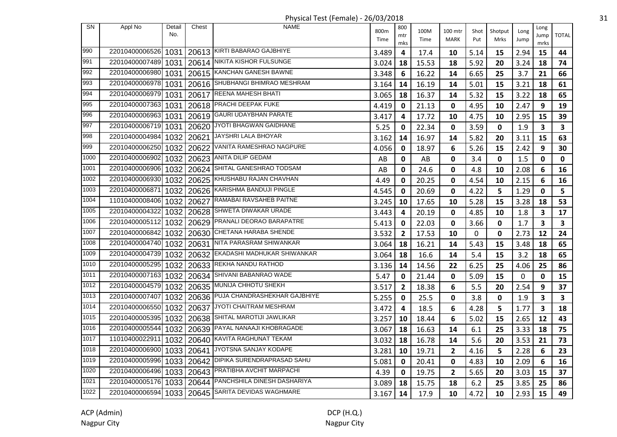| <b>SN</b> | Appl No        | Detail<br>No. | Chest      | <b>NAME</b>                             | 800m  | 800            | 100M  | 100 mtr      | Shot         | Shotput      | Long | Long                    | <b>TOTAL</b>            |
|-----------|----------------|---------------|------------|-----------------------------------------|-------|----------------|-------|--------------|--------------|--------------|------|-------------------------|-------------------------|
|           |                |               |            |                                         | Time  | mtr<br>mks     | Time  | <b>MARK</b>  | Put          | Mrks         | Jump | Jump<br>mrks            |                         |
| 990       | 22010400006526 | 1031          |            | 20613 KIRTI BABARAO GAJBHIYE            | 3.489 | 4              | 17.4  | 10           | 5.14         | 15           | 2.94 | 15                      | 44                      |
| 991       | 22010400007489 | 1031          |            | 20614 NIKITA KISHOR FULSUNGE            | 3.024 | 18             | 15.53 | 18           | 5.92         | 20           | 3.24 | 18                      | 74                      |
| 992       | 22010400006980 | 1031          |            | 20615 KANCHAN GANESH BAWNE              | 3.348 | 6              | 16.22 | 14           | 6.65         | 25           | 3.7  | 21                      | 66                      |
| 993       | 22010400006978 | 1031          |            | 20616 SHUBHANGI BHIMRAO MESHRAM         | 3.164 | 14             | 16.19 | 14           | 5.01         | 15           | 3.21 | 18                      | 61                      |
| 994       | 22010400006979 | 1031          |            | 20617 REENA MAHESH BHATI                | 3.065 | 18             | 16.37 | 14           | 5.32         | 15           | 3.22 | 18                      | 65                      |
| 995       | 22010400007363 | 1031          |            | 20618 PRACHI DEEPAK FUKE                | 4.419 | 0              | 21.13 | 0            | 4.95         | 10           | 2.47 | 9                       | 19                      |
| 996       | 22010400006963 | 1031          |            | 20619 GAURI UDAYBHAN PARATE             | 3.417 | 4              | 17.72 | 10           | 4.75         | 10           | 2.95 | 15                      | 39                      |
| 997       | 22010400006719 | 1031          |            | 20620 JYOTI BHAGWAN GAIDHANE            | 5.25  | $\mathbf{0}$   | 22.34 | $\mathbf 0$  | 3.59         | 0            | 1.9  | 3                       | 3                       |
| 998       | 22010400004984 | 1032          |            | 20621 JAYSHRI LALA BHOYAR               | 3.162 | 14             | 16.97 | 14           | 5.82         | 20           | 3.11 | 15                      | 63                      |
| 999       | 22010400006250 | 1032          | 20622      | VANITA RAMESHRAO NAGPURE                | 4.056 | $\mathbf 0$    | 18.97 | 6            | 5.26         | 15           | 2.42 | 9                       | 30                      |
| 1000      | 22010400006902 | 1032          | 20623      | ANITA DILIP GEDAM                       | AB    | 0              | AB    | 0            | 3.4          | 0            | 1.5  | 0                       | 0                       |
| 1001      | 22010400006906 | 1032          | 20624      | SHITAL GANESHRAO TODSAM                 | AB    | 0              | 24.6  | 0            | 4.8          | 10           | 2.08 | 6                       | 16                      |
| 1002      | 22010400006930 | 1032          |            | 20625 KHUSHABU RAJAN CHAVHAN            | 4.49  | 0              | 20.25 | 0            | 4.54         | 10           | 2.15 | 6                       | 16                      |
| 1003      | 22010400006871 |               | 1032 20626 | KARISHMA BANDUJI PINGLE                 | 4.545 | 0              | 20.69 | $\mathbf 0$  | 4.22         | 5            | 1.29 | $\mathbf 0$             | 5                       |
| 1004      | 11010400008406 | 1032          | 20627      | RAMABAI RAVSAHEB PAITNE                 | 3.245 | 10             | 17.65 | 10           | 5.28         | 15           | 3.28 | 18                      | 53                      |
| 1005      | 22010400004322 | 1032          | 20628      | <b>SHWETA DIWAKAR URADE</b>             | 3.443 | 4              | 20.19 | $\mathbf 0$  | 4.85         | 10           | 1.8  | 3                       | 17                      |
| 1006      | 22010400005112 |               |            | 1032   20629   PRANALI DEORAO BARAPATRE | 5.413 | 0              | 22.03 | $\mathbf 0$  | 3.66         | 0            | 1.7  | 3                       | $\mathbf{3}$            |
| 1007      | 22010400006842 |               |            | 1032   20630 CHETANA HARABA SHENDE      | 3.532 | $\overline{2}$ | 17.53 | 10           | $\mathbf{0}$ | $\mathbf{0}$ | 2.73 | 12                      | 24                      |
| 1008      | 22010400004740 | 1032          |            | 20631 NITA PARASRAM SHIWANKAR           | 3.064 | 18             | 16.21 | 14           | 5.43         | 15           | 3.48 | 18                      | 65                      |
| 1009      | 22010400004739 | 1032          | 20632      | EKADASHI MADHUKAR SHIWANKAR             | 3.064 | 18             | 16.6  | 14           | 5.4          | 15           | 3.2  | 18                      | 65                      |
| 1010      | 22010400005295 | 1032          |            | 20633 REKHA NANDU RATHOD                | 3.136 | 14             | 14.56 | 22           | 6.25         | 25           | 4.06 | 25                      | 86                      |
| 1011      | 22010400007163 | 1032          | 20634      | SHIVANI BABANRAO WADE                   | 5.47  | 0              | 21.44 | 0            | 5.09         | 15           | 0    | 0                       | 15                      |
| 1012      | 22010400004579 | 1032          | 20635      | MUNIJA CHHOTU SHEKH                     | 3.517 | $\mathbf{2}$   | 18.38 | 6            | 5.5          | 20           | 2.54 | 9                       | 37                      |
| 1013      | 22010400007407 | 1032          |            | 20636 PUJA CHANDRASHEKHAR GAJBHIYE      | 5.255 | $\mathbf 0$    | 25.5  | $\mathbf 0$  | 3.8          | $\mathbf 0$  | 1.9  | $\overline{\mathbf{3}}$ | $\overline{\mathbf{3}}$ |
| 1014      | 22010400006550 |               |            | 1032   20637   JYOTI CHAITRAM MESHRAM   | 3.472 | 4              | 18.5  | 6            | 4.28         | 5            | 1.77 | $\mathbf{3}$            | 18                      |
| 1015      | 22010400005395 |               |            | 1032   20638   SHITAL MAROTIJI JAWLIKAR | 3.257 | 10             | 18.44 | 6            | 5.02         | 15           | 2.65 | 12                      | 43                      |
| 1016      | 22010400005544 |               |            | 1032   20639   PAYAL NANAAJI KHOBRAGADE | 3.067 | 18             | 16.63 | 14           | 6.1          | 25           | 3.33 | 18                      | 75                      |
| 1017      | 11010400022911 | 1032          |            | 20640 KAVITA RAGHUNAT TEKAM             | 3.032 | 18             | 16.78 | 14           | 5.6          | 20           | 3.53 | 21                      | 73                      |
| 1018      | 22010400006900 | 1033          | 20641      | JYOTSNA SANJAY KODAPE                   | 3.281 | 10             | 19.71 | 2            | 4.16         | 5            | 2.28 | 6                       | 23                      |
| 1019      | 22010400005996 | 1033          | 20642      | DIPIKA SURENDRAPRASAD SAHU              | 5.081 | 0              | 20.41 | 0            | 4.83         | 10           | 2.09 | 6                       | 16                      |
| 1020      | 22010400006496 |               | 1033 20643 | PRATIBHA AVCHIT MARPACHI                | 4.39  | $\mathbf 0$    | 19.75 | $\mathbf{2}$ | 5.65         | 20           | 3.03 | 15                      | 37                      |
| 1021      | 22010400005176 | 1033          | 20644      | PANCHSHILA DINESH DASHARIYA             | 3.089 | 18             | 15.75 | 18           | 6.2          | 25           | 3.85 | 25                      | 86                      |
| 1022      | 22010400006594 |               | 1033 20645 | SARITA DEVIDAS WAGHMARE                 | 3.167 | 14             | 17.9  | 10           | 4.72         | 10           | 2.93 | 15                      | 49                      |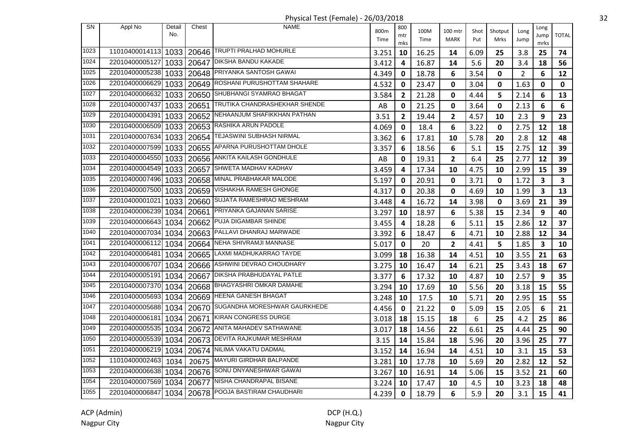| SN   | Appl No        | Detail | Chest      | NAME                                    | 800m  | 800          | 100M  |                        |             |                 |                | Long                    |                         |
|------|----------------|--------|------------|-----------------------------------------|-------|--------------|-------|------------------------|-------------|-----------------|----------------|-------------------------|-------------------------|
|      |                | No.    |            |                                         | Time  | mtr          | Time  | 100 mtr<br><b>MARK</b> | Shot<br>Put | Shotput<br>Mrks | Long<br>Jump   | Jump                    | <b>TOTAL</b>            |
| 1023 | 11010400014113 |        |            | 20646 TRUPTI PRALHAD MOHURLE            |       | mks          |       |                        |             |                 |                | mrks                    |                         |
|      |                | 1033   |            |                                         | 3.251 | 10           | 16.25 | 14                     | 6.09        | 25              | 3.8            | 25                      | 74                      |
| 1024 | 22010400005127 | 1033   | 20647      | <b>DIKSHA BANDU KAKADE</b>              | 3.412 | 4            | 16.87 | 14                     | 5.6         | 20              | 3.4            | 18                      | 56                      |
| 1025 | 22010400005238 |        | 1033 20648 | PRIYANKA SANTOSH GAWAI                  | 4.349 | 0            | 18.78 | 6                      | 3.54        | 0               | $\overline{2}$ | 6                       | 12                      |
| 1026 | 22010400006629 |        | 1033 20649 | ROSHANI PURUSHOTTAM SHAHARE             | 4.532 | 0            | 23.47 | $\mathbf 0$            | 3.04        | $\pmb{0}$       | 1.63           | $\mathbf 0$             | $\mathbf 0$             |
| 1027 | 22010400006632 |        | 1033 20650 | SHUBHANGI SYAMRAO BHAGAT                | 3.584 | $\mathbf{2}$ | 21.28 | $\mathbf 0$            | 4.44        | 5               | 2.14           | 6                       | 13                      |
| 1028 | 22010400007437 | 1033   | 20651      | TRUTIKA CHANDRASHEKHAR SHENDE           | AB    | 0            | 21.25 | $\mathbf 0$            | 3.64        | 0               | 2.13           | 6                       | 6                       |
| 1029 | 22010400004391 | 1033   |            | 20652 NEHAANJUM SHAFIKKHAN PATHAN       | 3.51  | $\mathbf{2}$ | 19.44 | 2                      | 4.57        | 10              | 2.3            | 9                       | 23                      |
| 1030 | 22010400006509 |        |            | 1033   20653   RASHIKA ARUN PADOLE      | 4.069 | 0            | 18.4  | 6                      | 3.22        | 0               | 2.75           | 12                      | 18                      |
| 1031 | 22010400007634 | 1033   | 20654      | TEJASWINI SUBHASH NIRMAL                | 3.362 | 6            | 17.81 | 10                     | 5.78        | 20              | 2.8            | 12                      | 48                      |
| 1032 | 22010400007599 | 1033   | 20655      | APARNA PURUSHOTTAM DHOLE                | 3.357 | 6            | 18.56 | 6                      | 5.1         | 15              | 2.75           | 12                      | 39                      |
| 1033 | 22010400004550 | 1033   | 20656      | ANKITA KAILASH GONDHULE                 | AB    | 0            | 19.31 | 2                      | 6.4         | 25              | 2.77           | 12                      | 39                      |
| 1034 | 22010400004549 | 1033   | 20657      | SHWETA MADHAV KADHAV                    | 3.459 | 4            | 17.34 | 10                     | 4.75        | 10              | 2.99           | 15                      | 39                      |
| 1035 | 22010400007496 |        | 1033 20658 | MINAL PRABHAKAR MALODE                  | 5.197 | 0            | 20.91 | $\mathbf 0$            | 3.71        | 0               | 1.72           | $\overline{\mathbf{3}}$ | $\overline{\mathbf{3}}$ |
| 1036 | 22010400007500 | 1033   | 20659      | VISHAKHA RAMESH GHONGE                  | 4.317 | 0            | 20.38 | 0                      | 4.69        | 10              | 1.99           | $\mathbf{3}$            | 13                      |
| 1037 | 22010400001021 | 1033   | 20660      | SUJATA RAMESHRAO MESHRAM                | 3.448 | 4            | 16.72 | 14                     | 3.98        | 0               | 3.69           | 21                      | 39                      |
| 1038 | 22010400006239 | 1034   |            | 20661 PRIYANKA GAJANAN SARISE           | 3.297 | 10           | 18.97 | 6                      | 5.38        | 15              | 2.34           | 9                       | 40                      |
| 1039 | 22010400006643 | 1034   |            | 20662 PUJA DIGAMBAR SHINDE              | 3.455 | 4            | 18.28 | 6                      | 5.11        | 15              | 2.86           | 12                      | 37                      |
| 1040 | 22010400007034 | 1034   |            | 20663 PALLAVI DHANRAJ MARWADE           | 3.392 | 6            | 18.47 | 6                      | 4.71        | 10              | 2.88           | 12                      | 34                      |
| 1041 | 22010400006112 | 1034   |            | 20664 NEHA SHIVRAMJI MANNASE            | 5.017 | 0            | 20    | $\mathbf{2}$           | 4.41        | 5               | 1.85           | $\overline{\mathbf{3}}$ | 10                      |
| 1042 | 22010400006481 | 1034   | 20665      | LAXMI MADHUKARRAO TAYDE                 | 3.099 | 18           | 16.38 | 14                     | 4.51        | 10              | 3.55           | 21                      | 63                      |
| 1043 | 22010400006707 | 1034   | 20666      | ASHWINI DEVRAO CHOUDHARY                | 3.275 | 10           | 16.47 | 14                     | 6.21        | 25              | 3.43           | 18                      | 67                      |
| 1044 | 22010400005191 | 1034   | 20667      | DIKSHA PRABHUDAYAL PATLE                | 3.377 | 6            | 17.32 | 10                     | 4.87        | 10              | 2.57           | 9                       | 35                      |
| 1045 | 22010400007370 | 1034   | 20668      | <b>BHAGYASHRI OMKAR DAMAHE</b>          | 3.294 | 10           | 17.69 | 10                     | 5.56        | 20              | 3.18           | 15                      | 55                      |
| 1046 | 22010400005693 | 1034   |            | 20669   HEENA GANESH BHAGAT             | 3.248 | 10           | 17.5  | 10                     | 5.71        | 20              | 2.95           | 15                      | 55                      |
| 1047 | 22010400005688 | 1034   |            | 20670 SUGANDHA MORESHWAR GAURKHEDE      | 4.456 | $\mathbf{0}$ | 21.22 | $\mathbf 0$            | 5.09        | 15              | 2.05           | 6                       | 21                      |
| 1048 | 22010400006181 | 1034   | 20671      | KIRAN CONGRESS DURGE                    | 3.018 | 18           | 15.15 | 18                     | 6           | 25              | 4.2            | 25                      | 86                      |
| 1049 | 22010400005535 | 1034   | 20672      | ANITA MAHADEV SATHAWANE                 | 3.017 | 18           | 14.56 | 22                     | 6.61        | 25              | 4.44           | 25                      | 90                      |
| 1050 | 22010400005539 | 1034   |            | 20673 DEVITA RAJKUMAR MESHRAM           | 3.15  | 14           | 15.84 | 18                     | 5.96        | 20              | 3.96           | 25                      | 77                      |
| 1051 | 22010400006219 | 1034   |            | 20674   NILIMA VAKATU DADMAL            | 3.152 | 14           | 16.94 | 14                     | 4.51        | 10              | 3.1            | 15                      | 53                      |
| 1052 | 11010400002463 | 1034   | 20675      | MAYURI GIRDHAR BALPANDE                 | 3.281 | 10           | 17.78 | 10                     | 5.69        | 20              | 2.82           | 12                      | 52                      |
| 1053 | 22010400006638 | 1034   | 20676      | SONU DNYANESHWAR GAWAI                  | 3.267 | 10           | 16.91 | 14                     | 5.06        | 15              | 3.52           | 21                      | 60                      |
| 1054 | 22010400007569 | 1034   | 20677      | NISHA CHANDRAPAL BISANE                 | 3.224 | 10           | 17.47 | 10                     | 4.5         | 10              | 3.23           | 18                      | 48                      |
| 1055 | 22010400006847 |        |            | 1034   20678   POOJA BASTIRAM CHAUDHARI | 4.239 | $\mathbf{0}$ | 18.79 | 6                      | 5.9         | 20              | 3.1            | 15                      | 41                      |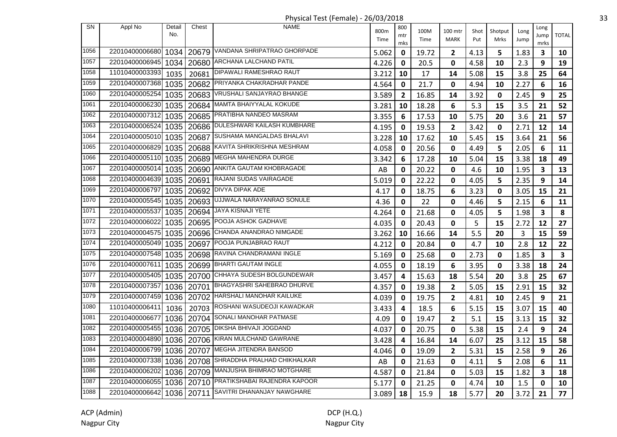Physical Test (Female) - 26/03/2018 33

|           |                |               |            | $\ldots$ , $\ldots$ , $\ldots$ , $\ldots$ , $\ldots$ , $\ldots$ , $\ldots$ , $\ldots$ , $\ldots$ |              |                   |              |                        |             |                 |              |                      |              |
|-----------|----------------|---------------|------------|--------------------------------------------------------------------------------------------------|--------------|-------------------|--------------|------------------------|-------------|-----------------|--------------|----------------------|--------------|
| <b>SN</b> | Appl No        | Detail<br>No. | Chest      | <b>NAME</b>                                                                                      | 800m<br>Time | 800<br>mtr<br>mks | 100M<br>Time | 100 mtr<br><b>MARK</b> | Shot<br>Put | Shotput<br>Mrks | Long<br>Jump | Long<br>Jump<br>mrks | <b>TOTAL</b> |
| 1056      | 22010400006680 | 1034          | 20679      | VANDANA SHRIPATRAO GHORPADE                                                                      | 5.062        | 0                 | 19.72        | 2                      | 4.13        | 5               | 1.83         | 3                    | 10           |
| 1057      | 22010400006945 | 1034          | 20680      | ARCHANA LALCHAND PATIL                                                                           | 4.226        | 0                 | 20.5         | 0                      | 4.58        | 10              | 2.3          | 9                    | 19           |
| 1058      | 11010400003393 | 1035          | 20681      | DIPAWALI RAMESHRAO RAUT                                                                          | 3.212        | 10                | 17           | 14                     | 5.08        | 15              | 3.8          | 25                   | 64           |
| 1059      | 22010400007368 | 1035          | 20682      | PRIYANKA CHAKRADHAR PANDE                                                                        | 4.564        | 0                 | 21.7         | $\mathbf 0$            | 4.94        | 10              | 2.27         | 6                    | 16           |
| 1060      | 22010400005254 | 1035          | 20683      | VRUSHALI SANJAYRAO BHANGE                                                                        | 3.589        | $\overline{2}$    | 16.85        | 14                     | 3.92        | 0               | 2.45         | 9                    | 25           |
| 1061      | 22010400006230 | 1035          |            | 20684   MAMTA BHAIYYALAL KOKUDE                                                                  | 3.281        | 10                | 18.28        | 6                      | 5.3         | 15              | 3.5          | 21                   | 52           |
| 1062      | 22010400007312 |               |            | 1035   20685   PRATIBHA NANDEO MASRAM                                                            | 3.355        | 6                 | 17.53        | 10                     | 5.75        | 20              | 3.6          | 21                   | 57           |
| 1063      | 22010400006524 | 1035          |            | 20686 DULESHWARI KAILASH KUMBHARE                                                                | 4.195        | 0                 | 19.53        | $\overline{2}$         | 3.42        | 0               | 2.71         | 12                   | 14           |
| 1064      | 22010400005010 | 1035          | 20687      | SUSHAMA MANGALDAS BHALAVI                                                                        | 3.228        | 10                | 17.62        | 10                     | 5.45        | 15              | 3.64         | 21                   | 56           |
| 1065      | 22010400006829 | 1035          | 20688      | KAVITA SHRIKRISHNA MESHRAM                                                                       | 4.058        | 0                 | 20.56        | 0                      | 4.49        | 5               | 2.05         | 6                    | 11           |
| 1066      | 22010400005110 | 1035          | 20689      | MEGHA MAHENDRA DURGE                                                                             | 3.342        | 6                 | 17.28        | 10                     | 5.04        | 15              | 3.38         | 18                   | 49           |
| 1067      | 22010400005014 |               | 1035 20690 | ANKITA GAUTAM KHOBRAGADE                                                                         | AB           | 0                 | 20.22        | $\mathbf{0}$           | 4.6         | 10              | 1.95         | $\mathbf{3}$         | 13           |
| 1068      | 22010400004639 | 1035          | 20691      | RAJANI SUDAS VAIRAGADE                                                                           | 5.019        | 0                 | 22.22        | $\mathbf 0$            | 4.05        | 5               | 2.35         | 9                    | 14           |
| 1069      | 22010400006797 |               |            | 1035   20692   DIVYA DIPAK ADE                                                                   | 4.17         | 0                 | 18.75        | 6                      | 3.23        | 0               | 3.05         | 15                   | 21           |
| 1070      | 22010400005545 |               |            | 1035   20693   UJJWALA NARAYANRAO SONULE                                                         | 4.36         | 0                 | 22           | 0                      | 4.46        | 5               | 2.15         | 6                    | 11           |
| 1071      | 22010400005537 |               | 1035 20694 | JAYA KISNAJI YETE                                                                                | 4.264        | 0                 | 21.68        | 0                      | 4.05        | 5               | 1.98         | 3                    | 8            |
| 1072      | 22010400006022 | 1035          |            | 20695 POOJA ASHOK GADHAVE                                                                        | 4.035        | 0                 | 20.43        | 0                      | 5           | 15              | 2.72         | 12                   | 27           |
| 1073      | 22010400004575 | 1035          | 20696      | CHANDA ANANDRAO NIMGADE                                                                          | 3.262        | 10                | 16.66        | 14                     | 5.5         | 20              | 3            | 15                   | 59           |
| 1074      | 22010400005049 | 1035          | 20697      | POOJA PUNJABRAO RAUT                                                                             | 4.212        | 0                 | 20.84        | 0                      | 4.7         | 10              | 2.8          | 12                   | 22           |
| 1075      | 22010400007548 | 1035          | 20698      | RAVINA CHANDRAMANI INGLE                                                                         | 5.169        | 0                 | 25.68        | 0                      | 2.73        | 0               | 1.85         | $\mathbf{3}$         | $\mathbf{3}$ |
| 1076      | 22010400007611 |               | 1035 20699 | <b>BHARTI GAUTAM INGLE</b>                                                                       | 4.055        | 0                 | 18.19        | 6                      | 3.95        | $\mathbf 0$     | 3.38         | 18                   | 24           |
| 1077      | 22010400005405 |               | 1035 20700 | CHHAYA SUDESH BOLGUNDEWAR                                                                        | 3.457        | 4                 | 15.63        | 18                     | 5.54        | 20              | 3.8          | 25                   | 67           |
| 1078      | 22010400007357 |               |            | 1036   20701   BHAGYASHRI SAHEBRAO DHURVE                                                        | 4.357        | 0                 | 19.38        | $\overline{2}$         | 5.05        | 15              | 2.91         | 15                   | 32           |
| 1079      | 22010400007459 |               |            | 1036   20702 HARSHALI MANOHAR KAILUKE                                                            | 4.039        | 0                 | 19.75        | $\overline{2}$         | 4.81        | 10              | 2.45         | 9                    | 21           |
| 1080      | 11010400006411 | 1036          |            | 20703 ROSHANI WASUDEOJI KAWADKAR                                                                 | 3.433        | 4                 | 18.5         | 6                      | 5.15        | 15              | 3.07         | 15                   | 40           |
| 1081      | 22010400006677 |               |            | 1036   20704 SONALI MANOHAR PATMASE                                                              | 4.09         | 0                 | 19.47        | 2                      | 5.1         | 15              | 3.13         | 15                   | 32           |
| 1082      | 22010400005455 | 1036          | 20705      | <b>DIKSHA BHIVAJI JOGDAND</b>                                                                    | 4.037        | 0                 | 20.75        | 0                      | 5.38        | 15              | 2.4          | 9                    | 24           |
| 1083      | 22010400004890 |               |            | 1036   20706 KIRAN MULCHAND GAWRANE                                                              | 3.428        | 4                 | 16.84        | 14                     | 6.07        | 25              | 3.12         | 15                   | 58           |
| 1084      | 22010400006799 |               | 1036 20707 | MEGHA JITENDRA BANSOD                                                                            | 4.046        | 0                 | 19.09        | 2                      | 5.31        | 15              | 2.58         | 9                    | 26           |
| 1085      | 22010400007338 |               | 1036 20708 | SHRADDHA PRALHAD CHIKHALKAR                                                                      | AB           | 0                 | 21.63        | $\mathbf 0$            | 4.11        | 5               | 2.08         | 6                    | 11           |
| 1086      | 22010400006202 |               | 1036 20709 | MANJUSHA BHIMRAO MOTGHARE                                                                        | 4.587        | 0                 | 21.84        | $\mathbf 0$            | 5.03        | 15              | 1.82         | 3                    | 18           |
| 1087      | 22010400006055 |               |            | 1036   20710 PRATIKSHABAI RAJENDRA KAPOOR                                                        | 5.177        | 0                 | 21.25        | 0                      | 4.74        | 10              | 1.5          | $\mathbf 0$          | 10           |
| 1088      | 22010400006642 |               |            | 1036   20711 SAVITRI DHANANJAY NAWGHARE                                                          | 3.089        | 18                | 15.9         | 18                     | 5.77        | 20              | 3.72         | 21                   | 77           |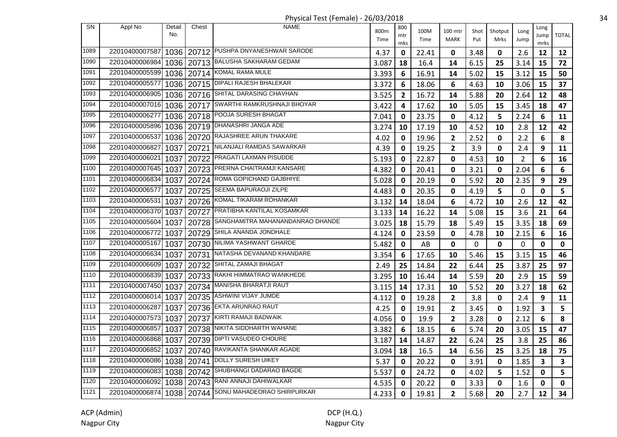Physical Test (Female) - 26/03/2018 34

|                   |                |               |            | $\ldots$ , $\ldots$ , $\ldots$ , $\ldots$ , $\ldots$ , $\ldots$ , $\ldots$ , $\ldots$ , $\ldots$ |              |                   |              |                        |             |                 |                |                         |              |
|-------------------|----------------|---------------|------------|--------------------------------------------------------------------------------------------------|--------------|-------------------|--------------|------------------------|-------------|-----------------|----------------|-------------------------|--------------|
| <b>SN</b>         | Appl No        | Detail<br>No. | Chest      | <b>NAME</b>                                                                                      | 800m<br>Time | 800<br>mtr<br>mks | 100M<br>Time | 100 mtr<br><b>MARK</b> | Shot<br>Put | Shotput<br>Mrks | Long<br>Jump   | Long<br>Jump<br>mrks    | <b>TOTAL</b> |
| 1089              | 22010400007587 |               |            | 1036   20712   PUSHPA DNYANESHWAR SARODE                                                         | 4.37         | 0                 | 22.41        | 0                      | 3.48        | 0               | 2.6            | 12                      | 12           |
| 1090              | 22010400006984 |               |            | 1036   20713   BALUSHA SAKHARAM GEDAM                                                            | 3.087        | 18                | 16.4         | 14                     | 6.15        | 25              | 3.14           | 15                      | 72           |
| 1091              | 22010400005599 |               |            | 1036   20714 KOMAL RAMA MULE                                                                     | 3.393        | 6                 | 16.91        | 14                     | 5.02        | 15              | 3.12           | 15                      | 50           |
| 1092              | 22010400005577 |               | 1036 20715 | <b>DIPALI RAJESH BHALEKAR</b>                                                                    | 3.372        | 6                 | 18.06        | 6                      | 4.63        | 10              | 3.06           | 15                      | 37           |
| 1093              | 22010400006905 |               |            | 1036   20716   SHITAL DARASING CHAVHAN                                                           | 3.525        | $\overline{2}$    | 16.72        | 14                     | 5.88        | 20              | 2.64           | 12                      | 48           |
| 1094              | 22010400007016 |               |            | 1036   20717 SWARTHI RAMKRUSHNAJI BHOYAR                                                         | 3.422        | 4                 | 17.62        | 10                     | 5.05        | 15              | 3.45           | 18                      | 47           |
| 1095              | 22010400006277 |               |            | 1036   20718   POOJA SURESH BHAGAT                                                               | 7.041        | $\mathbf 0$       | 23.75        | $\mathbf{0}$           | 4.12        | 5               | 2.24           | 6                       | 11           |
| 1096              | 22010400005896 |               |            | 1036   20719   DHANASHRI JANGA ADE                                                               | 3.274        | 10                | 17.19        | 10                     | 4.52        | 10              | 2.8            | 12                      | 42           |
| 1097              | 22010400006537 | 1036          |            | 20720 RAJASHREE ARUN THAKARE                                                                     | 4.02         | 0                 | 19.96        | 2                      | 2.52        | 0               | 2.2            | 6                       | 8            |
| 1098              | 22010400006827 | 1037          | 20721      | NILANJALI RAMDAS SAWARKAR                                                                        | 4.39         | 0                 | 19.25        | $\mathbf{2}$           | 3.9         | 0               | 2.4            | 9                       | 11           |
| 1099              | 22010400006021 | 1037          | 20722      | <b>PRAGATI LAXMAN PISUDDE</b>                                                                    | 5.193        | 0                 | 22.87        | 0                      | 4.53        | 10              | $\overline{2}$ | 6                       | 16           |
| 1100              | 22010400007645 | 1037          | 20723      | PRERNA CHAITRAMJI KANSARE                                                                        | 4.382        | 0                 | 20.41        | $\mathbf 0$            | 3.21        | $\mathbf 0$     | 2.04           | 6                       | 6            |
| 1101              | 22010400006834 | 1037          |            | 20724 ROMA GOPICHAND GAJBHIYE                                                                    | 5.028        | 0                 | 20.19        | 0                      | 5.92        | 20              | 2.35           | 9                       | 29           |
| 1102              | 22010400006577 | 1037          |            | 20725 SEEMA BAPURAOJI ZILPE                                                                      | 4.483        | $\mathbf 0$       | 20.35        | $\mathbf 0$            | 4.19        | 5               | 0              | $\mathbf 0$             | 5            |
| 1103              | 22010400006531 | 1037          |            | 20726 KOMAL TIKARAM ROHANKAR                                                                     | 3.132        | 14                | 18.04        | 6                      | 4.72        | 10              | 2.6            | 12                      | 42           |
| 1104              | 22010400006370 | 1037          |            | 20727 PRATIBHA KANTILAL KOSAMKAR                                                                 | 3.133        | 14                | 16.22        | 14                     | 5.08        | 15              | 3.6            | 21                      | 64           |
| 1105              | 22010400005604 | 1037          |            | 20728 SANGHAMITRA MAHANANDANRAO DHANDE                                                           | 3.025        | 18                | 15.79        | 18                     | 5.49        | 15              | 3.35           | 18                      | 69           |
| 1106              | 22010400006772 | 1037          | 20729      | SHILA ANANDA JONDHALE                                                                            | 4.124        | 0                 | 23.59        | 0                      | 4.78        | 10              | 2.15           | 6                       | 16           |
| 1107              | 22010400005167 | 1037          | 20730      | NILIMA YASHWANT GHARDE                                                                           | 5.482        | 0                 | AB           | $\mathbf 0$            | 0           | 0               | 0              | 0                       | 0            |
| 1108              | 22010400006634 | 1037          | 20731      | NATASHA DEVANAND KHANDARE                                                                        | 3.354        | 6                 | 17.65        | 10                     | 5.46        | 15              | 3.15           | 15                      | 46           |
| 1109              | 22010400006609 | 1037          | 20732      | SHITAL ZAMAJI BHAGAT                                                                             | 2.49         | 25                | 14.84        | 22                     | 6.44        | 25              | 3.87           | 25                      | 97           |
| 1110              | 22010400006839 | 1037          |            | 20733 RAKHI HIMMATRAO WANKHEDE                                                                   | 3.295        | 10                | 16.44        | 14                     | 5.59        | 20              | 2.9            | 15                      | 59           |
| 1111              | 22010400007450 | 1037          |            | 20734 MANISHA BHARATJI RAUT                                                                      | 3.115        | 14                | 17.31        | 10                     | 5.52        | 20              | 3.27           | 18                      | 62           |
| $\overline{1112}$ | 22010400006014 | 1037          |            | 20735 ASHWINI VIJAY JUMDE                                                                        | 4.112        | 0                 | 19.28        | 2                      | 3.8         | 0               | 2.4            | 9                       | 11           |
| 1113              | 22010400006287 |               |            | 1037   20736   EKTA ARUNRAO RAUT                                                                 | 4.25         | $\mathbf 0$       | 19.91        | $\overline{2}$         | 3.45        | 0               | 1.92           | $\overline{\mathbf{3}}$ | 5            |
| 1114              | 22010400007573 | 1037          |            | 20737 KIRTI RAMAJI BADWAIK                                                                       | 4.056        | 0                 | 19.9         | $\overline{2}$         | 3.28        | 0               | 2.12           | 6                       | 8            |
| 1115              | 22010400006857 | 1037          |            | 20738 NIKITA SIDDHARTH WAHANE                                                                    | 3.382        | 6                 | 18.15        | 6                      | 5.74        | 20              | 3.05           | 15                      | 47           |
| 1116              | 22010400006868 | 1037          |            | 20739 DIPTI VASUDEO CHOURE                                                                       | 3.187        | 14                | 14.87        | 22                     | 6.24        | 25              | 3.8            | 25                      | 86           |
| 1117              | 22010400006852 | 1037          | 20740      | RAVIKANTA SHANKAR AGADE                                                                          | 3.094        | 18                | 16.5         | 14                     | 6.56        | 25              | 3.25           | 18                      | 75           |
| 1118              | 22010400006086 | 1038          | 20741      | DOLLY SURESH UIKEY                                                                               | 5.37         | 0                 | 20.22        | 0                      | 3.91        | 0               | 1.85           | 3                       | 3            |
| 1119              | 22010400006083 |               | 1038 20742 | SHUBHANGI DADARAO BAGDE                                                                          | 5.537        | 0                 | 24.72        | $\mathbf 0$            | 4.02        | 5               | 1.52           | 0                       | 5            |
| 1120              | 22010400006092 |               |            | 1038   20743 RANI ANNAJI DAHIWALKAR                                                              | 4.535        | 0                 | 20.22        | 0                      | 3.33        | 0               | 1.6            | 0                       | $\mathbf 0$  |
| 1121              |                |               |            | 22010400006874 1038 20744 SONU MAHADEORAO SHIRPURKAR                                             | 4.233        | $\mathbf{0}$      | 19.81        | $\overline{2}$         | 5.68        | 20              | 2.7            | 12                      | 34           |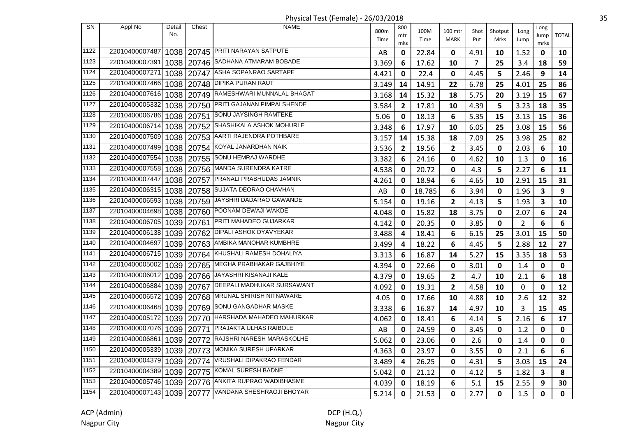Physical Test (Female) - 26/03/2018 35

| <b>SN</b>     | Appl No                   | Detail<br>No. | Chest      | <b>NAME</b>                                    | 800m<br>Time | 800<br>mtr     | 100M<br>Time | 100 mtr<br><b>MARK</b> | Shot<br>Put    | Shotput<br>Mrks | Long<br>Jump   | Long<br>Jump            | <b>TOTAL</b> |
|---------------|---------------------------|---------------|------------|------------------------------------------------|--------------|----------------|--------------|------------------------|----------------|-----------------|----------------|-------------------------|--------------|
| $\sqrt{1122}$ | 22010400007487            |               |            | 1038   20745   PRITI NARAYAN SATPUTE           | AB           | mks<br>0       | 22.84        | 0                      | 4.91           | 10              | 1.52           | mrks<br>0               | 10           |
| 1123          | 22010400007391            |               |            | 1038   20746 SADHANA ATMARAM BOBADE            | 3.369        | 6              | 17.62        | 10                     | $\overline{7}$ | 25              | 3.4            | 18                      | 59           |
| 1124          | 22010400007271            |               |            | 1038   20747   ASHA SOPANRAO SARTAPE           | 4.421        | 0              | 22.4         | 0                      | 4.45           | 5               | 2.46           | 9                       | 14           |
| 1125          | 22010400007466            |               |            | 1038   20748   DIPIKA PURAN RAUT               | 3.149        | 14             | 14.91        | 22                     | 6.78           | 25              | 4.01           | 25                      | 86           |
| 1126          | 22010400007616            |               | 1038 20749 | RAMESHWARI MUNNALAL BHAGAT                     | 3.168        | 14             | 15.32        | 18                     | 5.75           | 20              | 3.19           | 15                      | 67           |
| 1127          | 22010400005332            |               | 1038 20750 | PRITI GAJANAN PIMPALSHENDE                     | 3.584        | $\mathbf{2}$   | 17.81        | 10                     | 4.39           | 5               | 3.23           | 18                      | 35           |
| 1128          | 22010400006786            |               |            | 1038 20751 SONU JAYSINGH RAMTEKE               | 5.06         | 0              | 18.13        | 6                      | 5.35           | 15              | 3.13           | 15                      | 36           |
| 1129          | 22010400006714            |               |            | 1038   20752 SHASHIKALA ASHOK MOHURLE          | 3.348        | 6              | 17.97        | 10                     | 6.05           | 25              | 3.08           | 15                      | 56           |
| 1130          | 22010400007509            |               |            | 1038   20753   AARTI RAJENDRA POTHBARE         | 3.157        | 14             | 15.38        | 18                     | 7.09           | 25              | 3.98           | 25                      | 82           |
| 1131          | 22010400007499            |               |            | 1038   20754 KOYAL JANARDHAN NAIK              | 3.536        | $\overline{2}$ | 19.56        | $\overline{2}$         | 3.45           | 0               | 2.03           | 6                       | 10           |
| 1132          | 22010400007554            |               |            | 1038   20755   SONU HEMRAJ WARDHE              | 3.382        | 6              | 24.16        | 0                      | 4.62           | 10              | 1.3            | 0                       | 16           |
| 1133          | 22010400007558            | 1038          | 20756      | MANDA SURENDRA KATRE                           | 4.538        | 0              | 20.72        | 0                      | 4.3            | 5               | 2.27           | 6                       | 11           |
| 1134          | 22010400007447            |               | 1038 20757 | <b>PRANALI PRABHUDAS JAMNIK</b>                | 4.261        | 0              | 18.94        | 6                      | 4.65           | 10              | 2.91           | 15                      | 31           |
| 1135          | 22010400006315 1038 20758 |               |            | SUJATA DEORAO CHAVHAN                          | AB           | 0              | 18.785       | 6                      | 3.94           | 0               | 1.96           | $\overline{\mathbf{3}}$ | 9            |
| 1136          | 22010400006593            |               | 1038 20759 | JAYSHRI DADARAO GAWANDE                        | 5.154        | 0              | 19.16        | $\overline{2}$         | 4.13           | 5               | 1.93           | $\overline{\mathbf{3}}$ | 10           |
| 1137          | 22010400004698            |               |            | 1038   20760 POONAM DEWAJI WAKDE               | 4.048        | 0              | 15.82        | 18                     | 3.75           | 0               | 2.07           | 6                       | 24           |
| 1138          | 22010400006705            |               |            | 1039   20761 PRITI MAHADEO GUJARKAR            | 4.142        | 0              | 20.35        | 0                      | 3.85           | 0               | $\overline{2}$ | 6                       | 6            |
| 1139          | 22010400006138            |               |            | 1039   20762   DIPALI ASHOK DYAVYEKAR          | 3.488        | 4              | 18.41        | 6                      | 6.15           | 25              | 3.01           | 15                      | 50           |
| 1140          | 22010400004697            |               |            | 1039   20763   AMBIKA MANOHAR KUMBHRE          | 3.499        | 4              | 18.22        | 6                      | 4.45           | 5               | 2.88           | 12                      | 27           |
| 1141          | 22010400006715            |               |            | 1039   20764   KHUSHALI RAMESH DOHALIYA        | 3.313        | 6              | 16.87        | 14                     | 5.27           | 15              | 3.35           | 18                      | 53           |
| 1142          | 22010400005002            | 1039          |            | 20765 MEGHA PRABHAKAR GAJBHIYE                 | 4.394        | 0              | 22.66        | 0                      | 3.01           | 0               | 1.4            | 0                       | 0            |
| 1143          | 22010400006012            |               | 1039 20766 | JAYASHRI KISANAJI KALE                         | 4.379        | 0              | 19.65        | $\overline{2}$         | 4.7            | 10              | 2.1            | 6                       | 18           |
| 1144          | 22010400006884            |               | 1039 20767 | <b>DEEPALI MADHUKAR SURSAWANT</b>              | 4.092        | 0              | 19.31        | $\mathbf{2}$           | 4.58           | 10              | $\mathbf 0$    | $\mathbf 0$             | 12           |
| 1145          | 22010400006572            |               |            | 1039   20768   MRUNAL SHIRISH NITNAWARE        | 4.05         | 0              | 17.66        | 10                     | 4.88           | 10              | 2.6            | 12                      | 32           |
| 1146          |                           |               |            | 22010400006468 1039 20769 SONU GANGADHAR MASKE | 3.338        | 6              | 16.87        | 14                     | 4.97           | 10              | 3              | 15                      | 45           |
| 1147          | 22010400005172            |               |            | 1039   20770   HARSHADA MAHADEO MAHURKAR       | 4.062        | 0              | 18.41        | 6                      | 4.14           | 5               | 2.16           | 6                       | 17           |
| 1148          | 22010400007076            |               |            | 1039   20771   PRAJAKTA ULHAS RAIBOLE          | AB           | 0              | 24.59        | 0                      | 3.45           | $\mathbf 0$     | 1.2            | $\mathbf 0$             | $\mathbf 0$  |
| 1149          | 22010400006861            |               |            | 1039   20772   RAJSHRI NARESH MARASKOLHE       | 5.062        | 0              | 23.06        | 0                      | 2.6            | 0               | 1.4            | 0                       | 0            |
| 1150          | 22010400005339            |               |            | 1039   20773 MONIKA SURESH UPARKAR             | 4.363        | 0              | 23.97        | 0                      | 3.55           | 0               | 2.1            | 6                       | 6            |
| 1151          | 22010400004379            |               |            | 1039   20774   VRUSHALI DIPAKRAO FENDAR        | 3.489        | 4              | 26.25        | 0                      | 4.31           | 5               | 3.03           | 15                      | 24           |
| 1152          | 22010400004389            |               | 1039 20775 | KOMAL SURESH BADNE                             | 5.042        | 0              | 21.12        | 0                      | 4.12           | 5               | 1.82           | 3                       | 8            |
| 1153          | 22010400005746            |               | 1039 20776 | ANKITA RUPRAO WADIBHASME                       | 4.039        | 0              | 18.19        | 6                      | 5.1            | 15              | 2.55           | 9                       | 30           |
| 1154          | 22010400007143 1039 20777 |               |            | VANDANA SHESHRAOJI BHOYAR                      | 5.214        | $\mathbf 0$    | 21.53        | $\mathbf 0$            | 2.77           | $\mathbf 0$     | 1.5            | 0                       | 0            |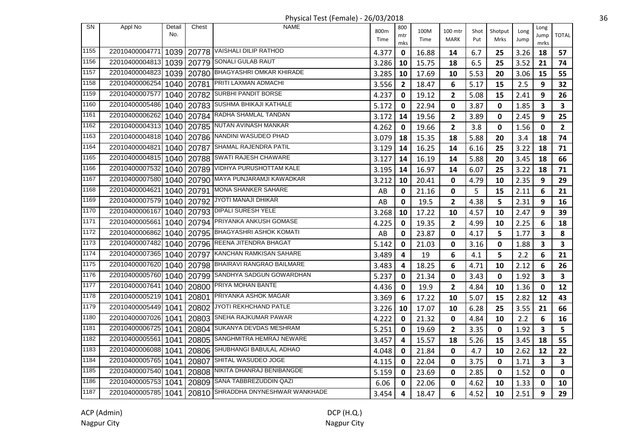| <b>SN</b> | Appl No             | Detail<br>No. | Chest      | <b>NAME</b>                            | 800m  | 800<br>mtr     | 100M  | 100 mtr                 | Shot | Shotput     | Long | Long<br>Jump            | <b>TOTAL</b>            |
|-----------|---------------------|---------------|------------|----------------------------------------|-------|----------------|-------|-------------------------|------|-------------|------|-------------------------|-------------------------|
|           |                     |               |            |                                        | Time  | mks            | Time  | <b>MARK</b>             | Put  | Mrks        | Jump | mrks                    |                         |
| 1155      | 22010400004771      |               |            | 1039   20778   VAISHALI DILIP RATHOD   | 4.377 | $\mathbf 0$    | 16.88 | 14                      | 6.7  | 25          | 3.26 | 18                      | 57                      |
| 1156      | 22010400004813      |               |            | 1039   20779 SONALI GULAB RAUT         | 3.286 | 10             | 15.75 | 18                      | 6.5  | 25          | 3.52 | 21                      | 74                      |
| 1157      | 22010400004823      |               |            | 1039   20780 BHAGYASHRI OMKAR KHIRADE  | 3.285 | 10             | 17.69 | 10                      | 5.53 | 20          | 3.06 | 15                      | 55                      |
| 1158      | 22010400006254      |               | 1040 20781 | PRITI LAXMAN ADMACHI                   | 3.556 | $\overline{2}$ | 18.47 | 6                       | 5.17 | 15          | 2.5  | 9                       | 32                      |
| 1159      | 22010400007577      |               | 1040 20782 | SURBHI PANDIT BORSE                    | 4.237 | 0              | 19.12 | 2                       | 5.08 | 15          | 2.41 | 9                       | 26                      |
| 1160      | 22010400005486      |               | 1040 20783 | <b>SUSHMA BHIKAJI KATHALE</b>          | 5.172 | 0              | 22.94 | 0                       | 3.87 | 0           | 1.85 | $\overline{\mathbf{3}}$ | $\overline{\mathbf{3}}$ |
| 1161      | 22010400006262      |               |            | 1040   20784   RADHA SHAMLAL TANDAN    | 3.172 | 14             | 19.56 | $\overline{\mathbf{2}}$ | 3.89 | 0           | 2.45 | 9                       | 25                      |
| 1162      | 22010400004313      |               |            | 1040   20785   NUTAN AVINASH MANKAR    | 4.262 | $\mathbf 0$    | 19.66 | $\overline{2}$          | 3.8  | $\mathbf 0$ | 1.56 | $\mathbf 0$             | $\overline{2}$          |
| 1163      | 22010400004818      |               |            | 1040   20786   NANDINI WASUDEO PHAD    | 3.079 | 18             | 15.35 | 18                      | 5.88 | 20          | 3.4  | 18                      | 74                      |
| 1164      | 22010400004821      |               |            | 1040   20787 SHAMAL RAJENDRA PATIL     | 3.129 | 14             | 16.25 | 14                      | 6.16 | 25          | 3.22 | 18                      | 71                      |
| 1165      | 22010400004815      |               | 1040 20788 | SWATI RAJESH CHAWARE                   | 3.127 | 14             | 16.19 | 14                      | 5.88 | 20          | 3.45 | 18                      | 66                      |
| 1166      | 22010400007532      |               | 1040 20789 | VIDHYA PURUSHOTTAM KALE                | 3.195 | 14             | 16.97 | 14                      | 6.07 | 25          | 3.22 | 18                      | 71                      |
| 1167      | 22010400007580      |               |            | 1040   20790 MAYA PUNJARAMJI KAWADKAR  | 3.212 | 10             | 20.41 | 0                       | 4.79 | 10          | 2.35 | 9                       | 29                      |
| 1168      | 22010400004621      |               | 1040 20791 | MONA SHANKER SAHARE                    | AB    | 0              | 21.16 | 0                       | 5    | 15          | 2.11 | 6                       | 21                      |
| 1169      | 22010400007579      |               |            | 1040   20792   JYOTI MANAJI DHIKAR     | AB    | $\mathbf 0$    | 19.5  | $\overline{2}$          | 4.38 | 5           | 2.31 | 9                       | 16                      |
| 1170      | 22010400006167      |               |            | 1040   20793   DIPALI SURESH YELE      | 3.268 | 10             | 17.22 | 10                      | 4.57 | 10          | 2.47 | 9                       | 39                      |
| 1171      | 22010400005661      |               |            | 1040   20794 PRIYANKA ANKUSH GOMASE    | 4.225 | 0              | 19.35 | 2                       | 4.99 | 10          | 2.25 | 6                       | 18                      |
| 1172      | 22010400006862      |               |            | 1040   20795   BHAGYASHRI ASHOK KOMATI | AB    | 0              | 23.87 | $\mathbf{0}$            | 4.17 | 5           | 1.77 | 3                       | 8                       |
| 1173      | 22010400007482      | 1040 I        |            | 20796 REENA JITENDRA BHAGAT            | 5.142 | 0              | 21.03 | 0                       | 3.16 | 0           | 1.88 | 3                       | $\overline{\mathbf{3}}$ |
| 1174      | 22010400007365      | 1040 l        |            | 20797 KANCHAN RAMKISAN SAHARE          | 3.489 | 4              | 19    | 6                       | 4.1  | 5           | 2.2  | 6                       | 21                      |
| 1175      | 22010400007620      | 1040 l        |            | 20798 BHAIRAVI RANGRAO BAILMARE        | 3.483 | 4              | 18.25 | 6                       | 4.71 | 10          | 2.12 | 6                       | 26                      |
| 1176      | 22010400005760      |               | 1040 20799 | SANDHYA SADGUN GOWARDHAN               | 5.237 | 0              | 21.34 | $\mathbf 0$             | 3.43 | $\mathbf 0$ | 1.92 | $\overline{\mathbf{3}}$ | $\overline{\mathbf{3}}$ |
| 1177      | 22010400007641      | 1040          | 20800      | PRIYA MOHAN BANTE                      | 4.436 | 0              | 19.9  | $\overline{2}$          | 4.84 | 10          | 1.36 | 0                       | 12                      |
| 1178      | 22010400005219      | 1041          |            | 20801 PRIYANKA ASHOK MAGAR             | 3.369 | 6              | 17.22 | 10                      | 5.07 | 15          | 2.82 | 12                      | 43                      |
| 1179      | 22010400005449      | 1041          |            | 20802 JYOTI REKHCHAND PATLE            | 3.226 | 10             | 17.07 | 10                      | 6.28 | 25          | 3.55 | 21                      | 66                      |
| 1180      | 22010400007026      | 1041          |            | 20803 SNEHA RAJKUMAR PAWAR             | 4.222 | $\mathbf{0}$   | 21.32 | $\mathbf{0}$            | 4.84 | 10          | 2.2  | 6                       | 16                      |
| 1181      | 22010400006725      | 1041          |            | 20804 SUKANYA DEVDAS MESHRAM           | 5.251 | 0              | 19.69 | 2                       | 3.35 | 0           | 1.92 | 3                       | 5                       |
| 1182      | 22010400005561      | 1041          | 20805      | SANGHMITRA HEMRAJ NEWARE               | 3.457 | 4              | 15.57 | 18                      | 5.26 | 15          | 3.45 | 18                      | 55                      |
| 1183      | 22010400006088      | 1041          | 20806      | SHUBHANGI BABULAL ADHAO                | 4.048 | 0              | 21.84 | 0                       | 4.7  | 10          | 2.62 | 12                      | 22                      |
| 1184      | 22010400005765      | 1041          | 20807      | SHITAL WASUDEO JOGE                    | 4.115 | 0              | 22.04 | $\mathbf 0$             | 3.75 | 0           | 1.71 | $\mathbf{3}$            | $\overline{\mathbf{3}}$ |
| 1185      | 22010400007540      | 1041          | 20808      | NIKITA DHANRAJ BENIBANGDE              | 5.159 | 0              | 23.69 | 0                       | 2.85 | 0           | 1.52 | 0                       | $\mathbf 0$             |
| 1186      | 22010400005753      | 1041          | 20809      | SANA TABBREZUDDIN QAZI                 | 6.06  | 0              | 22.06 | 0                       | 4.62 | 10          | 1.33 | 0                       | 10                      |
| 1187      | 22010400005785 1041 |               |            | 20810 SHRADDHA DNYNESHWAR WANKHADE     | 3.454 | 4              | 18.47 | 6                       | 4.52 | 10          | 2.51 | 9                       | 29                      |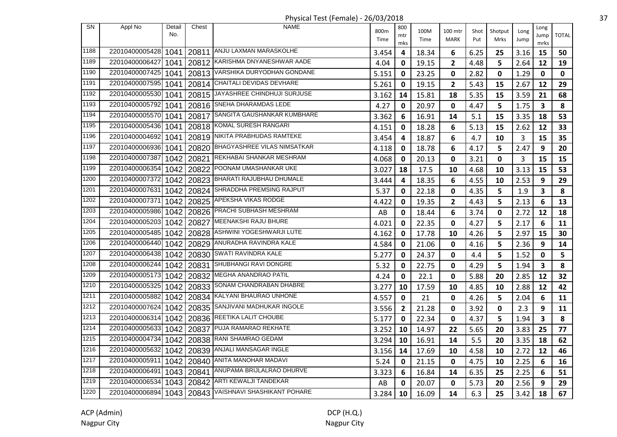Physical Test (Female) - 26/03/2018 37

| <b>SN</b> | Appl No        | Detail<br>No. | Chest      | <b>NAME</b>                                           | 800m  | 800<br>mtr   | 100M  | 100 mtr        | Shot | Shotput | Long | Long<br>Jump            | <b>TOTAL</b> |
|-----------|----------------|---------------|------------|-------------------------------------------------------|-------|--------------|-------|----------------|------|---------|------|-------------------------|--------------|
|           |                |               |            |                                                       | Time  | mks          | Time  | <b>MARK</b>    | Put  | Mrks    | Jump | mrks                    |              |
| 1188      | 22010400005428 | 1041          |            | 20811 ANJU LAXMAN MARASKOLHE                          | 3.454 | 4            | 18.34 | 6              | 6.25 | 25      | 3.16 | 15                      | 50           |
| 1189      | 22010400006427 | 1041          |            | 20812 KARISHMA DNYANESHWAR AADE                       | 4.04  | 0            | 19.15 | 2              | 4.48 | 5       | 2.64 | 12                      | 19           |
| 1190      | 22010400007425 | 1041          |            | 20813 VARSHIKA DURYODHAN GONDANE                      | 5.151 | 0            | 23.25 | $\mathbf 0$    | 2.82 | 0       | 1.29 | $\mathbf{0}$            | 0            |
| 1191      | 22010400007595 | 1041          |            | 20814 CHAITALI DEVIDAS DEVHARE                        | 5.261 | 0            | 19.15 | $\overline{2}$ | 5.43 | 15      | 2.67 | 12                      | 29           |
| 1192      | 22010400005530 | 1041          |            | 20815 JAYASHREE CHINDHUJI SURJUSE                     | 3.162 | 14           | 15.81 | 18             | 5.35 | 15      | 3.59 | 21                      | 68           |
| 1193      | 22010400005792 | 1041          |            | 20816 SNEHA DHARAMDAS LEDE                            | 4.27  | 0            | 20.97 | 0              | 4.47 | 5       | 1.75 | $\overline{\mathbf{3}}$ | 8            |
| 1194      | 22010400005570 | 1041          |            | 20817 SANGITA GAUSHANKAR KUMBHARE                     | 3.362 | 6            | 16.91 | 14             | 5.1  | 15      | 3.35 | 18                      | 53           |
| 1195      | 22010400005436 | 1041          |            | 20818 KOMAL SURESH RANGARI                            | 4.151 | 0            | 18.28 | 6              | 5.13 | 15      | 2.62 | 12                      | 33           |
| 1196      | 22010400004692 | 1041          |            | 20819 NIKITA PRABHUDAS RAMTEKE                        | 3.454 | 4            | 18.87 | 6              | 4.7  | 10      | 3    | 15                      | 35           |
| 1197      | 22010400006936 | 1041          |            | 20820 BHAGYASHREE VILAS NIMSATKAR                     | 4.118 | 0            | 18.78 | 6              | 4.17 | 5       | 2.47 | 9                       | 20           |
| 1198      | 22010400007387 | 1042          |            | 20821 REKHABAI SHANKAR MESHRAM                        | 4.068 | 0            | 20.13 | 0              | 3.21 | 0       | 3    | 15                      | 15           |
| 1199      | 22010400006354 | 1042          |            | 20822 POONAM UMASHANKAR UKE                           | 3.027 | 18           | 17.5  | 10             | 4.68 | 10      | 3.13 | 15                      | 53           |
| 1200      | 22010400007372 | 1042          |            | 20823 BHARATI RAJUBHAU DHUMALE                        | 3.444 | 4            | 18.35 | 6              | 4.55 | 10      | 2.53 | 9                       | 29           |
| 1201      | 22010400007631 | 1042          |            | 20824 SHRADDHA PREMSING RAJPUT                        | 5.37  | 0            | 22.18 | $\mathbf 0$    | 4.35 | 5       | 1.9  | 3                       | 8            |
| 1202      | 22010400007371 | 1042          |            | 20825   APEKSHA VIKAS RODGE                           | 4.422 | 0            | 19.35 | $\mathbf{2}$   | 4.43 | 5       | 2.13 | 6                       | 13           |
| 1203      |                |               |            | 22010400005986 1042 20826 PRACHI SUBHASH MESHRAM      | AB    | 0            | 18.44 | 6              | 3.74 | 0       | 2.72 | 12                      | 18           |
| 1204      | 22010400005203 | 1042          |            | 20827 MEENAKSHI RAJU BHURE                            | 4.021 | 0            | 22.35 | 0              | 4.27 | 5       | 2.17 | 6                       | 11           |
| 1205      | 22010400005485 | 1042          |            | 20828   ASHWINI YOGESHWARJI LUTE                      | 4.162 | 0            | 17.78 | 10             | 4.26 | 5       | 2.97 | 15                      | 30           |
| 1206      | 22010400006440 | 1042          |            | 20829   ANURADHA RAVINDRA KALE                        | 4.584 | 0            | 21.06 | $\mathbf 0$    | 4.16 | 5       | 2.36 | 9                       | 14           |
| 1207      | 22010400006438 | 1042          |            | 20830 SWATI RAVINDRA KALE                             | 5.277 | 0            | 24.37 | $\mathbf 0$    | 4.4  | 5       | 1.52 | 0                       | 5            |
| 1208      | 22010400006244 | 1042          |            | 20831 SHUBHANGI RAVI DONGRE                           | 5.32  | 0            | 22.75 | 0              | 4.29 | 5       | 1.94 | 3                       | 8            |
| 1209      | 22010400005173 | 1042          |            | 20832 MEGHA ANANDRAO PATIL                            | 4.24  | 0            | 22.1  | $\mathbf 0$    | 5.88 | 20      | 2.85 | 12                      | 32           |
| 1210      | 22010400005325 | 1042          |            | 20833 SONAM CHANDRABAN DHABRE                         | 3.277 | 10           | 17.59 | 10             | 4.85 | 10      | 2.88 | 12                      | 42           |
| 1211      | 22010400005882 |               |            | 1042   20834   KALYANI BHAURAO UNHONE                 | 4.557 | $\mathbf 0$  | 21    | 0              | 4.26 | 5       | 2.04 | 6                       | 11           |
| 1212      | 22010400007624 |               |            | 1042   20835 SANJIVANI MADHUKAR INGOLE                | 3.556 | $\mathbf{2}$ | 21.28 | $\mathbf 0$    | 3.92 | 0       | 2.3  | 9                       | 11           |
| 1213      | 22010400006314 |               |            | 1042   20836 REETIKA LALIT CHOUBE                     | 5.177 | 0            | 22.34 | 0              | 4.37 | 5       | 1.94 | 3                       | 8            |
| 1214      | 22010400005633 | 1042          |            | 20837 PUJA RAMARAO REKHATE                            | 3.252 | 10           | 14.97 | 22             | 5.65 | 20      | 3.83 | 25                      | 77           |
| 1215      | 22010400004734 | 1042          |            | 20838 RANI SHAMRAO GEDAM                              | 3.294 | 10           | 16.91 | 14             | 5.5  | 20      | 3.35 | 18                      | 62           |
| 1216      | 22010400005632 |               | 1042 20839 | ANJALI MANSAGAR INGLE                                 | 3.156 | 14           | 17.69 | 10             | 4.58 | 10      | 2.72 | 12                      | 46           |
| 1217      | 22010400005911 |               | 1042 20840 | ANITA MANOHAR MADAVI                                  | 5.24  | 0            | 21.15 | $\mathbf 0$    | 4.75 | 10      | 2.25 | 6                       | 16           |
| 1218      | 22010400006491 |               |            | 1043   20841   ANUPAMA BRIJLALRAO DHURVE              | 3.323 | 6            | 16.84 | 14             | 6.35 | 25      | 2.25 | 6                       | 51           |
| 1219      | 22010400006534 |               |            | 1043   20842   ARTI KEWALJI TANDEKAR                  | AB    | 0            | 20.07 | $\mathbf 0$    | 5.73 | 20      | 2.56 | 9                       | 29           |
| 1220      |                |               |            | 22010400006894 1043 20843 VAISHNAVI SHASHIKANT POHARE | 3.284 | 10           | 16.09 | 14             | 6.3  | 25      | 3.42 | 18                      | 67           |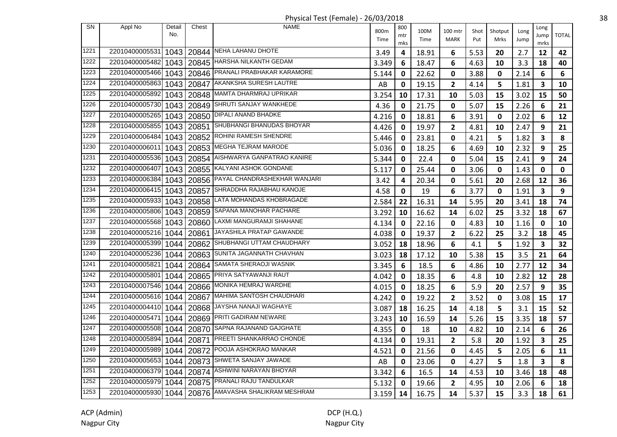| <b>SN</b> | Appl No             | Detail | Chest | <b>NAME</b>                                          |       | 800 |       |                         |      |         |      | Long         |              |
|-----------|---------------------|--------|-------|------------------------------------------------------|-------|-----|-------|-------------------------|------|---------|------|--------------|--------------|
|           |                     | No.    |       |                                                      | 800m  | mtr | 100M  | 100 mtr                 | Shot | Shotput | Long | Jump         | <b>TOTAL</b> |
|           |                     |        |       |                                                      | Time  | mks | Time  | <b>MARK</b>             | Put  | Mrks    | Jump | mrks         |              |
| 1221      | 22010400005531      | 1043   |       | 20844 NEHA LAHANU DHOTE                              | 3.49  | 4   | 18.91 | 6                       | 5.53 | 20      | 2.7  | 12           | 42           |
| 1222      | 22010400005482      | 1043   |       | 20845   HARSHA NILKANTH GEDAM                        | 3.349 | 6   | 18.47 | 6                       | 4.63 | 10      | 3.3  | 18           | 40           |
| 1223      | 22010400005466      | 1043   | 20846 | PRANALI PRABHAKAR KARAMORE                           | 5.144 | 0   | 22.62 | 0                       | 3.88 | 0       | 2.14 | 6            | 6            |
| 1224      | 22010400005863      | 1043   | 20847 | AKANKSHA SURESH LAUTRE                               | AB    | 0   | 19.15 | $\overline{\mathbf{2}}$ | 4.14 | 5       | 1.81 | $\mathbf{3}$ | 10           |
| 1225      | 22010400005892      | 1043   |       | 20848 MAMTA DHARMRAJ UPRIKAR                         | 3.254 | 10  | 17.31 | 10                      | 5.03 | 15      | 3.02 | 15           | 50           |
| 1226      | 22010400005730      | 1043   |       | 20849 SHRUTI SANJAY WANKHEDE                         | 4.36  | 0   | 21.75 | $\mathbf 0$             | 5.07 | 15      | 2.26 | 6            | 21           |
| 1227      | 22010400005265      | 1043   |       | 20850 DIPALI ANAND BHADKE                            | 4.216 | 0   | 18.81 | 6                       | 3.91 | 0       | 2.02 | 6            | 12           |
| 1228      | 22010400005855      | 1043   | 20851 | SHUBHANGI BHANUDAS BHOYAR                            | 4.426 | 0   | 19.97 | $\mathbf{2}$            | 4.81 | 10      | 2.47 | 9            | 21           |
| 1229      | 22010400006484      | 1043   |       | 20852 ROHINI RAMESH SHENDRE                          | 5.446 | 0   | 23.81 | 0                       | 4.21 | 5       | 1.82 | $\mathbf{3}$ | 8            |
| 1230      | 22010400006011      | 1043   |       | 20853 MEGHA TEJRAM MARODE                            | 5.036 | 0   | 18.25 | 6                       | 4.69 | 10      | 2.32 | 9            | 25           |
| 1231      | 22010400005536      | 1043   | 20854 | AISHWARYA GANPATRAO KANIRE                           | 5.344 | 0   | 22.4  | 0                       | 5.04 | 15      | 2.41 | 9            | 24           |
| 1232      | 22010400006407      | 1043   | 20855 | KALYANI ASHOK GONDANE                                | 5.117 | 0   | 25.44 | $\mathbf 0$             | 3.06 | 0       | 1.43 | 0            | 0            |
| 1233      | 22010400006384      | 1043   |       | 20856 PAYAL CHANDRASHEKHAR WANJARI                   | 3.42  | 4   | 20.34 | 0                       | 5.61 | 20      | 2.68 | 12           | 36           |
| 1234      | 22010400006415      | 1043   | 20857 | SHRADDHA RAJABHAU KANOJE                             | 4.58  | 0   | 19    | 6                       | 3.77 | 0       | 1.91 | $\mathbf{3}$ | 9            |
| 1235      | 22010400005933      | 1043   |       | 20858 LATA MOHANDAS KHOBRAGADE                       | 2.584 | 22  | 16.31 | 14                      | 5.95 | 20      | 3.41 | 18           | 74           |
| 1236      | 22010400005806 1043 |        |       | 20859 SAPANA MANOHAR PACHARE                         | 3.292 | 10  | 16.62 | 14                      | 6.02 | 25      | 3.32 | 18           | 67           |
| 1237      | 22010400005568      | 1043   |       | 20860 LAXMI MANGURAMJI SHAHANE                       | 4.134 | 0   | 22.16 | $\mathbf{0}$            | 4.83 | 10      | 1.16 | 0            | 10           |
| 1238      | 22010400005216      | 1044   | 20861 | JAYASHILA PRATAP GAWANDE                             | 4.038 | 0   | 19.37 | $\overline{2}$          | 6.22 | 25      | 3.2  | 18           | 45           |
| 1239      | 22010400005399      | 1044   | 20862 | SHUBHANGI UTTAM CHAUDHARY                            | 3.052 | 18  | 18.96 | 6                       | 4.1  | 5       | 1.92 | 3            | 32           |
| 1240      | 22010400005236      | 1044   | 20863 | SUNITA JAGANNATH CHAVHAN                             | 3.023 | 18  | 17.12 | 10                      | 5.38 | 15      | 3.5  | 21           | 64           |
| 1241      | 22010400005821      | 1044   | 20864 | SAMATA SHERAOJI WASNIK                               | 3.345 | 6   | 18.5  | 6                       | 4.86 | 10      | 2.77 | 12           | 34           |
| 1242      | 22010400005801      | 1044   | 20865 | PRIYA SATYAWANJI RAUT                                | 4.042 | 0   | 18.35 | 6                       | 4.8  | 10      | 2.82 | 12           | 28           |
| 1243      | 22010400007546      | 1044   | 20866 | MONIKA HEMRAJ WARDHE                                 | 4.015 | 0   | 18.25 | 6                       | 5.9  | 20      | 2.57 | 9            | 35           |
| 1244      | 22010400005616 1044 |        |       | 20867   MAHIMA SANTOSH CHAUDHARI                     | 4.242 | 0   | 19.22 | $\mathbf{2}$            | 3.52 | 0       | 3.08 | 15           | 17           |
| 1245      | 22010400004410      | 1044   |       | 20868 JAYSHA NANAJI WAGHAYE                          | 3.087 | 18  | 16.25 | 14                      | 4.18 | 5       | 3.1  | 15           | 52           |
| 1246      | 22010400005471      | 1044   |       | 20869 PRITI GADIRAM NEWARE                           | 3.243 | 10  | 16.59 | 14                      | 5.26 | 15      | 3.35 | 18           | 57           |
| 1247      | 22010400005508      | 1044   |       | 20870 SAPNA RAJANAND GAJGHATE                        | 4.355 | 0   | 18    | 10                      | 4.82 | 10      | 2.14 | 6            | 26           |
| 1248      | 22010400005894      | 1044   | 20871 | <b>PREETI SHANKARRAO CHONDE</b>                      | 4.134 | 0   | 19.31 | $\overline{2}$          | 5.8  | 20      | 1.92 | $\mathbf{3}$ | 25           |
| 1249      | 22010400005989      | 1044   | 20872 | POOJA ASHOKRAO MANKAR                                | 4.521 | 0   | 21.56 | 0                       | 4.45 | 5       | 2.05 | 6            | 11           |
| 1250      | 22010400005653      | 1044   | 20873 | SHWETA SANJAY JAWADE                                 | AB    | 0   | 23.06 | 0                       | 4.27 | 5       | 1.8  | 3            | 8            |
| 1251      | 22010400006379      | 1044   |       | 20874 ASHWINI NARAYAN BHOYAR                         | 3.342 | 6   | 16.5  | 14                      | 4.53 | 10      | 3.46 | 18           | 48           |
| 1252      | 22010400005979      | 1044   |       | 20875 PRANALI RAJU TANDULKAR                         | 5.132 | 0   | 19.66 | $\mathbf{2}$            | 4.95 | 10      | 2.06 | 6            | 18           |
| 1253      |                     |        |       | 22010400005930 1044 20876 AMAVASHA SHALIKRAM MESHRAM | 3.159 | 14  | 16.75 | 14                      | 5.37 | 15      | 3.3  | 18           | 61           |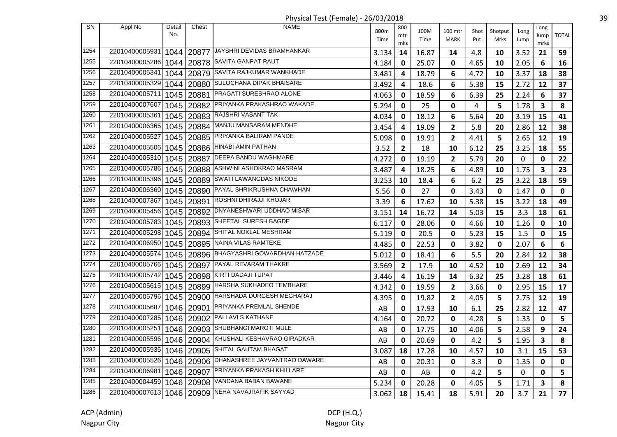Physical Test (Female) - 26/03/2018 39

| SN   | Appl No        | Detail | Chest      | NAME                                             |              | 800            |              |                        |             |                 |              | Long |              |
|------|----------------|--------|------------|--------------------------------------------------|--------------|----------------|--------------|------------------------|-------------|-----------------|--------------|------|--------------|
|      |                | No.    |            |                                                  | 800m<br>Time | mtr            | 100M<br>Time | 100 mtr<br><b>MARK</b> | Shot<br>Put | Shotput<br>Mrks | Long<br>Jump | Jump | <b>TOTAL</b> |
| 1254 |                |        |            | 20877 JAYSHRI DEVIDAS BRAMHANKAR                 |              | mks            |              |                        |             |                 |              | mrks |              |
|      | 22010400005931 | 1044   |            |                                                  | 3.134        | 14             | 16.87        | 14                     | 4.8         | 10              | 3.52         | 21   | 59           |
| 1255 | 22010400005286 | 1044   |            | 20878 SAVITA GANPAT RAUT                         | 4.184        | 0              | 25.07        | 0                      | 4.65        | 10              | 2.05         | 6    | 16           |
| 1256 | 22010400005341 | 1044   | 20879      | SAVITA RAJKUMAR WANKHADE                         | 3.481        | 4              | 18.79        | 6                      | 4.72        | 10              | 3.37         | 18   | 38           |
| 1257 | 22010400005329 | 1044   | 20880      | SULOCHANA DIPAK BHAISARE                         | 3.492        | 4              | 18.6         | 6                      | 5.38        | 15              | 2.72         | 12   | 37           |
| 1258 | 22010400005711 | 1045   | 20881      | PRAGATI SURESHRAO ALONE                          | 4.063        | 0              | 18.59        | 6                      | 6.39        | 25              | 2.24         | 6    | 37           |
| 1259 | 22010400007607 | 1045   |            | 20882 PRIYANKA PRAKASHRAO WAKADE                 | 5.294        | 0              | 25           | $\mathbf{0}$           | 4           | 5               | 1.78         | 3    | 8            |
| 1260 | 22010400005361 | 1045   |            | 20883 RAJSHRI VASANT TAK                         | 4.034        | 0              | 18.12        | 6                      | 5.64        | 20              | 3.19         | 15   | 41           |
| 1261 | 22010400006365 |        |            | 1045   20884   MANJU MANSARAM MENDHE             | 3.454        | 4              | 19.09        | $\overline{2}$         | 5.8         | 20              | 2.86         | 12   | 38           |
| 1262 | 22010400005527 | 1045   |            | 20885 PRIYANKA BALIRAM PANDE                     | 5.098        | 0              | 19.91        | $\overline{2}$         | 4.41        | 5               | 2.65         | 12   | 19           |
| 1263 | 22010400005506 | 1045   | 20886      | <b>HINABI AMIN PATHAN</b>                        | 3.52         | $\overline{2}$ | 18           | 10                     | 6.12        | 25              | 3.25         | 18   | 55           |
| 1264 | 22010400005310 | 1045   | 20887      | <b>DEEPA BANDU WAGHMARE</b>                      | 4.272        | 0              | 19.19        | $\overline{2}$         | 5.79        | 20              | 0            | 0    | 22           |
| 1265 | 22010400005786 | 1045   | 20888      | ASHWINI ASHOKRAO MASRAM                          | 3.487        | 4              | 18.25        | 6                      | 4.89        | 10              | 1.75         | 3    | 23           |
| 1266 | 22010400005396 | 1045   | 20889      | <b>SWATI LAWANGDAS NIKODE</b>                    | 3.253        | 10             | 18.4         | 6                      | 6.2         | 25              | 3.22         | 18   | 59           |
| 1267 | 22010400006360 | 1045   | 20890      | PAYAL SHRIKRUSHNA CHAWHAN                        | 5.56         | 0              | 27           | $\mathbf 0$            | 3.43        | 0               | 1.47         | 0    | $\mathbf{0}$ |
| 1268 | 22010400007367 |        |            | 1045   20891   ROSHNI DHIRAJJI KHOJAR            | 3.39         | 6              | 17.62        | 10                     | 5.38        | 15              | 3.22         | 18   | 49           |
| 1269 | 22010400005456 | 1045   |            | 20892 DNYANESHWARI UDDHAO MISAR                  | 3.151        | 14             | 16.72        | 14                     | 5.03        | 15              | 3.3          | 18   | 61           |
| 1270 | 22010400005783 | 1045   |            | 20893 SHEETAL SURESH BAGDE                       | 6.117        | 0              | 28.06        | 0                      | 4.66        | 10              | 1.26         | 0    | 10           |
| 1271 | 22010400005298 | 1045   |            | 20894 SHITAL NOKLAL MESHRAM                      | 5.119        | $\mathbf 0$    | 20.5         | 0                      | 5.23        | 15              | 1.5          | 0    | 15           |
| 1272 | 22010400006950 | 1045   |            | 20895 NAINA VILAS RAMTEKE                        | 4.485        | 0              | 22.53        | 0                      | 3.82        | 0               | 2.07         | 6    | 6            |
| 1273 | 22010400005574 | 1045   |            | 20896 BHAGYASHRI GOWARDHAN HATZADE               | 5.012        | 0              | 18.41        | 6                      | 5.5         | 20              | 2.84         | 12   | 38           |
| 1274 | 22010400005766 | 1045   | 20897      | PAYAL REVARAM THAKRE                             | 3.569        | $\mathbf{2}$   | 17.9         | 10                     | 4.52        | 10              | 2.69         | 12   | 34           |
| 1275 | 22010400005742 | 1045   | 20898      | KIRTI DADAJI TUPAT                               | 3.446        | 4              | 16.19        | 14                     | 6.32        | 25              | 3.28         | 18   | 61           |
| 1276 | 22010400005615 | 1045   | 20899      | <b>HARSHA SUKHADEO TEMBHARE</b>                  | 4.342        | 0              | 19.59        | $\overline{2}$         | 3.66        | 0               | 2.95         | 15   | 17           |
| 1277 | 22010400005796 | 1045   |            | 20900 HARSHADA DURGESH MEGHARAJ                  | 4.395        | 0              | 19.82        | $\overline{2}$         | 4.05        | 5               | 2.75         | 12   | 19           |
| 1278 | 22010400005687 |        |            | 1046   20901 PRIYANKA PREMLAL SHENDE             | AB           | 0              | 17.93        | 10                     | 6.1         | 25              | 2.82         | 12   | 47           |
| 1279 | 22010400007285 |        |            | 1046   20902   PALLAVI S KATHANE                 | 4.164        | 0              | 20.72        | $\mathbf{0}$           | 4.28        | 5               | 1.33         | 0    | 5            |
| 1280 | 22010400005251 | 1046   |            | 20903 SHUBHANGI MAROTI MULE                      | AB           | 0              | 17.75        | 10                     | 4.06        | 5               | 2.58         | 9    | 24           |
| 1281 | 22010400005596 | 1046   |            | 20904 KHUSHALI KESHAVRAO GIRADKAR                | AB           | 0              | 20.69        | 0                      | 4.2         | 5               | 1.95         | 3    | 8            |
| 1282 | 22010400005935 | 1046   | 20905      | SHITAL GAUTAM BHAGAT                             | 3.087        | 18             | 17.28        | 10                     | 4.57        | 10              | 3.1          | 15   | 53           |
| 1283 | 22010400005526 | 1046   | 20906      | DHANASHREE JAYVANTRAO DAWARE                     | AB           | 0              | 20.31        | 0                      | 3.3         | 0               | 1.35         | 0    | 0            |
| 1284 | 22010400006981 |        | 1046 20907 | PRIYANKA PRAKASH KHILLARE                        | AB           | 0              | AB           | 0                      | 4.2         | 5               | 0            | 0    | 5            |
| 1285 | 22010400004459 | 1046   | 20908      | VANDANA BABAN BAWANE                             | 5.234        | 0              | 20.28        | 0                      | 4.05        | 5               | 1.71         | 3    | 8            |
| 1286 |                |        |            | 22010400007613 1046 20909 NEHA NAVAJRAFIK SAYYAD | 3.062        | 18             | 15.41        | 18                     | 5.91        | 20              | 3.7          | 21   | 77           |
|      |                |        |            |                                                  |              |                |              |                        |             |                 |              |      |              |